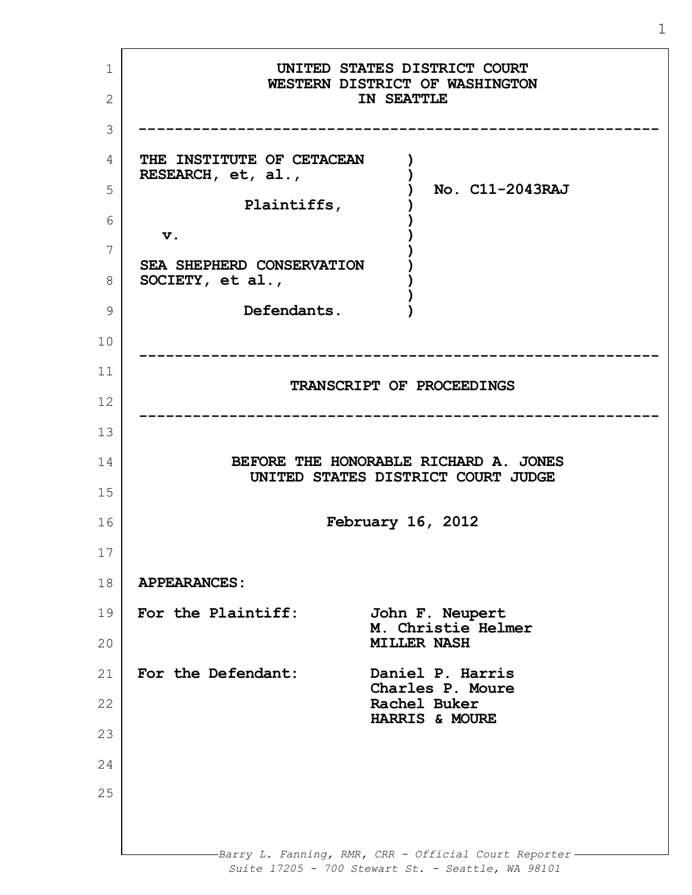1 2 3 4 5 6 7 8 9 10 11 12 13 14 15 16 17 18 19 20 21 22 23 24 25 *Barry L. Fanning, RMR, CRR - Official Court Reporter Suite 17205 - 700 Stewart St. - Seattle, WA 98101* **UNITED STATES DISTRICT COURT WESTERN DISTRICT OF WASHINGTON IN SEATTLE ---------------------------------------------------------- THE INSTITUTE OF CETACEAN RESEARCH, et, al., Plaintiffs, v. SEA SHEPHERD CONSERVATION SOCIETY, et al., Defendants. ) ) ) ) ) ) ) ) ) ) ) No. C11-2043RAJ ---------------------------------------------------------- TRANSCRIPT OF PROCEEDINGS ---------------------------------------------------------- BEFORE THE HONORABLE RICHARD A. JONES UNITED STATES DISTRICT COURT JUDGE February 16, 2012 APPEARANCES: For the Plaintiff: John F. Neupert M. Christie Helmer MILLER NASH For the Defendant: Daniel P. Harris Charles P. Moure Rachel Buker HARRIS & MOURE**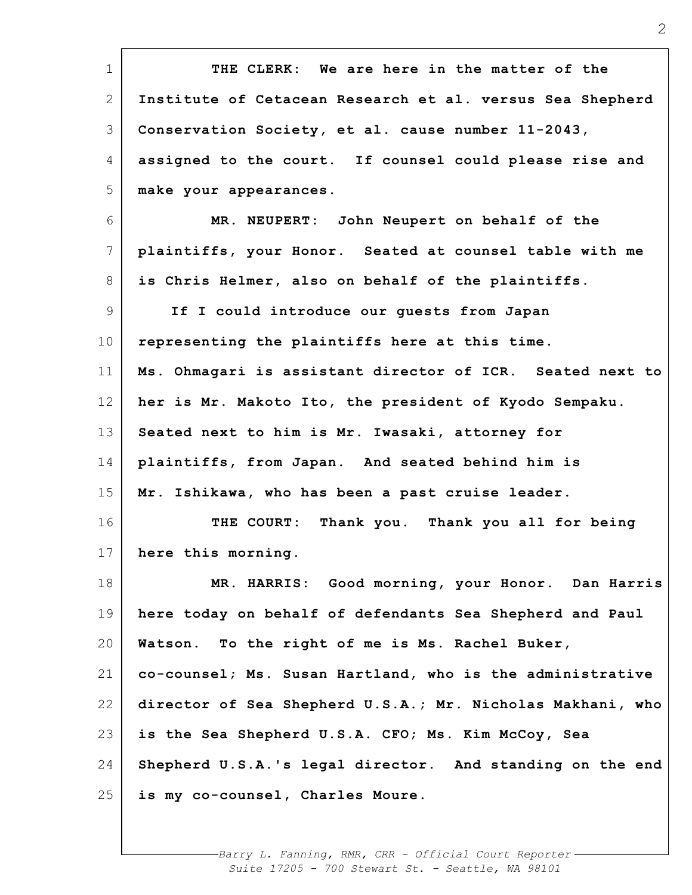| $\mathbf 1$     | THE CLERK: We are here in the matter of the                |
|-----------------|------------------------------------------------------------|
| $\mathbf{2}$    | Institute of Cetacean Research et al. versus Sea Shepherd  |
| 3               | Conservation Society, et al. cause number 11-2043,         |
| 4               | assigned to the court. If counsel could please rise and    |
| 5               | make your appearances.                                     |
| 6               | MR. NEUPERT: John Neupert on behalf of the                 |
| 7               | plaintiffs, your Honor. Seated at counsel table with me    |
| 8               | is Chris Helmer, also on behalf of the plaintiffs.         |
| $\overline{9}$  | If I could introduce our guests from Japan                 |
| 10 <sub>o</sub> | representing the plaintiffs here at this time.             |
| 11              | Ms. Ohmagari is assistant director of ICR. Seated next to  |
| 12              | her is Mr. Makoto Ito, the president of Kyodo Sempaku.     |
| 13              | Seated next to him is Mr. Iwasaki, attorney for            |
| 14              | plaintiffs, from Japan. And seated behind him is           |
| 15              | Mr. Ishikawa, who has been a past cruise leader.           |
| 16              | THE COURT: Thank you. Thank you all for being              |
| 17              | here this morning.                                         |
| 18              | MR. HARRIS: Good morning, your Honor. Dan Harris           |
| 19              | here today on behalf of defendants Sea Shepherd and Paul   |
| 20              | Watson. To the right of me is Ms. Rachel Buker,            |
| 21              | co-counsel; Ms. Susan Hartland, who is the administrative  |
| 22              | director of Sea Shepherd U.S.A.; Mr. Nicholas Makhani, who |
| 23              | is the Sea Shepherd U.S.A. CFO; Ms. Kim McCoy, Sea         |
| 24              | Shepherd U.S.A.'s legal director. And standing on the end  |
| 25              | is my co-counsel, Charles Moure.                           |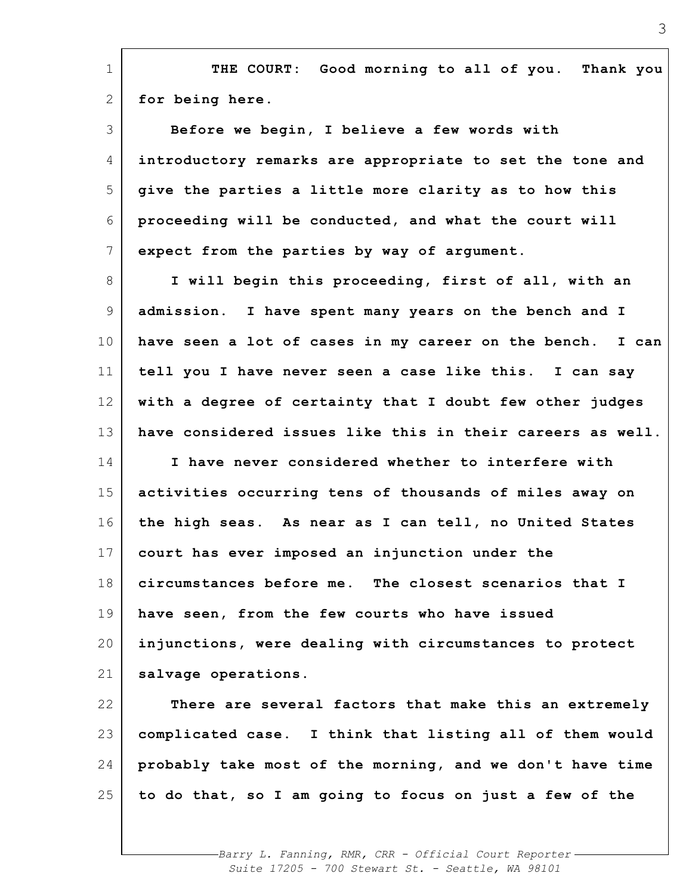| $\mathbf 1$ | THE COURT: Good morning to all of you. Thank you           |
|-------------|------------------------------------------------------------|
| 2           | for being here.                                            |
| 3           | Before we begin, I believe a few words with                |
| 4           | introductory remarks are appropriate to set the tone and   |
| 5           | give the parties a little more clarity as to how this      |
| 6           | proceeding will be conducted, and what the court will      |
| 7           | expect from the parties by way of argument.                |
| 8           | I will begin this proceeding, first of all, with an        |
| 9           | admission. I have spent many years on the bench and I      |
| 10          | have seen a lot of cases in my career on the bench. I can  |
| 11          | tell you I have never seen a case like this. I can say     |
| 12          | with a degree of certainty that I doubt few other judges   |
| 13          | have considered issues like this in their careers as well. |
| 14          | I have never considered whether to interfere with          |
| 15          | activities occurring tens of thousands of miles away on    |
| 16          | the high seas. As near as I can tell, no United States     |
| 17          | court has ever imposed an injunction under the             |
| 18          | circumstances before me. The closest scenarios that I      |
| 19          |                                                            |
|             | have seen, from the few courts who have issued             |
| 20          | injunctions, were dealing with circumstances to protect    |
| 21          | salvage operations.                                        |
| 22          | There are several factors that make this an extremely      |
| 23          | complicated case. I think that listing all of them would   |
| 24          | probably take most of the morning, and we don't have time  |
| 25          | to do that, so I am going to focus on just a few of the    |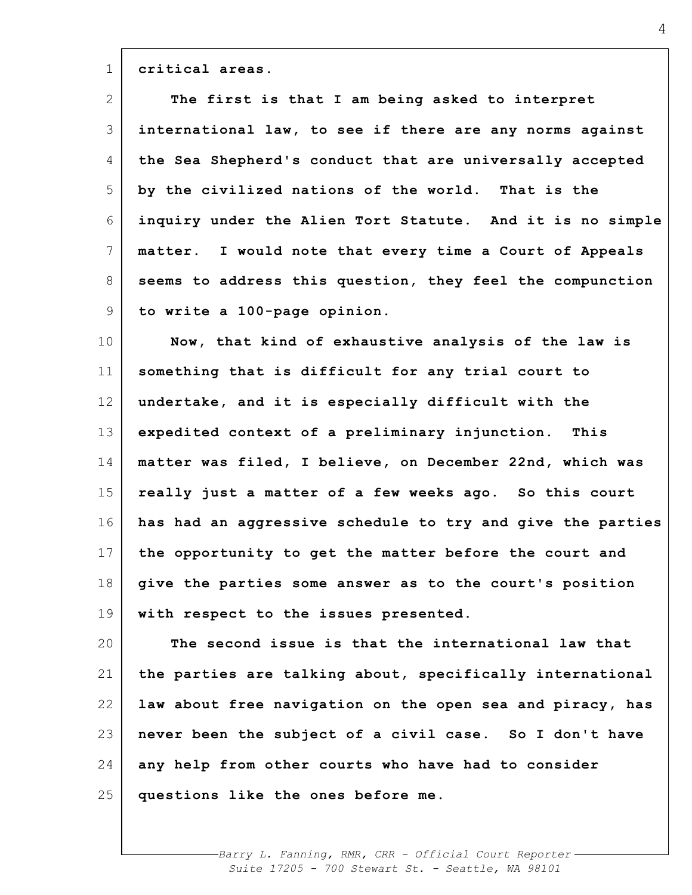**critical areas.**

1

| $\mathbf{2}$ | The first is that I am being asked to interpret               |
|--------------|---------------------------------------------------------------|
| 3            | international law, to see if there are any norms against      |
| 4            | the Sea Shepherd's conduct that are universally accepted      |
| 5            | by the civilized nations of the world. That is the            |
| 6            | inquiry under the Alien Tort Statute. And it is no simple     |
| 7            | I would note that every time a Court of Appeals<br>matter.    |
| 8            | seems to address this question, they feel the compunction     |
| 9            | to write a 100-page opinion.                                  |
| 10           | Now, that kind of exhaustive analysis of the law is           |
| 11           | something that is difficult for any trial court to            |
| 12           | undertake, and it is especially difficult with the            |
| 13           | expedited context of a preliminary injunction.<br><b>This</b> |
| 14           | matter was filed, I believe, on December 22nd, which was      |
| 15           | really just a matter of a few weeks ago. So this court        |
| 16           | has had an aggressive schedule to try and give the parties    |
| 17           | the opportunity to get the matter before the court and        |
| 18           | give the parties some answer as to the court's position       |
| 19           | with respect to the issues presented.                         |
| 20           | The second issue is that the international law that           |
| 21           | the parties are talking about, specifically international     |
| 22           | law about free navigation on the open sea and piracy, has     |
| 23           | never been the subject of a civil case. So I don't have       |
| 24           | any help from other courts who have had to consider           |
| 25           | questions like the ones before me.                            |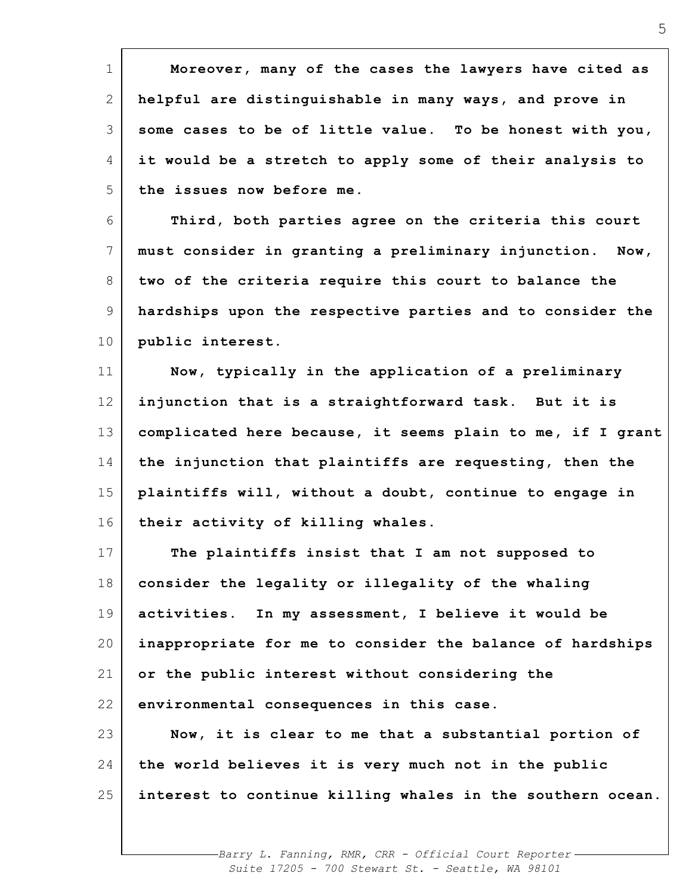| $\mathbf 1$ | Moreover, many of the cases the lawyers have cited as      |
|-------------|------------------------------------------------------------|
| 2           | helpful are distinguishable in many ways, and prove in     |
| 3           | some cases to be of little value. To be honest with you,   |
| 4           | it would be a stretch to apply some of their analysis to   |
| 5           | the issues now before me.                                  |
| 6           | Third, both parties agree on the criteria this court       |
| 7           | must consider in granting a preliminary injunction. Now,   |
| 8           | two of the criteria require this court to balance the      |
| 9           | hardships upon the respective parties and to consider the  |
| $10 \,$     | public interest.                                           |
| 11          | Now, typically in the application of a preliminary         |
| 12          | injunction that is a straightforward task. But it is       |
| 13          | complicated here because, it seems plain to me, if I grant |
| 14          | the injunction that plaintiffs are requesting, then the    |
| 15          | plaintiffs will, without a doubt, continue to engage in    |
| 16          | their activity of killing whales.                          |
| 17          | The plaintiffs insist that I am not supposed to            |
| 18          | consider the legality or illegality of the whaling         |
| 19          | activities. In my assessment, I believe it would be        |
| 20          | inappropriate for me to consider the balance of hardships  |
| 21          | or the public interest without considering the             |
| 22          | environmental consequences in this case.                   |
| 23          | Now, it is clear to me that a substantial portion of       |
| 24          | the world believes it is very much not in the public       |
| 25          | interest to continue killing whales in the southern ocean. |
|             |                                                            |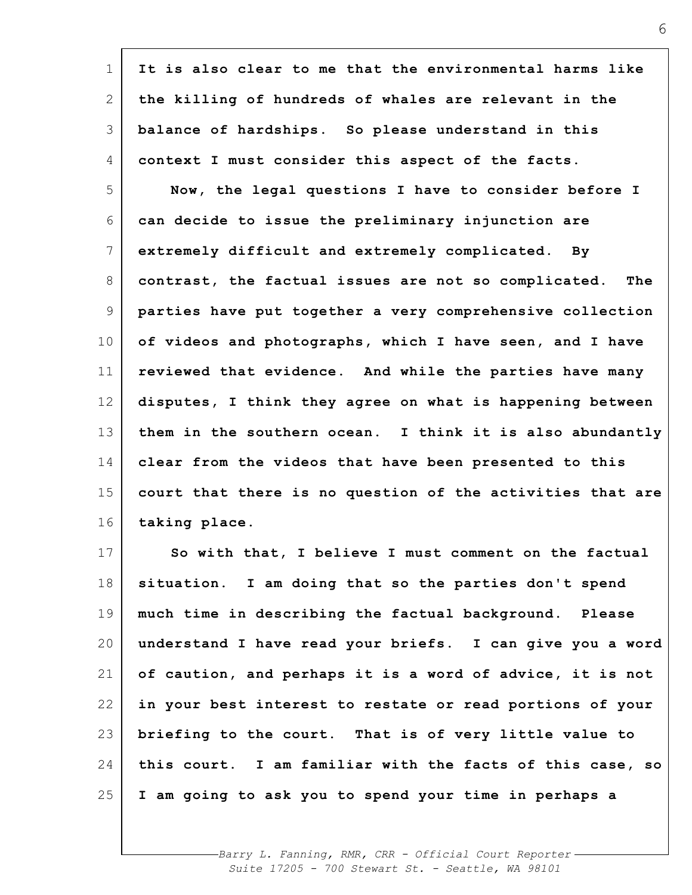| $\mathbf 1$ | It is also clear to me that the environmental harms like    |
|-------------|-------------------------------------------------------------|
| 2           | the killing of hundreds of whales are relevant in the       |
| 3           | balance of hardships. So please understand in this          |
| 4           | context I must consider this aspect of the facts.           |
| 5           | Now, the legal questions I have to consider before I        |
| 6           | can decide to issue the preliminary injunction are          |
| 7           | extremely difficult and extremely complicated. By           |
| 8           | contrast, the factual issues are not so complicated.<br>The |
| 9           | parties have put together a very comprehensive collection   |
| 10          | of videos and photographs, which I have seen, and I have    |
| 11          | reviewed that evidence. And while the parties have many     |
| 12          | disputes, I think they agree on what is happening between   |
| 13          | them in the southern ocean. I think it is also abundantly   |
| 14          | clear from the videos that have been presented to this      |
| 15          | court that there is no question of the activities that are  |
| 16          | taking place.                                               |
| 17          | So with that, I believe I must comment on the factual       |
| 18          | situation. I am doing that so the parties don't spend       |
| 19          | much time in describing the factual background. Please      |
| 20          | understand I have read your briefs. I can give you a word   |
| 21          | of caution, and perhaps it is a word of advice, it is not   |
| 22          | in your best interest to restate or read portions of your   |
| 23          | briefing to the court. That is of very little value to      |
| 24          | this court. I am familiar with the facts of this case, so   |
| 25          | I am going to ask you to spend your time in perhaps a       |
|             |                                                             |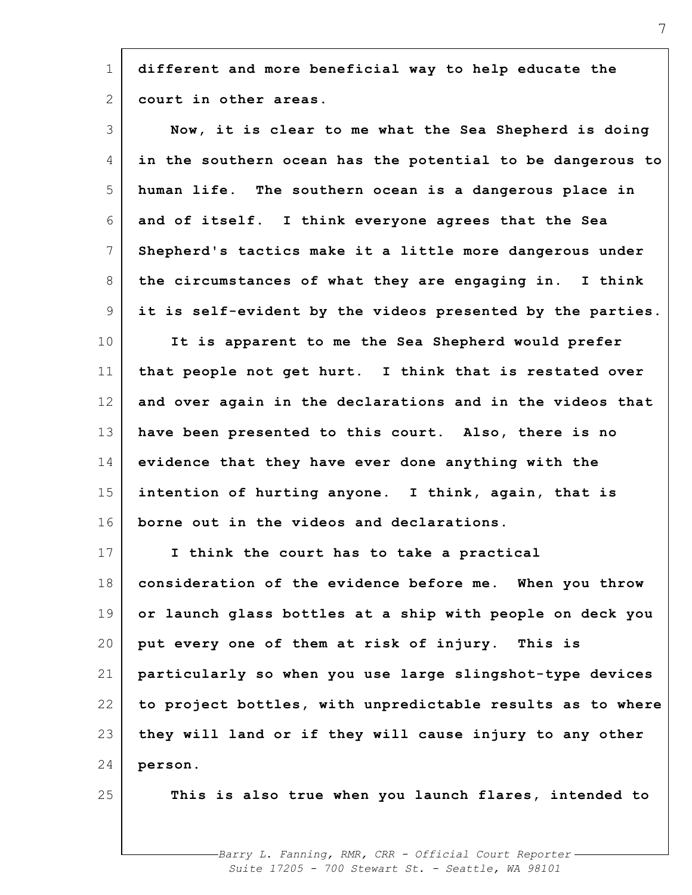1 2 **different and more beneficial way to help educate the court in other areas.**

| 3               | Now, it is clear to me what the Sea Shepherd is doing      |
|-----------------|------------------------------------------------------------|
| 4               | in the southern ocean has the potential to be dangerous to |
| 5               | human life. The southern ocean is a dangerous place in     |
| 6               | and of itself. I think everyone agrees that the Sea        |
| $7\phantom{.0}$ | Shepherd's tactics make it a little more dangerous under   |
| 8               | the circumstances of what they are engaging in. I think    |
| 9               | it is self-evident by the videos presented by the parties. |
| 10              | It is apparent to me the Sea Shepherd would prefer         |
| 11              | that people not get hurt. I think that is restated over    |
| 12              | and over again in the declarations and in the videos that  |
| 13              | have been presented to this court. Also, there is no       |
| 14              | evidence that they have ever done anything with the        |
| 15              | intention of hurting anyone. I think, again, that is       |
| 16              | borne out in the videos and declarations.                  |
| 17              | I think the court has to take a practical                  |
| 18              | consideration of the evidence before me. When you throw    |
| 19              | or launch glass bottles at a ship with people on deck you  |
| 20              | put every one of them at risk of injury. This is           |
| 21              | particularly so when you use large slingshot-type devices  |
| 22              | to project bottles, with unpredictable results as to where |
| 23              | they will land or if they will cause injury to any other   |
| 24              | person.                                                    |
| 25              | This is also true when you launch flares, intended to      |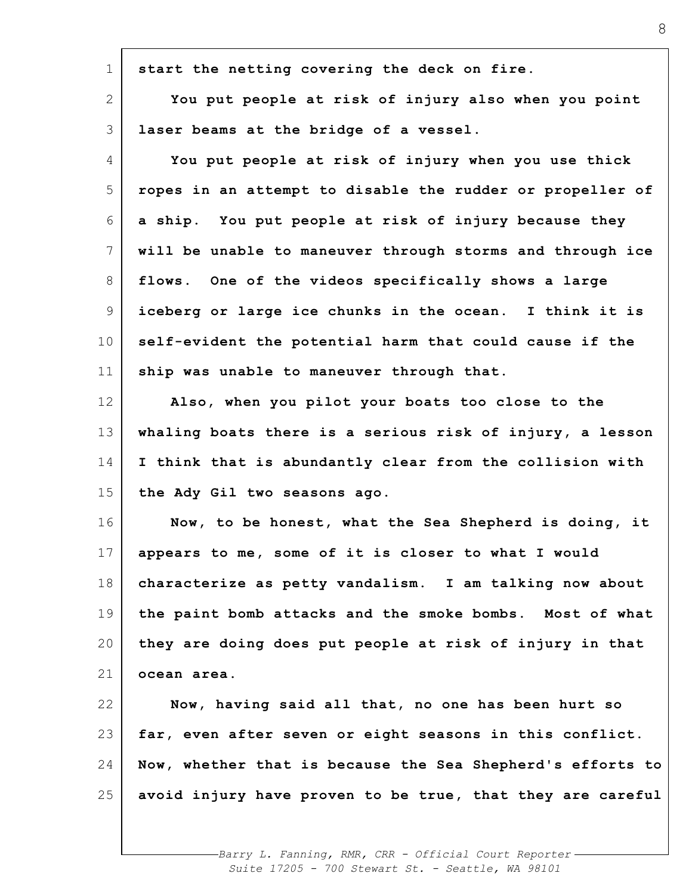| $\mathbf 1$     | start the netting covering the deck on fire.               |
|-----------------|------------------------------------------------------------|
| $\mathbf{2}$    | You put people at risk of injury also when you point       |
| 3               | laser beams at the bridge of a vessel.                     |
| 4               | You put people at risk of injury when you use thick        |
| 5               | ropes in an attempt to disable the rudder or propeller of  |
| 6               | a ship. You put people at risk of injury because they      |
| $7\phantom{.0}$ | will be unable to maneuver through storms and through ice  |
| 8               | flows. One of the videos specifically shows a large        |
| 9               | iceberg or large ice chunks in the ocean. I think it is    |
| 10 <sub>o</sub> | self-evident the potential harm that could cause if the    |
| 11              | ship was unable to maneuver through that.                  |
| 12              | Also, when you pilot your boats too close to the           |
| 13              | whaling boats there is a serious risk of injury, a lesson  |
| 14              | I think that is abundantly clear from the collision with   |
| 15              | the Ady Gil two seasons ago.                               |
| 16              | Now, to be honest, what the Sea Shepherd is doing, it      |
| 17              | appears to me, some of it is closer to what I would        |
| 18              | characterize as petty vandalism. I am talking now about    |
| 19              | the paint bomb attacks and the smoke bombs. Most of what   |
| 20              | they are doing does put people at risk of injury in that   |
| 21              | ocean area.                                                |
| 22              | Now, having said all that, no one has been hurt so         |
| 23              | far, even after seven or eight seasons in this conflict.   |
| 24              | Now, whether that is because the Sea Shepherd's efforts to |
| 25              | avoid injury have proven to be true, that they are careful |
|                 |                                                            |
|                 |                                                            |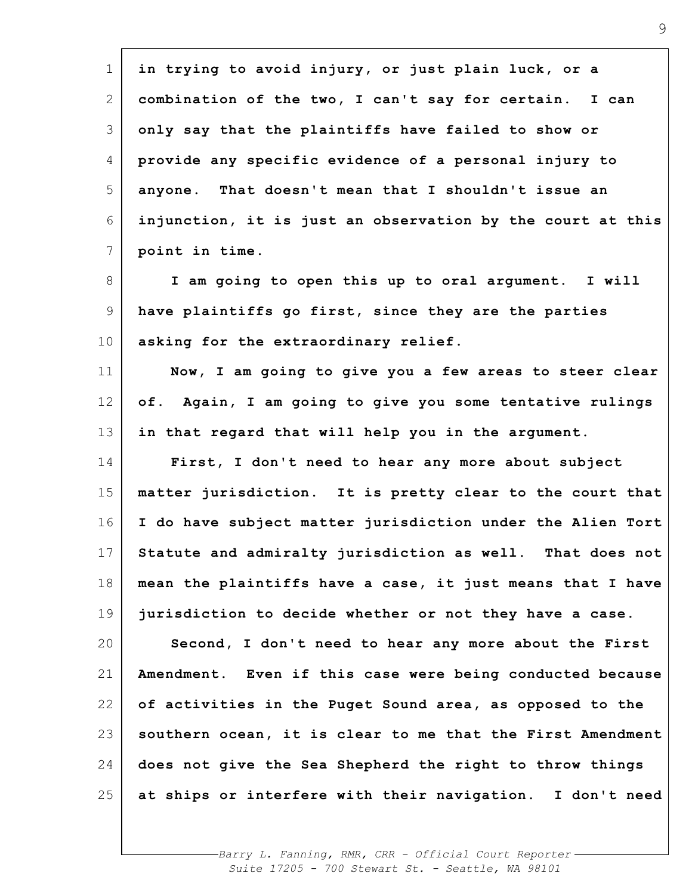| $\mathbf 1$     | in trying to avoid injury, or just plain luck, or a        |
|-----------------|------------------------------------------------------------|
| 2               | combination of the two, I can't say for certain. I can     |
| 3               | only say that the plaintiffs have failed to show or        |
| 4               | provide any specific evidence of a personal injury to      |
| 5               | anyone. That doesn't mean that I shouldn't issue an        |
| 6               | injunction, it is just an observation by the court at this |
| 7               | point in time.                                             |
| 8               | I am going to open this up to oral argument. I will        |
| 9               | have plaintiffs go first, since they are the parties       |
| 10 <sub>o</sub> | asking for the extraordinary relief.                       |
| 11              | Now, I am going to give you a few areas to steer clear     |
| 12              | of. Again, I am going to give you some tentative rulings   |
| 13              | in that regard that will help you in the argument.         |
| 14              | First, I don't need to hear any more about subject         |
| 15              | matter jurisdiction. It is pretty clear to the court that  |
| 16              | I do have subject matter jurisdiction under the Alien Tort |
| 17              | Statute and admiralty jurisdiction as well. That does not  |
| 18              | mean the plaintiffs have a case, it just means that I have |
| 19              | jurisdiction to decide whether or not they have a case.    |
| 20              | Second, I don't need to hear any more about the First      |
| 21              | Amendment. Even if this case were being conducted because  |
| 22              | of activities in the Puget Sound area, as opposed to the   |
| 23              | southern ocean, it is clear to me that the First Amendment |
| 24              | does not give the Sea Shepherd the right to throw things   |
| 25              | at ships or interfere with their navigation. I don't need  |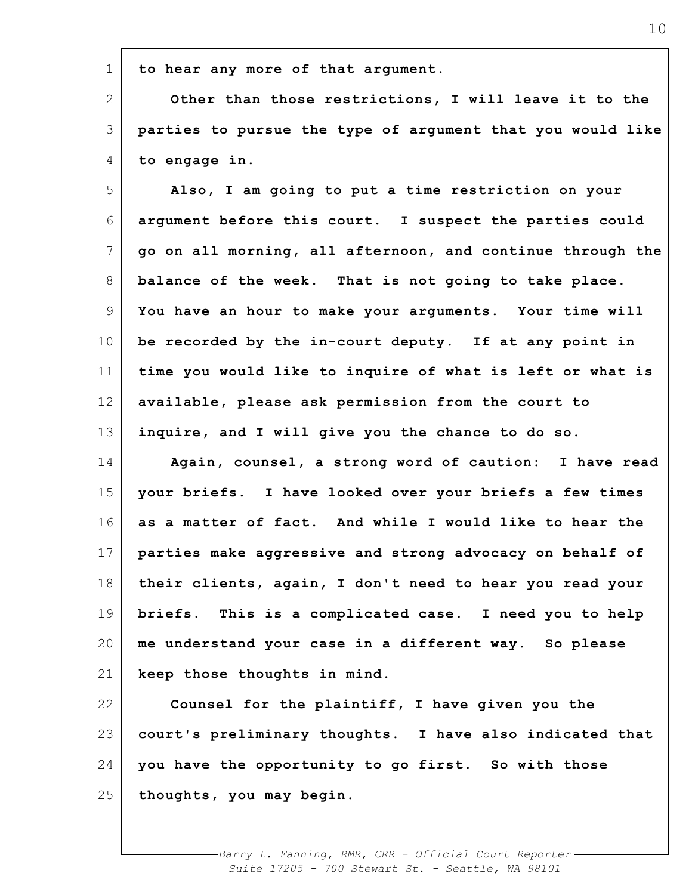**to hear any more of that argument.**

1

2 3 4 **Other than those restrictions, I will leave it to the parties to pursue the type of argument that you would like to engage in.**

5 6 7 8 9 10 11 12 13 14 15 16 17 18 19 20 21 22 **Also, I am going to put a time restriction on your argument before this court. I suspect the parties could go on all morning, all afternoon, and continue through the balance of the week. That is not going to take place. You have an hour to make your arguments. Your time will be recorded by the in-court deputy. If at any point in time you would like to inquire of what is left or what is available, please ask permission from the court to inquire, and I will give you the chance to do so. Again, counsel, a strong word of caution: I have read your briefs. I have looked over your briefs a few times as a matter of fact. And while I would like to hear the parties make aggressive and strong advocacy on behalf of their clients, again, I don't need to hear you read your briefs. This is a complicated case. I need you to help me understand your case in a different way. So please keep those thoughts in mind. Counsel for the plaintiff, I have given you the**

23 24 25 **court's preliminary thoughts. I have also indicated that you have the opportunity to go first. So with those thoughts, you may begin.**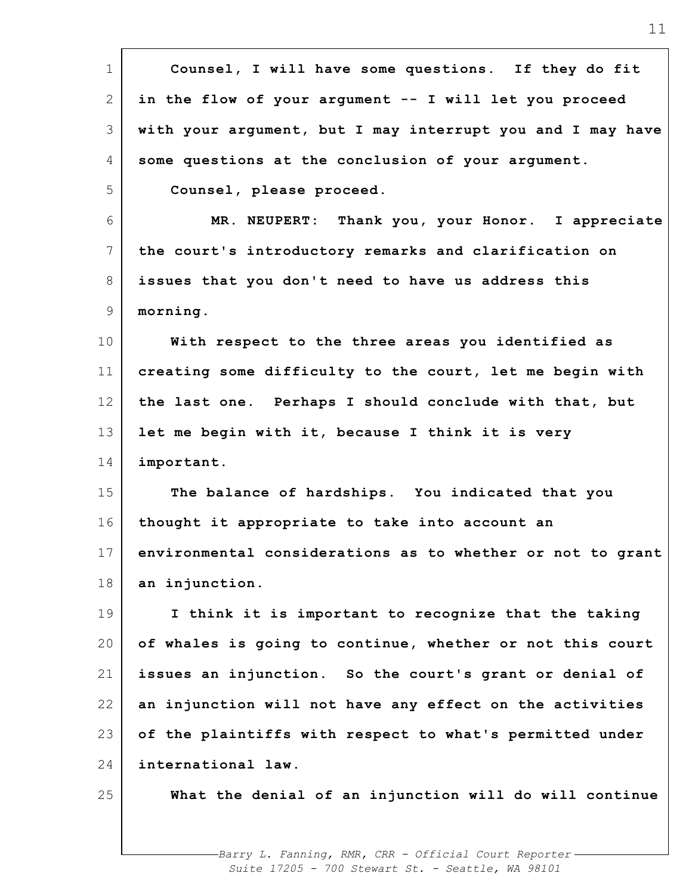| $\mathbf 1$     | Counsel, I will have some questions. If they do fit        |
|-----------------|------------------------------------------------------------|
| 2               | in the flow of your argument -- I will let you proceed     |
| 3               | with your argument, but I may interrupt you and I may have |
| 4               | some questions at the conclusion of your argument.         |
| 5               | Counsel, please proceed.                                   |
| 6               | MR. NEUPERT: Thank you, your Honor. I appreciate           |
| $7\phantom{.0}$ | the court's introductory remarks and clarification on      |
| 8               | issues that you don't need to have us address this         |
| 9               | morning.                                                   |
| 10              | With respect to the three areas you identified as          |
| 11              | creating some difficulty to the court, let me begin with   |
| 12 <sup>°</sup> | the last one. Perhaps I should conclude with that, but     |
| 13              | let me begin with it, because I think it is very           |
| 14              | important.                                                 |
| 15              | The balance of hardships. You indicated that you           |
| 16              | thought it appropriate to take into account an             |
| 17              | environmental considerations as to whether or not to grant |
| 18              | an injunction.                                             |
| 19              | I think it is important to recognize that the taking       |
| 20              | of whales is going to continue, whether or not this court  |
| 21              | issues an injunction. So the court's grant or denial of    |
| 22              | an injunction will not have any effect on the activities   |
| 23              | of the plaintiffs with respect to what's permitted under   |
| 24              | international law.                                         |
| 25              | What the denial of an injunction will do will continue     |
|                 |                                                            |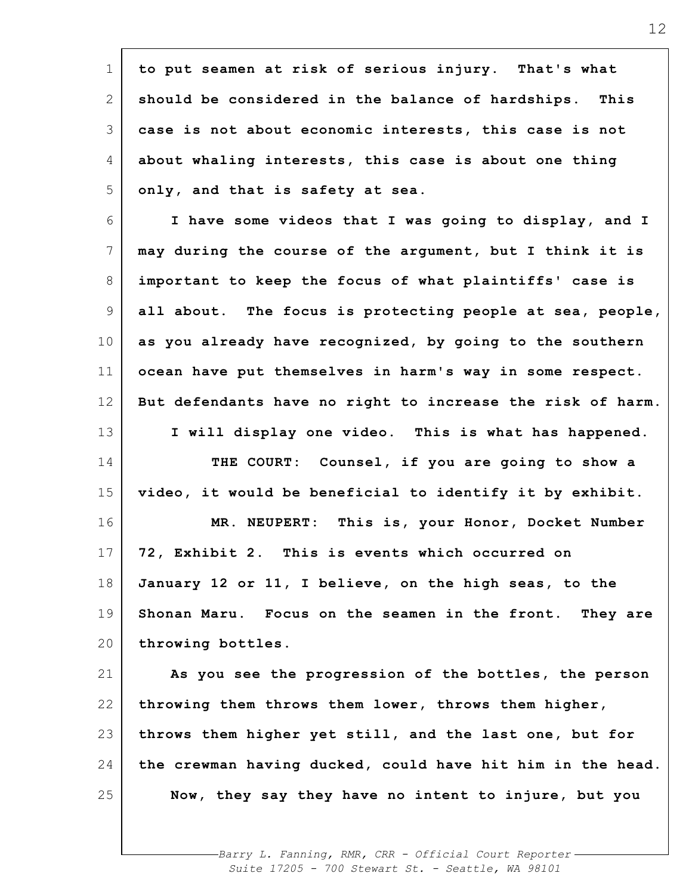| $\mathbf 1$     | to put seamen at risk of serious injury. That's what       |
|-----------------|------------------------------------------------------------|
| 2               | should be considered in the balance of hardships. This     |
| 3               | case is not about economic interests, this case is not     |
| 4               | about whaling interests, this case is about one thing      |
| 5               | only, and that is safety at sea.                           |
| 6               | I have some videos that I was going to display, and I      |
| $7\phantom{.0}$ | may during the course of the argument, but I think it is   |
| 8               | important to keep the focus of what plaintiffs' case is    |
| 9               | all about. The focus is protecting people at sea, people,  |
| 10 <sub>o</sub> | as you already have recognized, by going to the southern   |
| 11              | ocean have put themselves in harm's way in some respect.   |
| 12              | But defendants have no right to increase the risk of harm. |
| 13              | I will display one video. This is what has happened.       |
| 14              | THE COURT: Counsel, if you are going to show a             |
| 15              | video, it would be beneficial to identify it by exhibit.   |
| 16              | MR. NEUPERT: This is, your Honor, Docket Number            |
| 17              | 72, Exhibit 2. This is events which occurred on            |
| 18              | January 12 or 11, I believe, on the high seas, to the      |
| 19              | Shonan Maru. Focus on the seamen in the front. They are    |
| 20              | throwing bottles.                                          |
| 21              | As you see the progression of the bottles, the person      |
| 22              | throwing them throws them lower, throws them higher,       |
| 23              | throws them higher yet still, and the last one, but for    |
| 24              | the crewman having ducked, could have hit him in the head. |
| 25              | Now, they say they have no intent to injure, but you       |
|                 |                                                            |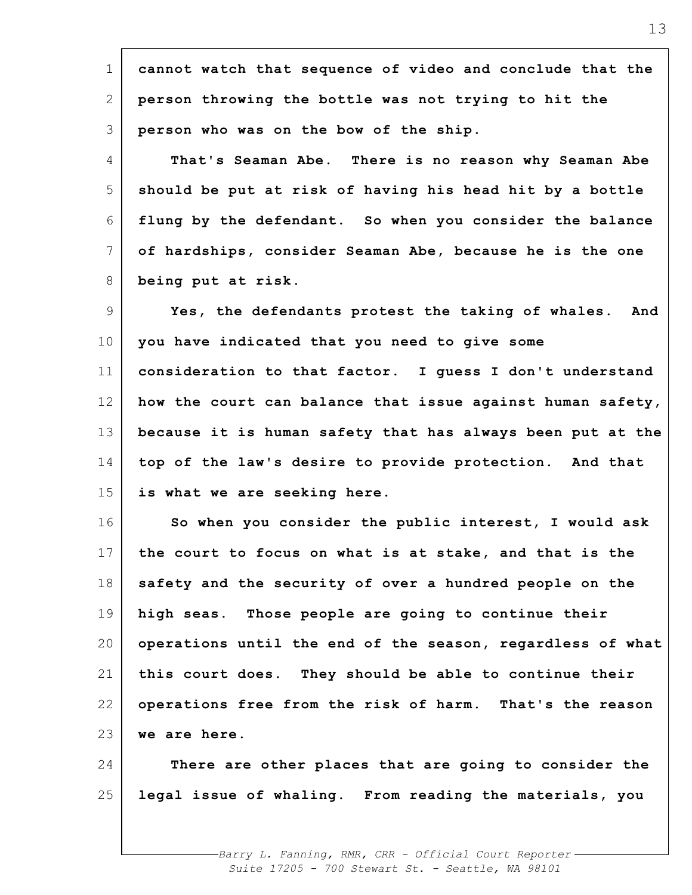| $\mathbf 1$     | cannot watch that sequence of video and conclude that the  |
|-----------------|------------------------------------------------------------|
| 2               | person throwing the bottle was not trying to hit the       |
| 3               | person who was on the bow of the ship.                     |
| 4               | That's Seaman Abe. There is no reason why Seaman Abe       |
| 5               | should be put at risk of having his head hit by a bottle   |
| 6               | flung by the defendant. So when you consider the balance   |
| $7\phantom{.0}$ | of hardships, consider Seaman Abe, because he is the one   |
| 8               | being put at risk.                                         |
| 9               | Yes, the defendants protest the taking of whales.<br>And   |
| $10 \,$         | you have indicated that you need to give some              |
| 11              | consideration to that factor. I guess I don't understand   |
| 12              | how the court can balance that issue against human safety, |
| 13              | because it is human safety that has always been put at the |
| 14              | top of the law's desire to provide protection. And that    |
| 15              | is what we are seeking here.                               |
| 16              | So when you consider the public interest, I would ask      |
| 17              | the court to focus on what is at stake, and that is the    |
| 18              | safety and the security of over a hundred people on the    |
| 19              | high seas. Those people are going to continue their        |
| 20              | operations until the end of the season, regardless of what |
| 21              | this court does. They should be able to continue their     |
| 22              | operations free from the risk of harm. That's the reason   |
| 23              | we are here.                                               |
| 24              | There are other places that are going to consider the      |
| 25              | legal issue of whaling. From reading the materials, you    |
|                 |                                                            |
|                 |                                                            |

 $\mathbf{r}$ 

13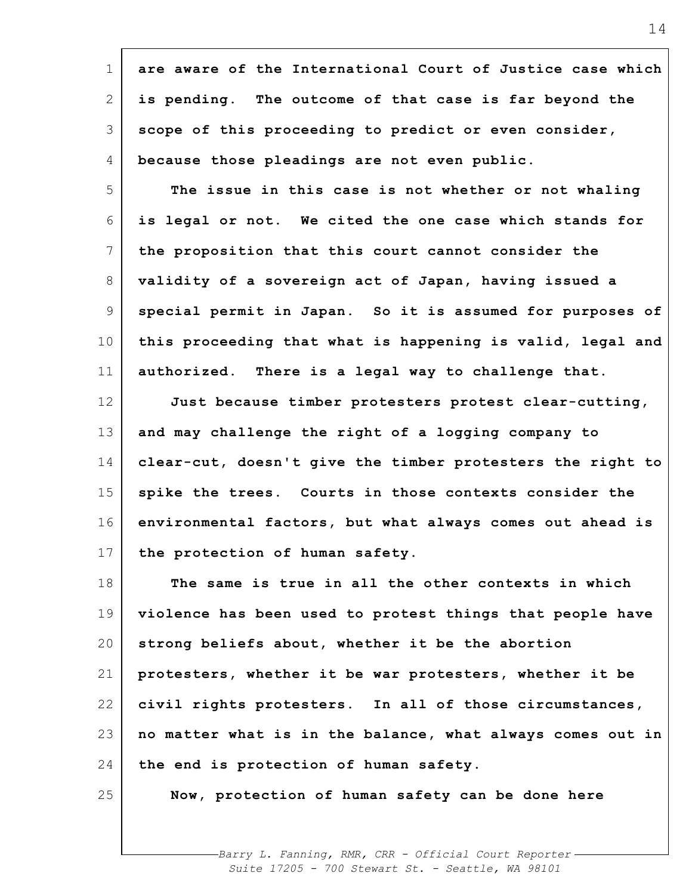| $\mathbf 1$     | are aware of the International Court of Justice case which |
|-----------------|------------------------------------------------------------|
| $\mathbf{2}$    | is pending. The outcome of that case is far beyond the     |
| 3               | scope of this proceeding to predict or even consider,      |
| 4               | because those pleadings are not even public.               |
| 5               | The issue in this case is not whether or not whaling       |
| 6               | is legal or not. We cited the one case which stands for    |
| 7               | the proposition that this court cannot consider the        |
| 8               | validity of a sovereign act of Japan, having issued a      |
| 9               | special permit in Japan. So it is assumed for purposes of  |
| 10 <sub>o</sub> | this proceeding that what is happening is valid, legal and |
| 11              | authorized. There is a legal way to challenge that.        |
| 12              | Just because timber protesters protest clear-cutting,      |
| 13              | and may challenge the right of a logging company to        |
| 14              | clear-cut, doesn't give the timber protesters the right to |
| 15              | spike the trees. Courts in those contexts consider the     |
| 16              | environmental factors, but what always comes out ahead is  |
| 17              | the protection of human safety.                            |
| 18              | The same is true in all the other contexts in which        |
| 19              | violence has been used to protest things that people have  |
| 20              | strong beliefs about, whether it be the abortion           |
| 21              | protesters, whether it be war protesters, whether it be    |
| 22              | civil rights protesters. In all of those circumstances,    |
| 23              | no matter what is in the balance, what always comes out in |
| 24              | the end is protection of human safety.                     |
| 25              | Now, protection of human safety can be done here           |
|                 |                                                            |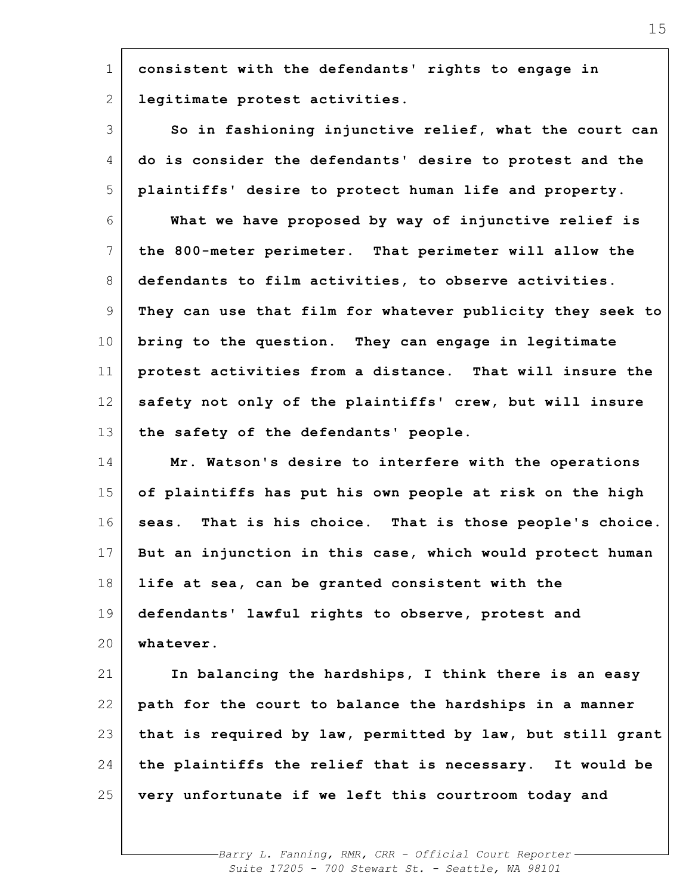| $\mathbf 1$                      |                                                            |
|----------------------------------|------------------------------------------------------------|
|                                  | consistent with the defendants' rights to engage in        |
| 2                                | legitimate protest activities.                             |
| 3                                | So in fashioning injunctive relief, what the court can     |
| 4                                | do is consider the defendants' desire to protest and the   |
| 5                                | plaintiffs' desire to protect human life and property.     |
| 6                                | What we have proposed by way of injunctive relief is       |
| $7\phantom{.0}$                  | the 800-meter perimeter. That perimeter will allow the     |
| 8                                | defendants to film activities, to observe activities.      |
| 9                                | They can use that film for whatever publicity they seek to |
| 10                               | bring to the question. They can engage in legitimate       |
| 11                               | protest activities from a distance. That will insure the   |
| 12                               | safety not only of the plaintiffs' crew, but will insure   |
| 13                               | the safety of the defendants' people.                      |
| 14                               | Mr. Watson's desire to interfere with the operations       |
| 15                               | of plaintiffs has put his own people at risk on the high   |
|                                  |                                                            |
| 16                               | seas. That is his choice. That is those people's choice.   |
|                                  | But an injunction in this case, which would protect human  |
| 17<br>18                         | life at sea, can be granted consistent with the            |
|                                  | defendants' lawful rights to observe, protest and          |
|                                  | whatever.                                                  |
|                                  | In balancing the hardships, I think there is an easy       |
|                                  | path for the court to balance the hardships in a manner    |
|                                  | that is required by law, permitted by law, but still grant |
| 19<br>20<br>21<br>22<br>23<br>24 | the plaintiffs the relief that is necessary. It would be   |
| 25                               | very unfortunate if we left this courtroom today and       |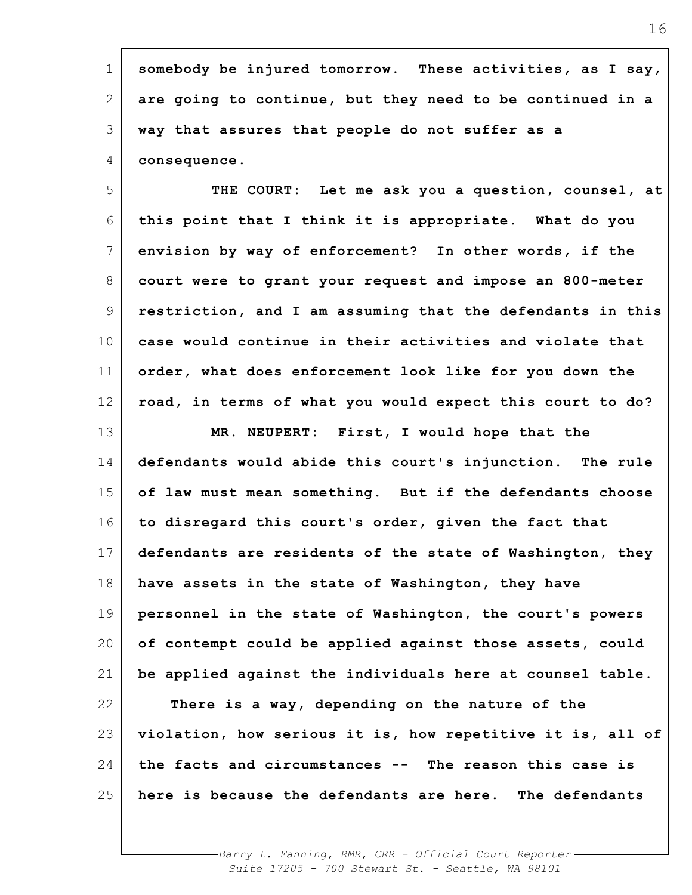| $\mathbf 1$     | somebody be injured tomorrow. These activities, as I say,  |
|-----------------|------------------------------------------------------------|
| $\mathbf{2}$    | are going to continue, but they need to be continued in a  |
| 3               | way that assures that people do not suffer as a            |
| 4               | consequence.                                               |
| 5               | THE COURT: Let me ask you a question, counsel, at          |
| 6               | this point that I think it is appropriate. What do you     |
| $7\phantom{.0}$ | envision by way of enforcement? In other words, if the     |
| 8               | court were to grant your request and impose an 800-meter   |
| 9               | restriction, and I am assuming that the defendants in this |
| 10              | case would continue in their activities and violate that   |
| 11              | order, what does enforcement look like for you down the    |
| 12              | road, in terms of what you would expect this court to do?  |
| 13              | MR. NEUPERT: First, I would hope that the                  |
| 14              | defendants would abide this court's injunction. The rule   |
| 15              | of law must mean something. But if the defendants choose   |
| 16              | to disregard this court's order, given the fact that       |
| 17              | defendants are residents of the state of Washington, they  |
| 18              | have assets in the state of Washington, they have          |
| 19              | personnel in the state of Washington, the court's powers   |
| 20              | of contempt could be applied against those assets, could   |
| 21              | be applied against the individuals here at counsel table.  |
| 22              | There is a way, depending on the nature of the             |
| 23              | violation, how serious it is, how repetitive it is, all of |
| 24              | the facts and circumstances -- The reason this case is     |
| 25              | here is because the defendants are here. The defendants    |
|                 |                                                            |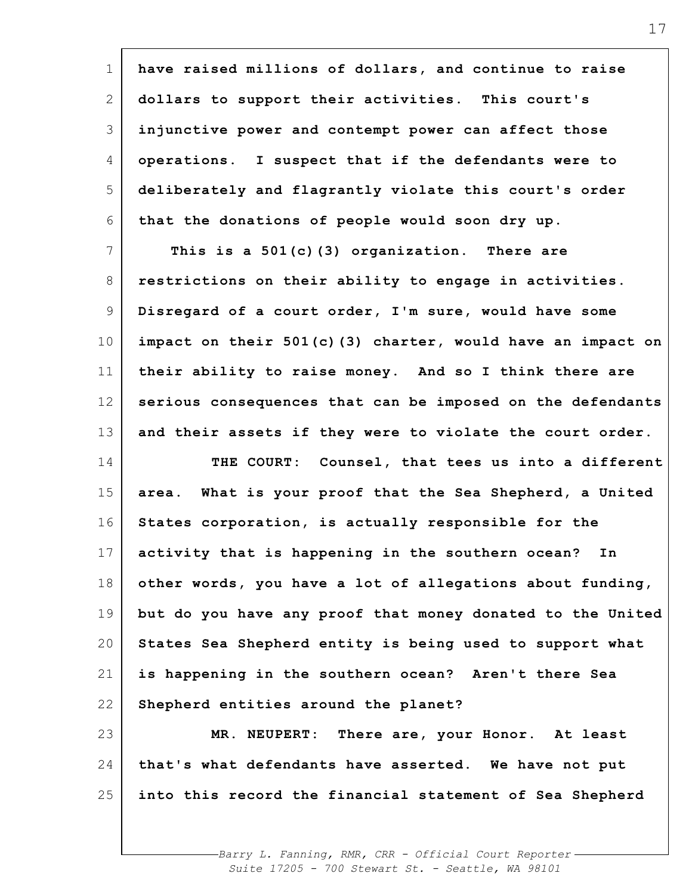| $\mathbf 1$     | have raised millions of dollars, and continue to raise     |
|-----------------|------------------------------------------------------------|
| 2               | dollars to support their activities. This court's          |
| 3               | injunctive power and contempt power can affect those       |
| 4               | operations. I suspect that if the defendants were to       |
| 5               | deliberately and flagrantly violate this court's order     |
| 6               | that the donations of people would soon dry up.            |
| $7\overline{ }$ | This is a $501(c)$ (3) organization. There are             |
| 8               | restrictions on their ability to engage in activities.     |
| 9               | Disregard of a court order, I'm sure, would have some      |
| 10              | impact on their 501(c)(3) charter, would have an impact on |
| 11              | their ability to raise money. And so I think there are     |
| 12              | serious consequences that can be imposed on the defendants |
| 13              | and their assets if they were to violate the court order.  |
| 14              | THE COURT:<br>Counsel, that tees us into a different       |
| 15              | area. What is your proof that the Sea Shepherd, a United   |
| 16              | States corporation, is actually responsible for the        |
| 17              | activity that is happening in the southern ocean?<br>In    |
| 18              | other words, you have a lot of allegations about funding,  |
| 19              | but do you have any proof that money donated to the United |
| 20              | States Sea Shepherd entity is being used to support what   |
| 21              | is happening in the southern ocean? Aren't there Sea       |
| 22              | Shepherd entities around the planet?                       |
| 23              | MR. NEUPERT: There are, your Honor. At least               |
| 24              | that's what defendants have asserted. We have not put      |
| 25              | into this record the financial statement of Sea Shepherd   |
|                 |                                                            |

'n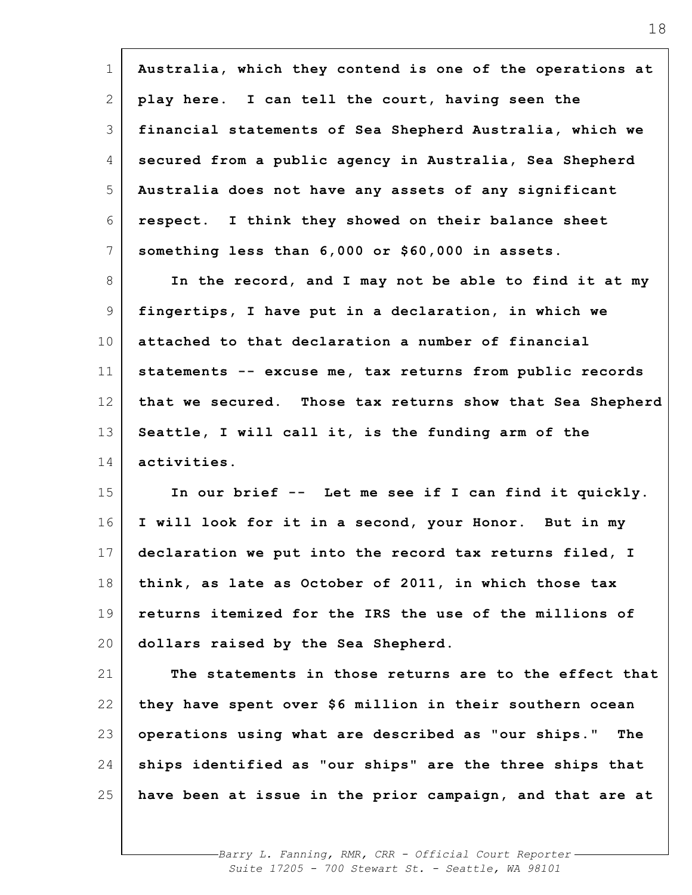| $\mathbf 1$ | Australia, which they contend is one of the operations at  |
|-------------|------------------------------------------------------------|
| 2           | play here. I can tell the court, having seen the           |
| 3           | financial statements of Sea Shepherd Australia, which we   |
| 4           | secured from a public agency in Australia, Sea Shepherd    |
| 5           | Australia does not have any assets of any significant      |
| 6           | respect. I think they showed on their balance sheet        |
| 7           | something less than 6,000 or \$60,000 in assets.           |
| 8           | In the record, and I may not be able to find it at my      |
| 9           | fingertips, I have put in a declaration, in which we       |
| 10          | attached to that declaration a number of financial         |
| 11          | statements -- excuse me, tax returns from public records   |
| 12          | that we secured. Those tax returns show that Sea Shepherd  |
| 13          | Seattle, I will call it, is the funding arm of the         |
| 14          | activities.                                                |
| 15          | In our brief -- Let me see if I can find it quickly.       |
| 16          | I will look for it in a second, your Honor. But in my      |
| 17          | declaration we put into the record tax returns filed, I    |
| 18          | think, as late as October of 2011, in which those tax      |
| 19          | returns itemized for the IRS the use of the millions of    |
| 20          | dollars raised by the Sea Shepherd.                        |
| 21          | The statements in those returns are to the effect that     |
| 22          | they have spent over \$6 million in their southern ocean   |
| 23          | operations using what are described as "our ships."<br>The |
| 24          | ships identified as "our ships" are the three ships that   |
| 25          | have been at issue in the prior campaign, and that are at  |
|             |                                                            |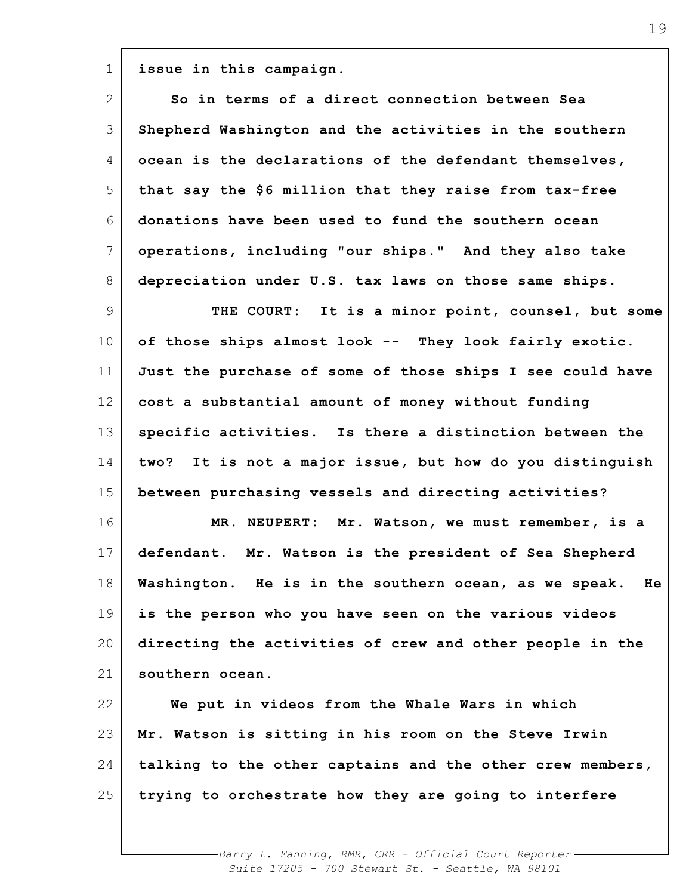**issue in this campaign.**

1

| $\mathbf{2}^{\mathsf{I}}$ | So in terms of a direct connection between Sea              |
|---------------------------|-------------------------------------------------------------|
| 3                         | Shepherd Washington and the activities in the southern      |
| 4                         | ocean is the declarations of the defendant themselves,      |
| 5                         | that say the \$6 million that they raise from tax-free      |
| 6                         | donations have been used to fund the southern ocean         |
| 7                         | operations, including "our ships." And they also take       |
| 8                         | depreciation under U.S. tax laws on those same ships.       |
| 9                         | THE COURT: It is a minor point, counsel, but some           |
| 10                        | of those ships almost look -- They look fairly exotic.      |
| 11                        | Just the purchase of some of those ships I see could have   |
| 12                        | cost a substantial amount of money without funding          |
| 13                        | specific activities. Is there a distinction between the     |
| 14                        | It is not a major issue, but how do you distinguish<br>two? |
| 15                        | between purchasing vessels and directing activities?        |
| 16                        | MR. NEUPERT: Mr. Watson, we must remember, is a             |
| 17                        | defendant. Mr. Watson is the president of Sea Shepherd      |
| 18                        | Washington. He is in the southern ocean, as we speak.<br>He |
| 19                        | is the person who you have seen on the various videos       |
| 20                        | directing the activities of crew and other people in the    |
| 21                        | southern ocean.                                             |
| 22                        | We put in videos from the Whale Wars in which               |
| 23                        | Mr. Watson is sitting in his room on the Steve Irwin        |
| 24                        | talking to the other captains and the other crew members,   |
| 25                        | trying to orchestrate how they are going to interfere       |
|                           |                                                             |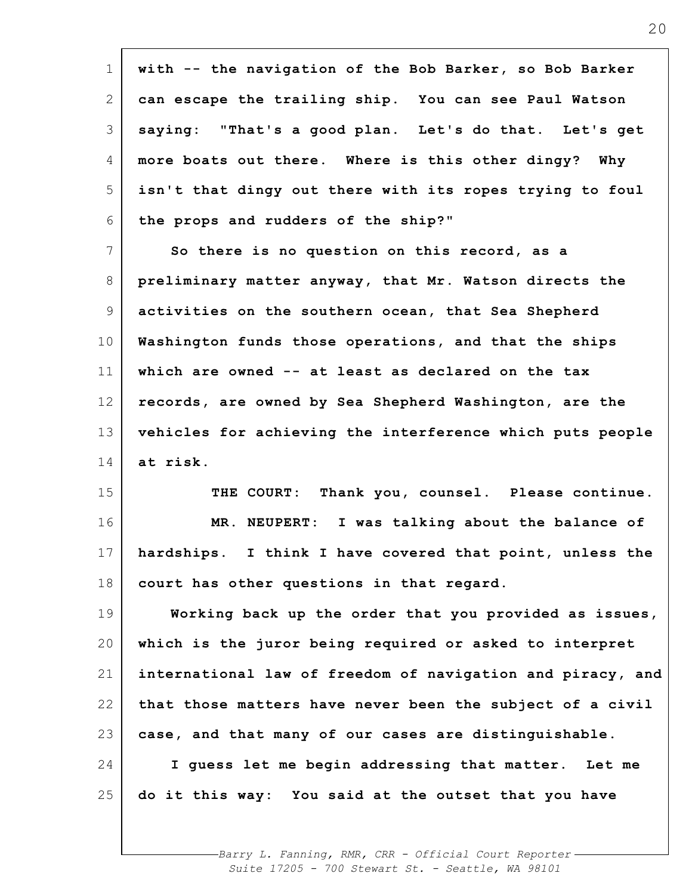| $\mathbf 1$     | with -- the navigation of the Bob Barker, so Bob Barker     |
|-----------------|-------------------------------------------------------------|
| 2               | can escape the trailing ship. You can see Paul Watson       |
| 3               | saying: "That's a good plan. Let's do that. Let's get       |
| 4               | more boats out there. Where is this other dingy? Why        |
| 5               | isn't that dingy out there with its ropes trying to foul    |
| 6               | the props and rudders of the ship?"                         |
| $7\phantom{.0}$ | So there is no question on this record, as a                |
| 8               | preliminary matter anyway, that Mr. Watson directs the      |
| 9               | activities on the southern ocean, that Sea Shepherd         |
| 10              | Washington funds those operations, and that the ships       |
| 11              | which are owned -- at least as declared on the tax          |
| 12              | records, are owned by Sea Shepherd Washington, are the      |
| 13              | vehicles for achieving the interference which puts people   |
| 14              | at risk.                                                    |
| 15              | THE COURT: Thank you, counsel. Please continue.             |
| 16              | MR. NEUPERT: I was talking about the balance of             |
| 17              | I think I have covered that point, unless the<br>hardships. |
| 18              | court has other questions in that regard.                   |
| 19              | Working back up the order that you provided as issues,      |
| 20              | which is the juror being required or asked to interpret     |
| 21              | international law of freedom of navigation and piracy, and  |
| 22              | that those matters have never been the subject of a civil   |
| 23              | case, and that many of our cases are distinguishable.       |
| 24              | I guess let me begin addressing that matter. Let me         |
| 25              | do it this way: You said at the outset that you have        |
|                 |                                                             |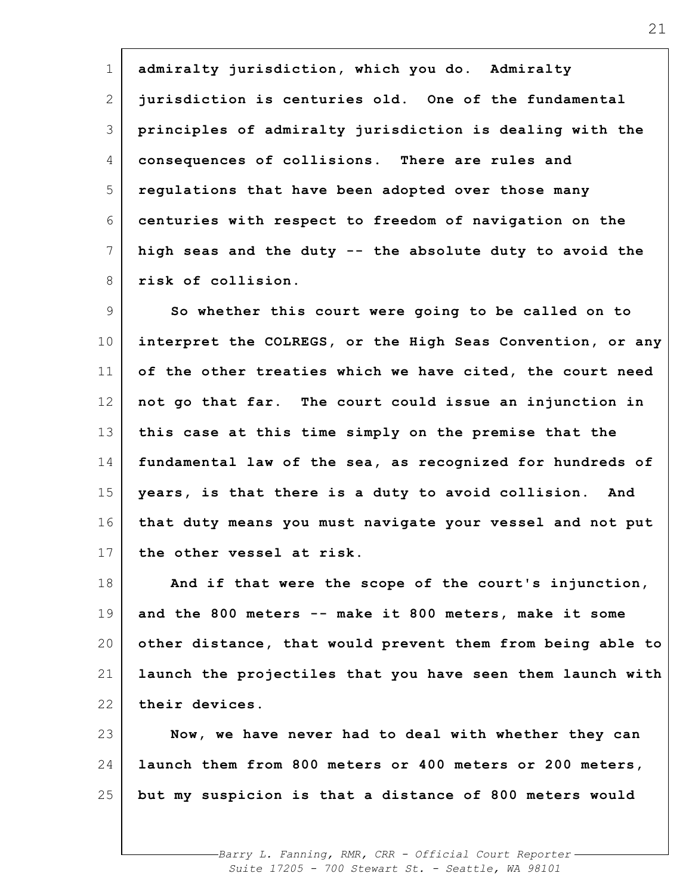1 2 3 4 5 6 7 8 **admiralty jurisdiction, which you do. Admiralty jurisdiction is centuries old. One of the fundamental principles of admiralty jurisdiction is dealing with the consequences of collisions. There are rules and regulations that have been adopted over those many centuries with respect to freedom of navigation on the high seas and the duty -- the absolute duty to avoid the risk of collision.**

9 10 11 12 13 14 15 16 17 **So whether this court were going to be called on to interpret the COLREGS, or the High Seas Convention, or any of the other treaties which we have cited, the court need not go that far. The court could issue an injunction in this case at this time simply on the premise that the fundamental law of the sea, as recognized for hundreds of years, is that there is a duty to avoid collision. And that duty means you must navigate your vessel and not put the other vessel at risk.**

18 19 20 21 22 **And if that were the scope of the court's injunction, and the 800 meters -- make it 800 meters, make it some other distance, that would prevent them from being able to launch the projectiles that you have seen them launch with their devices.**

23 24 25 **Now, we have never had to deal with whether they can launch them from 800 meters or 400 meters or 200 meters, but my suspicion is that a distance of 800 meters would**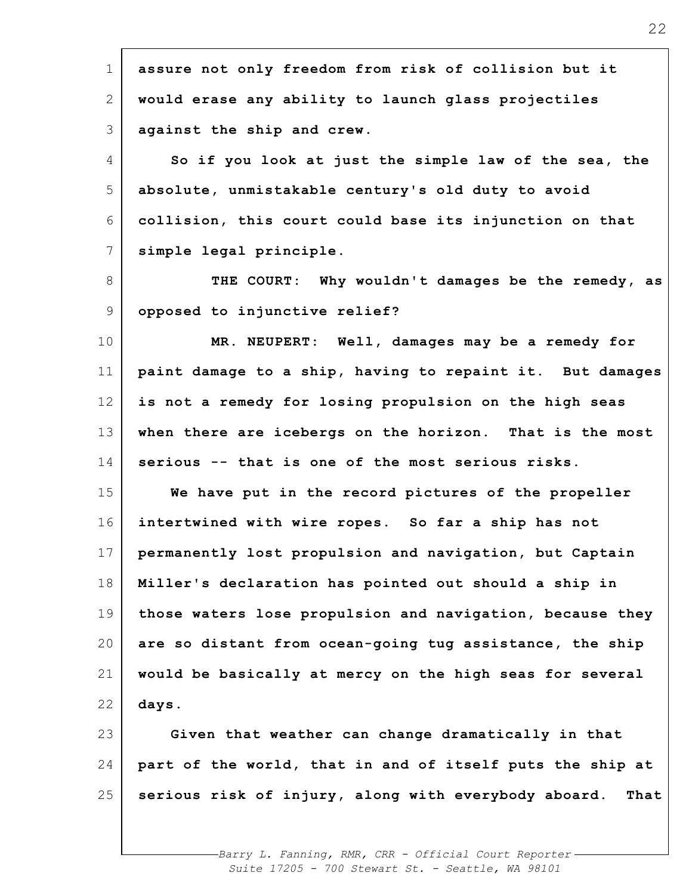| $\mathbf 1$<br>2<br>would erase any ability to launch glass projectiles<br>3<br>against the ship and crew.<br>4<br>5<br>absolute, unmistakable century's old duty to avoid<br>6<br>$7\phantom{.0}$<br>simple legal principle.<br>8<br>9<br>opposed to injunctive relief?<br>10<br>11<br>12<br>13<br>serious -- that is one of the most serious risks.<br>14<br>15<br>intertwined with wire ropes. So far a ship has not<br>16<br>17<br>18<br>19<br>20<br>21<br>22<br>days.<br>23<br>24<br>25 |                                                              |
|----------------------------------------------------------------------------------------------------------------------------------------------------------------------------------------------------------------------------------------------------------------------------------------------------------------------------------------------------------------------------------------------------------------------------------------------------------------------------------------------|--------------------------------------------------------------|
|                                                                                                                                                                                                                                                                                                                                                                                                                                                                                              | assure not only freedom from risk of collision but it        |
|                                                                                                                                                                                                                                                                                                                                                                                                                                                                                              |                                                              |
|                                                                                                                                                                                                                                                                                                                                                                                                                                                                                              |                                                              |
|                                                                                                                                                                                                                                                                                                                                                                                                                                                                                              | So if you look at just the simple law of the sea, the        |
|                                                                                                                                                                                                                                                                                                                                                                                                                                                                                              |                                                              |
|                                                                                                                                                                                                                                                                                                                                                                                                                                                                                              | collision, this court could base its injunction on that      |
|                                                                                                                                                                                                                                                                                                                                                                                                                                                                                              |                                                              |
|                                                                                                                                                                                                                                                                                                                                                                                                                                                                                              | THE COURT: Why wouldn't damages be the remedy, as            |
|                                                                                                                                                                                                                                                                                                                                                                                                                                                                                              |                                                              |
|                                                                                                                                                                                                                                                                                                                                                                                                                                                                                              | MR. NEUPERT: Well, damages may be a remedy for               |
|                                                                                                                                                                                                                                                                                                                                                                                                                                                                                              | paint damage to a ship, having to repaint it. But damages    |
|                                                                                                                                                                                                                                                                                                                                                                                                                                                                                              | is not a remedy for losing propulsion on the high seas       |
|                                                                                                                                                                                                                                                                                                                                                                                                                                                                                              | when there are icebergs on the horizon. That is the most     |
|                                                                                                                                                                                                                                                                                                                                                                                                                                                                                              |                                                              |
|                                                                                                                                                                                                                                                                                                                                                                                                                                                                                              | We have put in the record pictures of the propeller          |
|                                                                                                                                                                                                                                                                                                                                                                                                                                                                                              |                                                              |
|                                                                                                                                                                                                                                                                                                                                                                                                                                                                                              | permanently lost propulsion and navigation, but Captain      |
|                                                                                                                                                                                                                                                                                                                                                                                                                                                                                              | Miller's declaration has pointed out should a ship in        |
|                                                                                                                                                                                                                                                                                                                                                                                                                                                                                              | those waters lose propulsion and navigation, because they    |
|                                                                                                                                                                                                                                                                                                                                                                                                                                                                                              | are so distant from ocean-going tug assistance, the ship     |
|                                                                                                                                                                                                                                                                                                                                                                                                                                                                                              | would be basically at mercy on the high seas for several     |
|                                                                                                                                                                                                                                                                                                                                                                                                                                                                                              |                                                              |
|                                                                                                                                                                                                                                                                                                                                                                                                                                                                                              | Given that weather can change dramatically in that           |
|                                                                                                                                                                                                                                                                                                                                                                                                                                                                                              | part of the world, that in and of itself puts the ship at    |
|                                                                                                                                                                                                                                                                                                                                                                                                                                                                                              | serious risk of injury, along with everybody aboard.<br>That |
|                                                                                                                                                                                                                                                                                                                                                                                                                                                                                              |                                                              |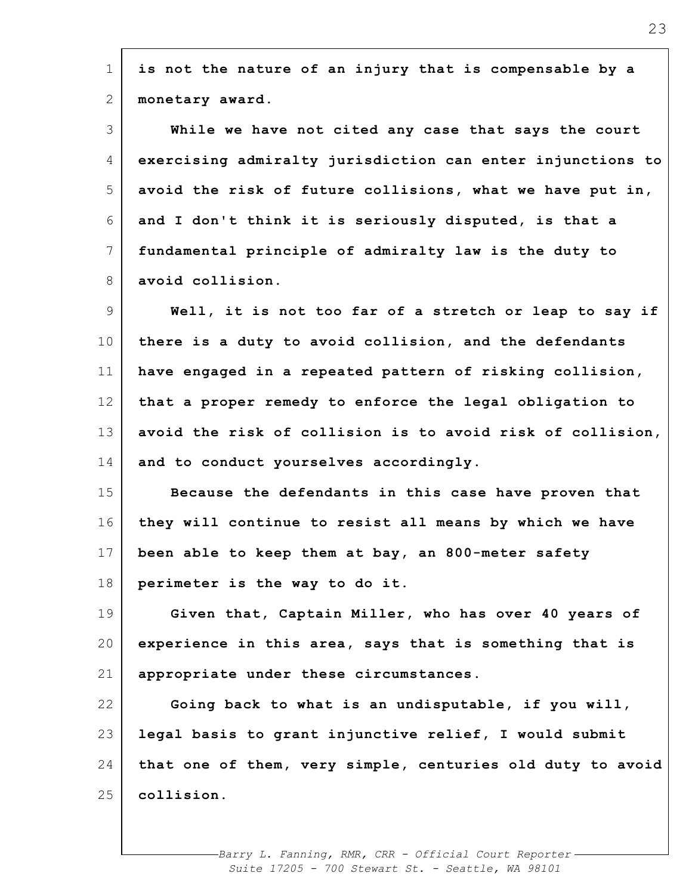| $\mathbf 1$     | is not the nature of an injury that is compensable by a    |
|-----------------|------------------------------------------------------------|
| $\mathbf{2}$    | monetary award.                                            |
| 3               | While we have not cited any case that says the court       |
| 4               | exercising admiralty jurisdiction can enter injunctions to |
| 5               | avoid the risk of future collisions, what we have put in,  |
| 6               | and I don't think it is seriously disputed, is that a      |
| 7               | fundamental principle of admiralty law is the duty to      |
| 8               | avoid collision.                                           |
| $\overline{9}$  | Well, it is not too far of a stretch or leap to say if     |
| 10 <sub>o</sub> | there is a duty to avoid collision, and the defendants     |
| 11              | have engaged in a repeated pattern of risking collision,   |
| 12              | that a proper remedy to enforce the legal obligation to    |
| 13              | avoid the risk of collision is to avoid risk of collision, |
| 14              | and to conduct yourselves accordingly.                     |
| 15              | Because the defendants in this case have proven that       |
| 16              | they will continue to resist all means by which we have    |
| 17              | been able to keep them at bay, an 800-meter safety         |
| 18              | perimeter is the way to do it.                             |
| 19              | Given that, Captain Miller, who has over 40 years of       |
| 20              | experience in this area, says that is something that is    |
| 21              | appropriate under these circumstances.                     |
| 22              | Going back to what is an undisputable, if you will,        |
| 23              | legal basis to grant injunctive relief, I would submit     |
| 24              | that one of them, very simple, centuries old duty to avoid |
| 25              | collision.                                                 |
|                 |                                                            |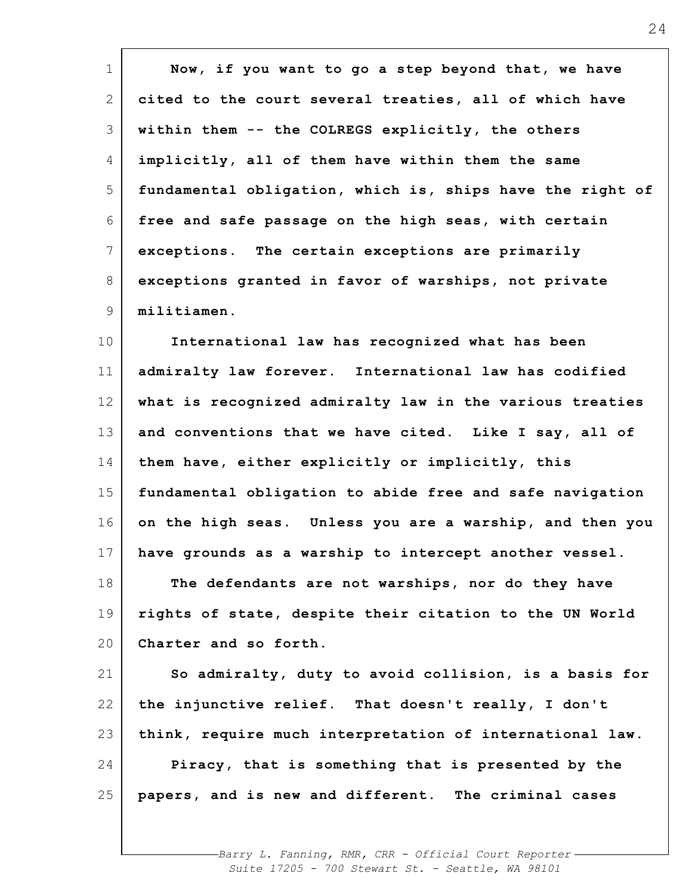| $\mathbf 1$    | Now, if you want to go a step beyond that, we have        |
|----------------|-----------------------------------------------------------|
| $\overline{2}$ | cited to the court several treaties, all of which have    |
| 3              | within them -- the COLREGS explicitly, the others         |
| 4              | implicitly, all of them have within them the same         |
| 5              | fundamental obligation, which is, ships have the right of |
| 6              | free and safe passage on the high seas, with certain      |
| $7\phantom{.}$ | exceptions. The certain exceptions are primarily          |
| 8              | exceptions granted in favor of warships, not private      |
| 9              | militiamen.                                               |
| 10             | International law has recognized what has been            |
| 11             | admiralty law forever. International law has codified     |
| 12             | what is recognized admiralty law in the various treaties  |
| 13             | and conventions that we have cited. Like I say, all of    |
| 14             | them have, either explicitly or implicitly, this          |
| 15             | fundamental obligation to abide free and safe navigation  |
| 16             | on the high seas. Unless you are a warship, and then you  |
| 17             | have grounds as a warship to intercept another vessel.    |
| 18             | The defendants are not warships, nor do they have         |
| 19             | rights of state, despite their citation to the UN World   |
| 20             | Charter and so forth.                                     |
| 21             | So admiralty, duty to avoid collision, is a basis for     |
| 22             | the injunctive relief. That doesn't really, I don't       |
| 23             | think, require much interpretation of international law.  |
| 24             | Piracy, that is something that is presented by the        |
| 25             | papers, and is new and different. The criminal cases      |
|                |                                                           |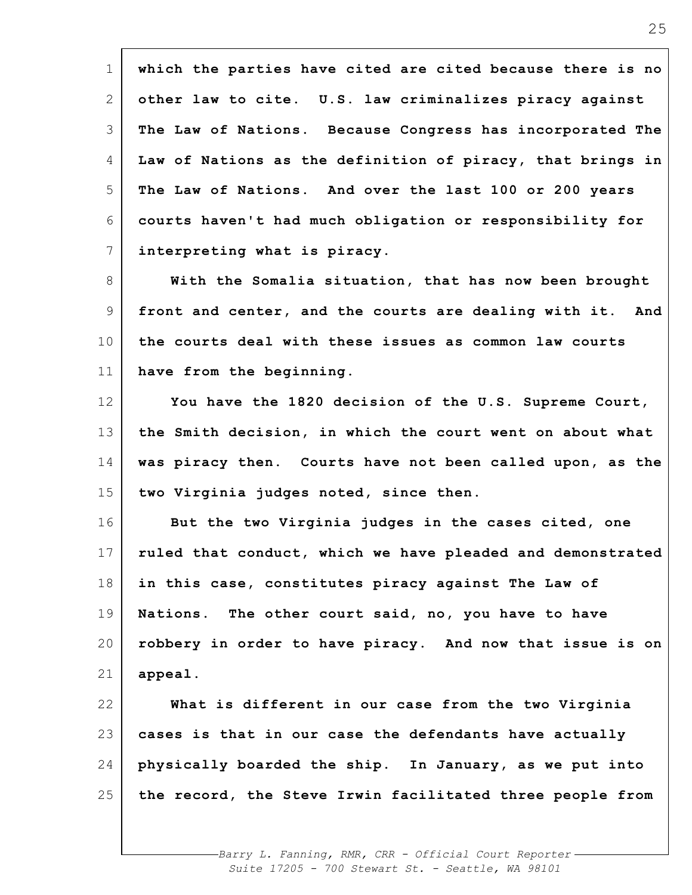1 2 3 4 5 6 7 8 9 10 11 12 13 14 15 16 17 18 19 20 21 22 23 24 25 **which the parties have cited are cited because there is no other law to cite. U.S. law criminalizes piracy against The Law of Nations. Because Congress has incorporated The Law of Nations as the definition of piracy, that brings in The Law of Nations. And over the last 100 or 200 years courts haven't had much obligation or responsibility for interpreting what is piracy. With the Somalia situation, that has now been brought front and center, and the courts are dealing with it. And the courts deal with these issues as common law courts have from the beginning. You have the 1820 decision of the U.S. Supreme Court, the Smith decision, in which the court went on about what was piracy then. Courts have not been called upon, as the two Virginia judges noted, since then. But the two Virginia judges in the cases cited, one ruled that conduct, which we have pleaded and demonstrated in this case, constitutes piracy against The Law of Nations. The other court said, no, you have to have robbery in order to have piracy. And now that issue is on appeal. What is different in our case from the two Virginia cases is that in our case the defendants have actually physically boarded the ship. In January, as we put into the record, the Steve Irwin facilitated three people from**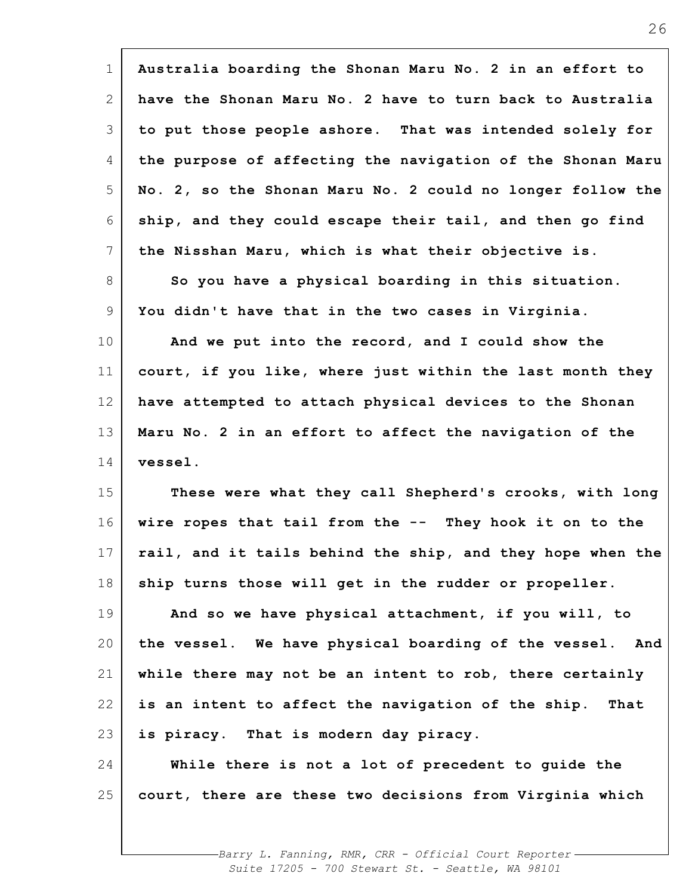| $\mathbf 1$ | Australia boarding the Shonan Maru No. 2 in an effort to   |
|-------------|------------------------------------------------------------|
| 2           | have the Shonan Maru No. 2 have to turn back to Australia  |
| 3           | to put those people ashore. That was intended solely for   |
| 4           | the purpose of affecting the navigation of the Shonan Maru |
| 5           | No. 2, so the Shonan Maru No. 2 could no longer follow the |
| 6           | ship, and they could escape their tail, and then go find   |
| 7           | the Nisshan Maru, which is what their objective is.        |
| 8           | So you have a physical boarding in this situation.         |
| 9           | You didn't have that in the two cases in Virginia.         |
| 10          | And we put into the record, and I could show the           |
| 11          | court, if you like, where just within the last month they  |
| 12          | have attempted to attach physical devices to the Shonan    |
| 13          | Maru No. 2 in an effort to affect the navigation of the    |
| 14          | vessel.                                                    |
| 15          | These were what they call Shepherd's crooks, with long     |
| 16          | wire ropes that tail from the -- They hook it on to the    |
| 17          | rail, and it tails behind the ship, and they hope when the |
| 18          | ship turns those will get in the rudder or propeller.      |
| 19          | And so we have physical attachment, if you will, to        |
| 20          | the vessel. We have physical boarding of the vessel. And   |
| 21          | while there may not be an intent to rob, there certainly   |
| 22          | is an intent to affect the navigation of the ship. That    |
| 23          | is piracy. That is modern day piracy.                      |
| 24          | While there is not a lot of precedent to guide the         |
| 25          | court, there are these two decisions from Virginia which   |
|             |                                                            |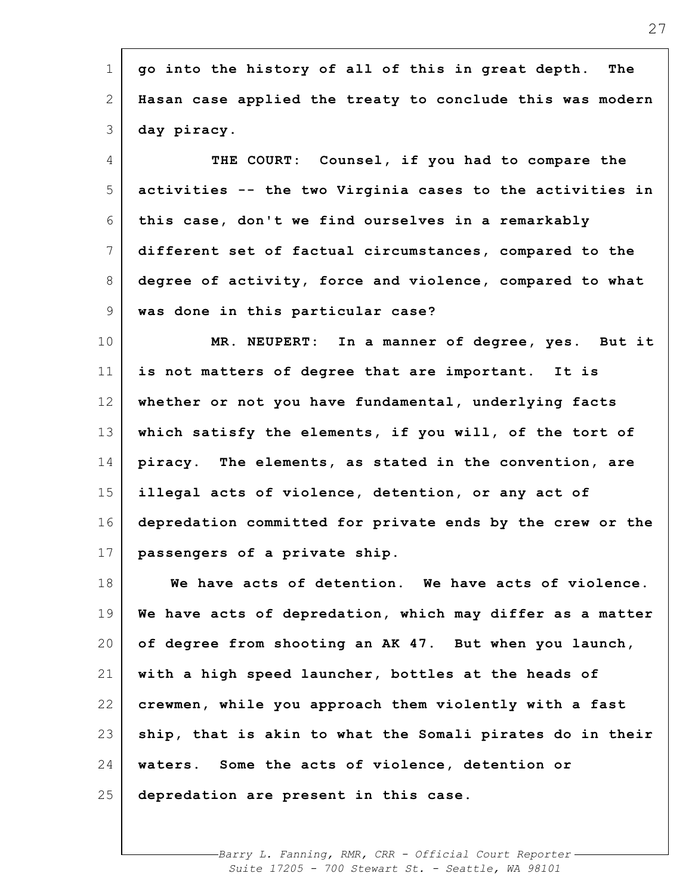| $\overline{2}$<br>3 | Hasan case applied the treaty to conclude this was modern<br>day piracy. |
|---------------------|--------------------------------------------------------------------------|
|                     |                                                                          |
|                     |                                                                          |
| $\overline{4}$      | THE COURT: Counsel, if you had to compare the                            |
| 5                   | activities -- the two Virginia cases to the activities in                |
| 6                   | this case, don't we find ourselves in a remarkably                       |
| $\overline{7}$      | different set of factual circumstances, compared to the                  |
| 8                   | degree of activity, force and violence, compared to what                 |
| 9                   | was done in this particular case?                                        |
| 10                  | MR. NEUPERT: In a manner of degree, yes. But it                          |
| 11                  | is not matters of degree that are important. It is                       |
| 12                  | whether or not you have fundamental, underlying facts                    |
| 13                  | which satisfy the elements, if you will, of the tort of                  |
| 14                  | piracy. The elements, as stated in the convention, are                   |
| 15                  | illegal acts of violence, detention, or any act of                       |
| 16                  | depredation committed for private ends by the crew or the                |
| 17                  | passengers of a private ship.                                            |
| 18                  | We have acts of detention. We have acts of violence.                     |
| 19                  | We have acts of depredation, which may differ as a matter                |
| 20                  | of degree from shooting an AK 47. But when you launch,                   |
| 21                  | with a high speed launcher, bottles at the heads of                      |
| 22                  | crewmen, while you approach them violently with a fast                   |
| 23                  | ship, that is akin to what the Somali pirates do in their                |
| 24                  | waters. Some the acts of violence, detention or                          |
| 25                  | depredation are present in this case.                                    |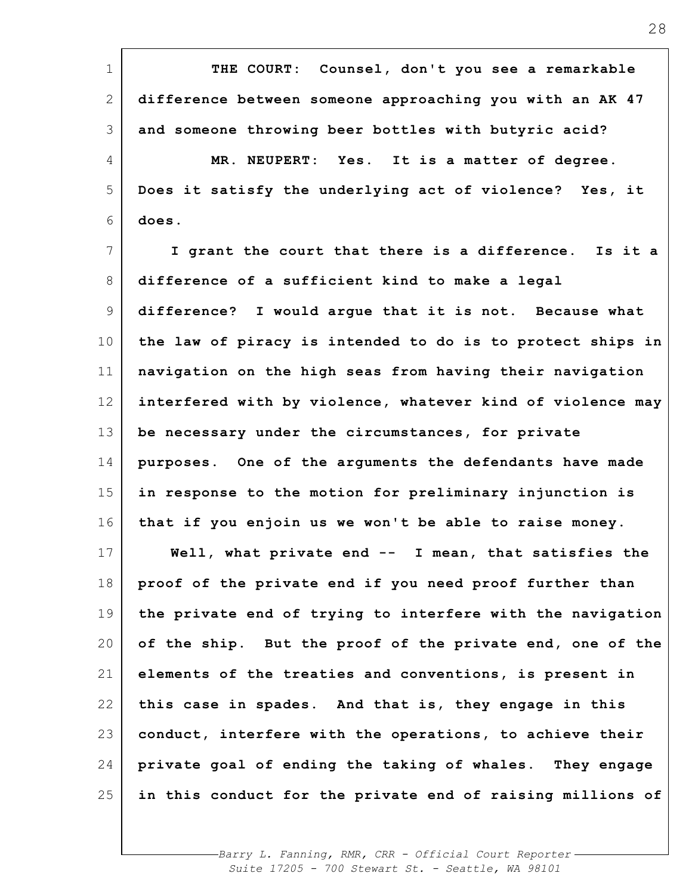| $\mathbf{1}$ | THE COURT:<br>Counsel, don't you see a remarkable          |
|--------------|------------------------------------------------------------|
| 2            | difference between someone approaching you with an AK 47   |
| 3            | and someone throwing beer bottles with butyric acid?       |
| 4            | MR. NEUPERT: Yes. It is a matter of degree.                |
| 5            | Does it satisfy the underlying act of violence? Yes, it    |
| 6            | does.                                                      |
| 7            | I grant the court that there is a difference. Is it a      |
| 8            | difference of a sufficient kind to make a legal            |
| 9            | difference? I would arque that it is not. Because what     |
| 10           | the law of piracy is intended to do is to protect ships in |
| 11           | navigation on the high seas from having their navigation   |
| 12           | interfered with by violence, whatever kind of violence may |
| 13           | be necessary under the circumstances, for private          |
| 14           | purposes. One of the arguments the defendants have made    |
| 15           | in response to the motion for preliminary injunction is    |
| 16           | that if you enjoin us we won't be able to raise money.     |
| 17           | Well, what private end -- I mean, that satisfies the       |
| 18           | proof of the private end if you need proof further than    |
| 19           | the private end of trying to interfere with the navigation |
| 20           | of the ship. But the proof of the private end, one of the  |
| 21           | elements of the treaties and conventions, is present in    |
| 22           | this case in spades. And that is, they engage in this      |
| 23           | conduct, interfere with the operations, to achieve their   |
| 24           | private goal of ending the taking of whales. They engage   |
| 25           | in this conduct for the private end of raising millions of |
|              |                                                            |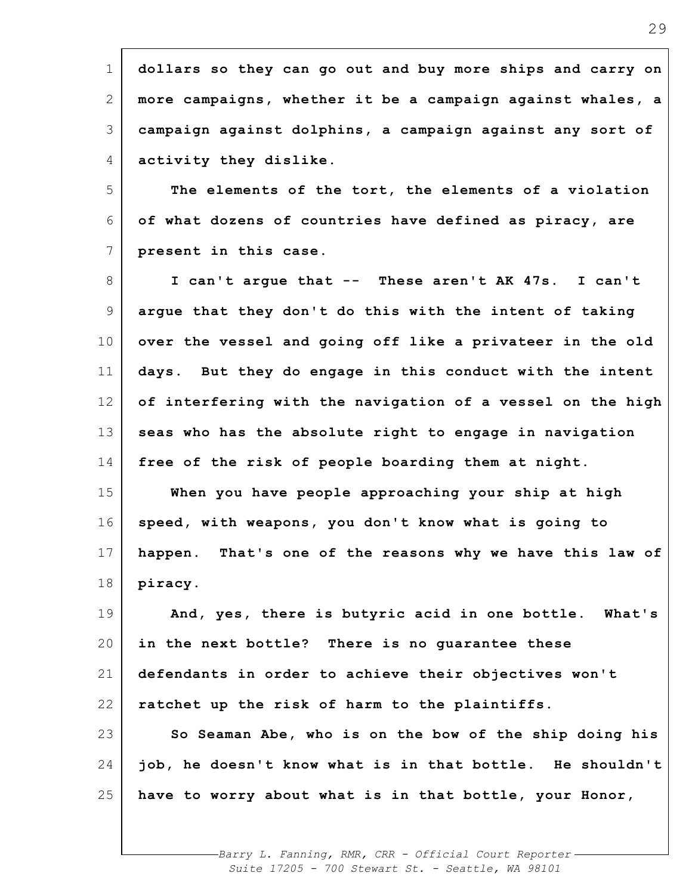1 2 3 4 **dollars so they can go out and buy more ships and carry on more campaigns, whether it be a campaign against whales, a campaign against dolphins, a campaign against any sort of activity they dislike.**

5 6 7 **The elements of the tort, the elements of a violation of what dozens of countries have defined as piracy, are present in this case.**

8 9 10 11 12 13 14 15 16 17 18 **I can't argue that -- These aren't AK 47s. I can't argue that they don't do this with the intent of taking over the vessel and going off like a privateer in the old days. But they do engage in this conduct with the intent of interfering with the navigation of a vessel on the high seas who has the absolute right to engage in navigation free of the risk of people boarding them at night. When you have people approaching your ship at high speed, with weapons, you don't know what is going to happen. That's one of the reasons why we have this law of piracy.**

19 20 21 22 23 24 25 **And, yes, there is butyric acid in one bottle. What's in the next bottle? There is no guarantee these defendants in order to achieve their objectives won't ratchet up the risk of harm to the plaintiffs. So Seaman Abe, who is on the bow of the ship doing his job, he doesn't know what is in that bottle. He shouldn't have to worry about what is in that bottle, your Honor,**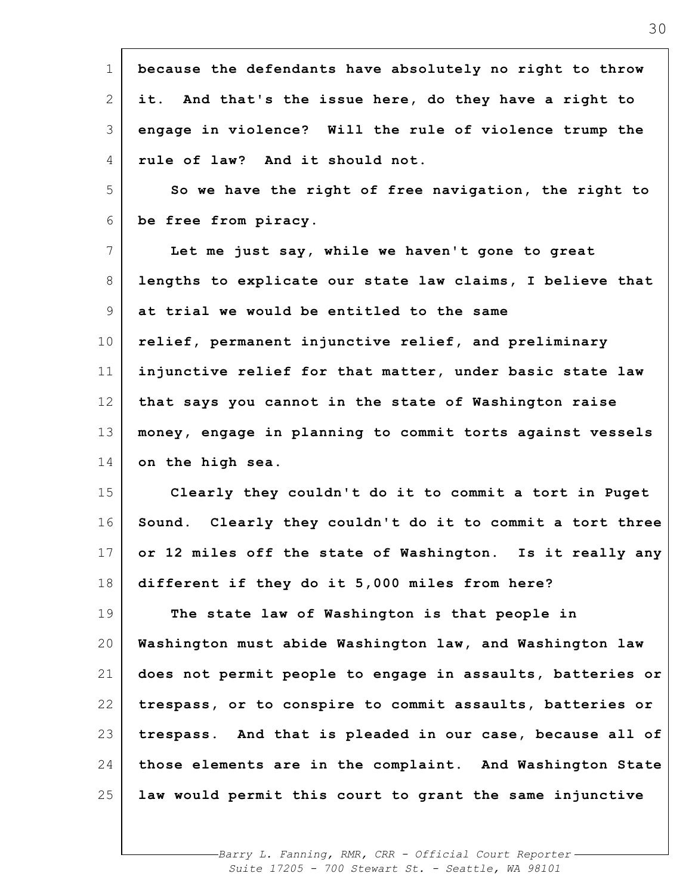| $\mathbf 1$     | because the defendants have absolutely no right to throw     |
|-----------------|--------------------------------------------------------------|
| 2               | it. And that's the issue here, do they have a right to       |
| 3               | engage in violence? Will the rule of violence trump the      |
| 4               | rule of law? And it should not.                              |
| 5               | So we have the right of free navigation, the right to        |
| 6               | be free from piracy.                                         |
| 7               | Let me just say, while we haven't gone to great              |
| 8               | lengths to explicate our state law claims, I believe that    |
| 9               | at trial we would be entitled to the same                    |
| 10 <sub>o</sub> | relief, permanent injunctive relief, and preliminary         |
| 11              | injunctive relief for that matter, under basic state law     |
| 12              | that says you cannot in the state of Washington raise        |
| 13              | money, engage in planning to commit torts against vessels    |
| 14              | on the high sea.                                             |
| 15              | Clearly they couldn't do it to commit a tort in Puget        |
| 16              | Sound. Clearly they couldn't do it to commit a tort three    |
| 17              | or 12 miles off the state of Washington.<br>Is it really any |
| 18              | different if they do it 5,000 miles from here?               |
| 19              | The state law of Washington is that people in                |
| 20              | Washington must abide Washington law, and Washington law     |
| 21              | does not permit people to engage in assaults, batteries or   |
| 22              | trespass, or to conspire to commit assaults, batteries or    |
| 23              | trespass. And that is pleaded in our case, because all of    |
| 24              | those elements are in the complaint. And Washington State    |
| 25              | law would permit this court to grant the same injunctive     |
|                 |                                                              |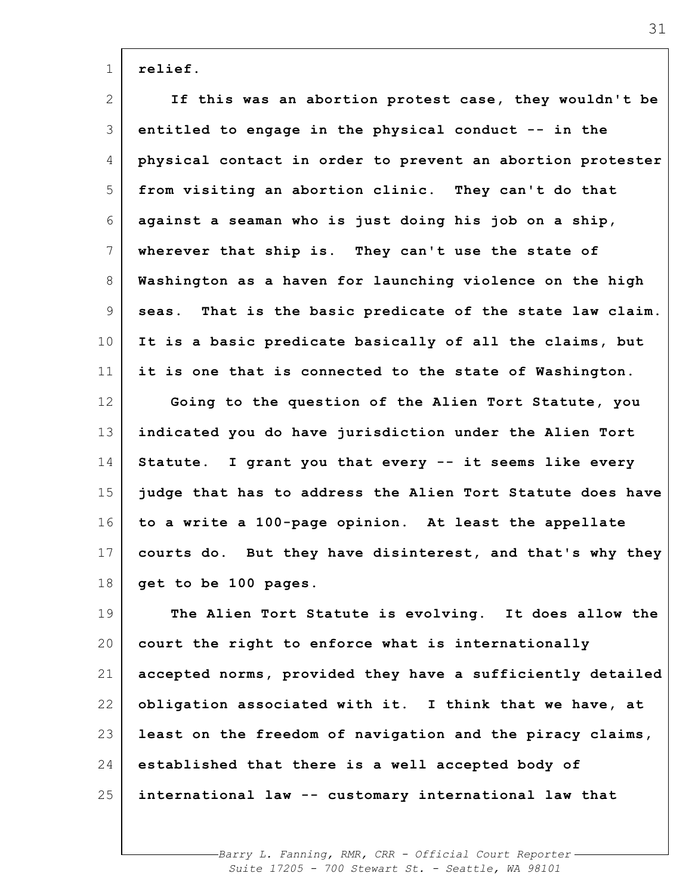| $\mathbf 1$     | relief.                                                      |
|-----------------|--------------------------------------------------------------|
| 2               | If this was an abortion protest case, they wouldn't be       |
| 3               | entitled to engage in the physical conduct -- in the         |
| 4               | physical contact in order to prevent an abortion protester   |
| 5               | from visiting an abortion clinic. They can't do that         |
| 6               | against a seaman who is just doing his job on a ship,        |
| 7               | wherever that ship is. They can't use the state of           |
| 8               | Washington as a haven for launching violence on the high     |
| 9               | That is the basic predicate of the state law claim.<br>seas. |
| 10 <sub>o</sub> | It is a basic predicate basically of all the claims, but     |
| 11              | it is one that is connected to the state of Washington.      |
| 12              | Going to the question of the Alien Tort Statute, you         |
| 13              | indicated you do have jurisdiction under the Alien Tort      |
| 14              | Statute. I grant you that every -- it seems like every       |
| 15              | judge that has to address the Alien Tort Statute does have   |
| 16              | to a write a 100-page opinion. At least the appellate        |
| 17              | courts do. But they have disinterest, and that's why they    |
| 18              | get to be 100 pages.                                         |
| 19              | The Alien Tort Statute is evolving. It does allow the        |
| 20              | court the right to enforce what is internationally           |
| 21              | accepted norms, provided they have a sufficiently detailed   |
| 22              | obligation associated with it. I think that we have, at      |
| 23              | least on the freedom of navigation and the piracy claims,    |
| 24              | established that there is a well accepted body of            |
| 25              | international law -- customary international law that        |
|                 |                                                              |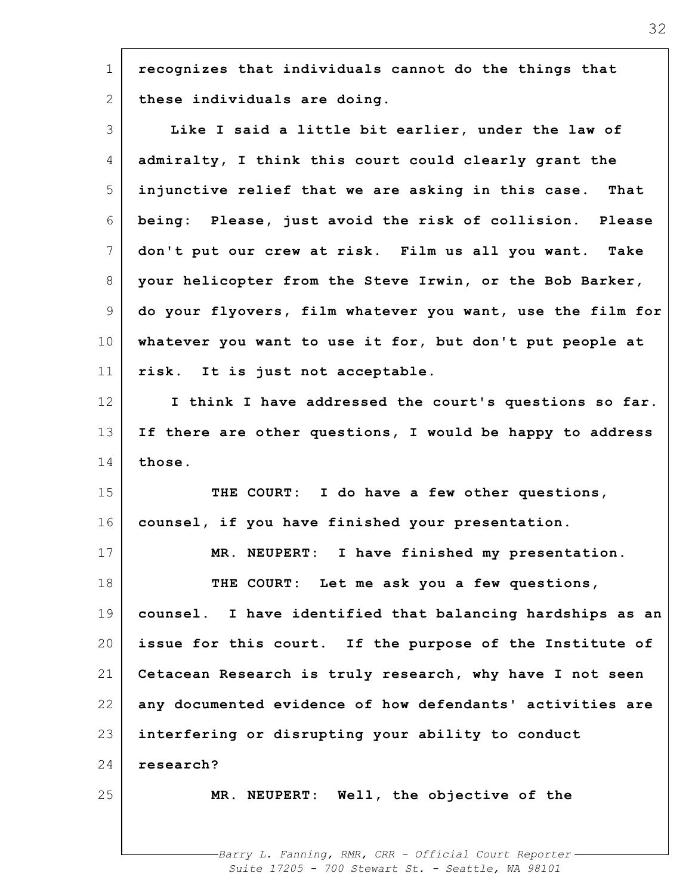1 2 3 4 5 6 7 8 9 10 11 12 13 14 15 16 17 18 19 20 21 22 23 24 25 **recognizes that individuals cannot do the things that these individuals are doing. Like I said a little bit earlier, under the law of admiralty, I think this court could clearly grant the injunctive relief that we are asking in this case. That being: Please, just avoid the risk of collision. Please don't put our crew at risk. Film us all you want. Take your helicopter from the Steve Irwin, or the Bob Barker, do your flyovers, film whatever you want, use the film for whatever you want to use it for, but don't put people at risk. It is just not acceptable. I think I have addressed the court's questions so far. If there are other questions, I would be happy to address those. THE COURT: I do have a few other questions, counsel, if you have finished your presentation. MR. NEUPERT: I have finished my presentation. THE COURT: Let me ask you a few questions, counsel. I have identified that balancing hardships as an issue for this court. If the purpose of the Institute of Cetacean Research is truly research, why have I not seen any documented evidence of how defendants' activities are interfering or disrupting your ability to conduct research? MR. NEUPERT: Well, the objective of the**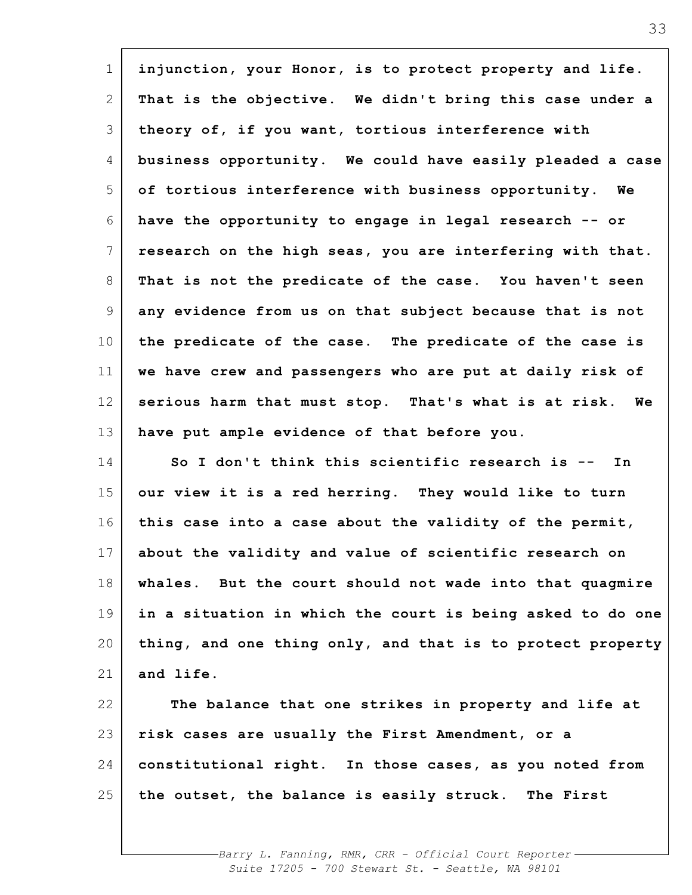| $\mathbf 1$     | injunction, your Honor, is to protect property and life.   |
|-----------------|------------------------------------------------------------|
| 2               | That is the objective. We didn't bring this case under a   |
| 3               | theory of, if you want, tortious interference with         |
| 4               | business opportunity. We could have easily pleaded a case  |
| 5               | of tortious interference with business opportunity. We     |
| 6               | have the opportunity to engage in legal research -- or     |
| 7               | research on the high seas, you are interfering with that.  |
| 8               | That is not the predicate of the case. You haven't seen    |
| 9               | any evidence from us on that subject because that is not   |
| 10              | the predicate of the case. The predicate of the case is    |
| 11              | we have crew and passengers who are put at daily risk of   |
| 12              | serious harm that must stop. That's what is at risk. We    |
| 13              | have put ample evidence of that before you.                |
| 14              | So I don't think this scientific research is --<br>In      |
| 15              | our view it is a red herring. They would like to turn      |
| 16              | this case into a case about the validity of the permit,    |
| 17 <sup>1</sup> | about the validity and value of scientific research on     |
| 18              | whales. But the court should not wade into that quagmire   |
| 19              | in a situation in which the court is being asked to do one |
| 20              | thing, and one thing only, and that is to protect property |
| 21              | and life.                                                  |
| 22              | The balance that one strikes in property and life at       |
| 23              | risk cases are usually the First Amendment, or a           |
| 24              | constitutional right. In those cases, as you noted from    |
| 25              | the outset, the balance is easily struck. The First        |
|                 |                                                            |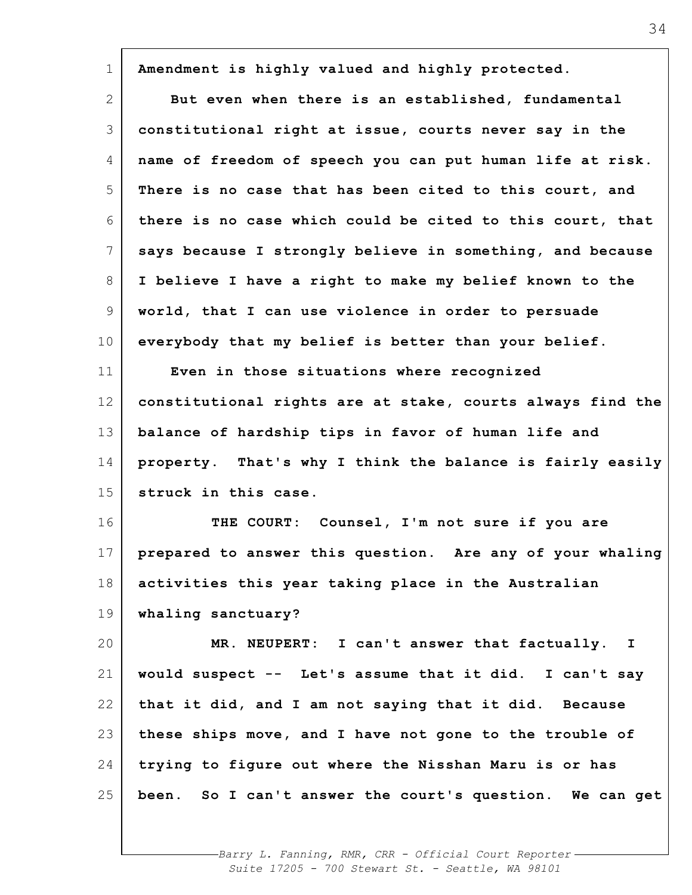| Amendment is highly valued and highly protected.<br>But even when there is an established, fundamental<br>constitutional right at issue, courts never say in the<br>name of freedom of speech you can put human life at risk.<br>There is no case that has been cited to this court, and<br>there is no case which could be cited to this court, that<br>says because I strongly believe in something, and because<br>I believe I have a right to make my belief known to the |
|-------------------------------------------------------------------------------------------------------------------------------------------------------------------------------------------------------------------------------------------------------------------------------------------------------------------------------------------------------------------------------------------------------------------------------------------------------------------------------|
|                                                                                                                                                                                                                                                                                                                                                                                                                                                                               |
|                                                                                                                                                                                                                                                                                                                                                                                                                                                                               |
|                                                                                                                                                                                                                                                                                                                                                                                                                                                                               |
|                                                                                                                                                                                                                                                                                                                                                                                                                                                                               |
|                                                                                                                                                                                                                                                                                                                                                                                                                                                                               |
|                                                                                                                                                                                                                                                                                                                                                                                                                                                                               |
|                                                                                                                                                                                                                                                                                                                                                                                                                                                                               |
|                                                                                                                                                                                                                                                                                                                                                                                                                                                                               |
| world, that I can use violence in order to persuade                                                                                                                                                                                                                                                                                                                                                                                                                           |
| everybody that my belief is better than your belief.                                                                                                                                                                                                                                                                                                                                                                                                                          |
| Even in those situations where recognized                                                                                                                                                                                                                                                                                                                                                                                                                                     |
| constitutional rights are at stake, courts always find the                                                                                                                                                                                                                                                                                                                                                                                                                    |
| balance of hardship tips in favor of human life and                                                                                                                                                                                                                                                                                                                                                                                                                           |
| property. That's why I think the balance is fairly easily                                                                                                                                                                                                                                                                                                                                                                                                                     |
| struck in this case.                                                                                                                                                                                                                                                                                                                                                                                                                                                          |
| THE COURT: Counsel, I'm not sure if you are                                                                                                                                                                                                                                                                                                                                                                                                                                   |
| prepared to answer this question. Are any of your whaling                                                                                                                                                                                                                                                                                                                                                                                                                     |
| activities this year taking place in the Australian                                                                                                                                                                                                                                                                                                                                                                                                                           |
| whaling sanctuary?                                                                                                                                                                                                                                                                                                                                                                                                                                                            |
| MR. NEUPERT: I can't answer that factually. I                                                                                                                                                                                                                                                                                                                                                                                                                                 |
|                                                                                                                                                                                                                                                                                                                                                                                                                                                                               |
| would suspect -- Let's assume that it did. I can't say                                                                                                                                                                                                                                                                                                                                                                                                                        |
| that it did, and I am not saying that it did. Because                                                                                                                                                                                                                                                                                                                                                                                                                         |
| these ships move, and I have not gone to the trouble of                                                                                                                                                                                                                                                                                                                                                                                                                       |
| trying to figure out where the Nisshan Maru is or has                                                                                                                                                                                                                                                                                                                                                                                                                         |
|                                                                                                                                                                                                                                                                                                                                                                                                                                                                               |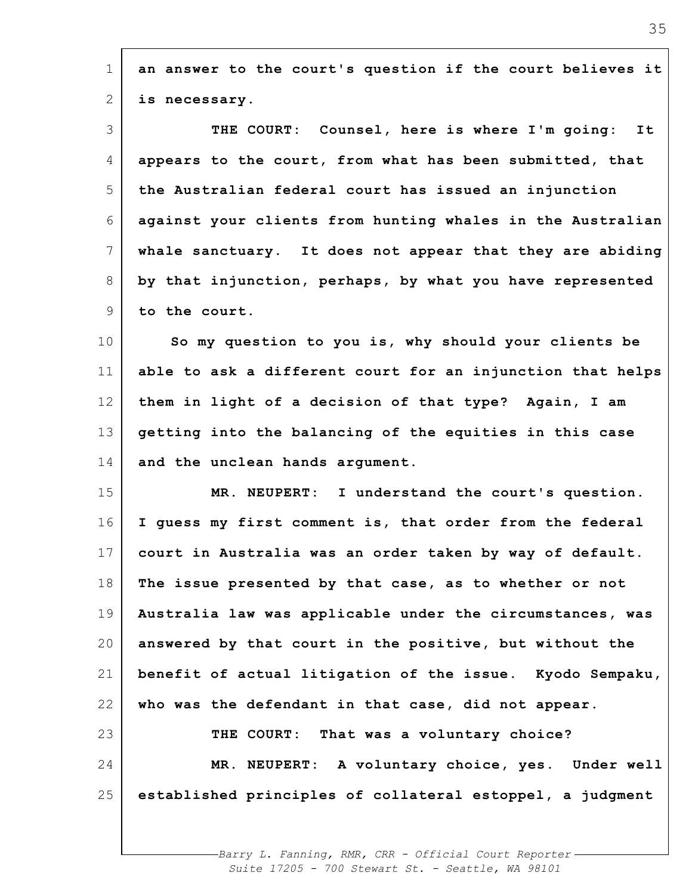| $\mathbf 1$     | an answer to the court's question if the court believes it |
|-----------------|------------------------------------------------------------|
| 2               | is necessary.                                              |
| 3               | THE COURT: Counsel, here is where I'm going:<br>It         |
| 4               | appears to the court, from what has been submitted, that   |
| 5               | the Australian federal court has issued an injunction      |
| 6               | against your clients from hunting whales in the Australian |
| 7               | whale sanctuary. It does not appear that they are abiding  |
| 8               | by that injunction, perhaps, by what you have represented  |
| 9               | to the court.                                              |
| 10 <sub>o</sub> | So my question to you is, why should your clients be       |
| 11              | able to ask a different court for an injunction that helps |
| 12              | them in light of a decision of that type? Again, I am      |
| 13              | getting into the balancing of the equities in this case    |
| 14              | and the unclean hands argument.                            |
| 15              | I understand the court's question.<br>MR. NEUPERT:         |
| 16              | I guess my first comment is, that order from the federal   |
| 17              | court in Australia was an order taken by way of default.   |
| 18              | The issue presented by that case, as to whether or not     |
| 19              | Australia law was applicable under the circumstances, was  |
| 20              | answered by that court in the positive, but without the    |
| 21              | benefit of actual litigation of the issue. Kyodo Sempaku,  |
| 22              | who was the defendant in that case, did not appear.        |
| 23              | THE COURT: That was a voluntary choice?                    |
| 24              | MR. NEUPERT: A voluntary choice, yes. Under well           |
| 25              | established principles of collateral estoppel, a judgment  |
|                 |                                                            |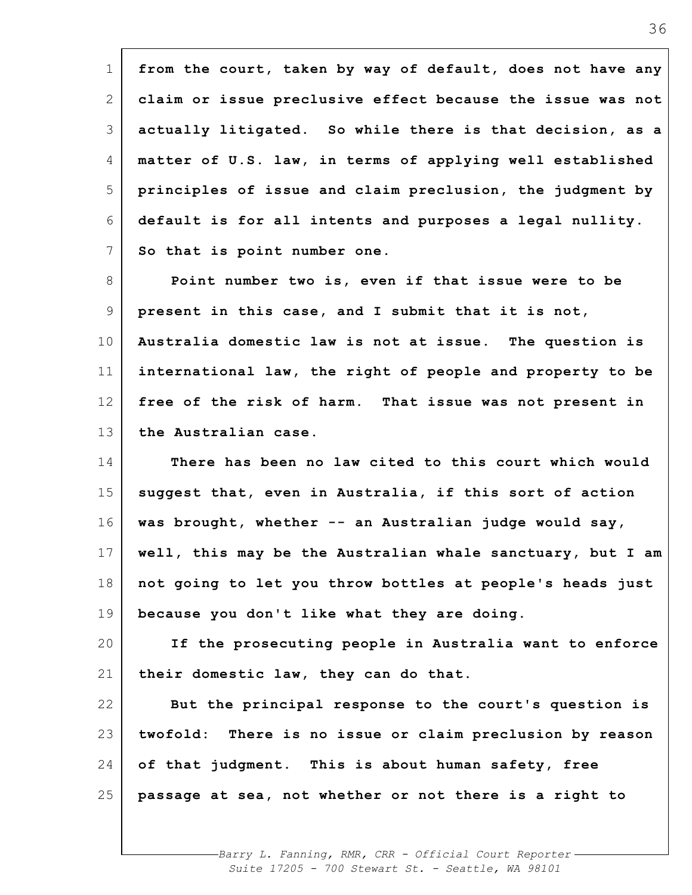| $\mathbf 1$    | from the court, taken by way of default, does not have any |
|----------------|------------------------------------------------------------|
| 2              | claim or issue preclusive effect because the issue was not |
| 3              | actually litigated. So while there is that decision, as a  |
| 4              | matter of U.S. law, in terms of applying well established  |
| 5              | principles of issue and claim preclusion, the judgment by  |
| 6              | default is for all intents and purposes a legal nullity.   |
| $7\phantom{.}$ | So that is point number one.                               |
| 8              | Point number two is, even if that issue were to be         |
| 9              | present in this case, and I submit that it is not,         |
| 10             | Australia domestic law is not at issue. The question is    |
| 11             | international law, the right of people and property to be  |
| 12             | free of the risk of harm. That issue was not present in    |
| 13             | the Australian case.                                       |
| 14             | There has been no law cited to this court which would      |
| 15             | suggest that, even in Australia, if this sort of action    |
| 16             | was brought, whether -- an Australian judge would say,     |
| $17 \mid$      | well, this may be the Australian whale sanctuary, but I am |
| 18             | not going to let you throw bottles at people's heads just  |
| 19             | because you don't like what they are doing.                |
| 20             | If the prosecuting people in Australia want to enforce     |
| 21             | their domestic law, they can do that.                      |
| 22             | But the principal response to the court's question is      |
| 23             | twofold: There is no issue or claim preclusion by reason   |
| 24             | of that judgment. This is about human safety, free         |
| 25             | passage at sea, not whether or not there is a right to     |
|                |                                                            |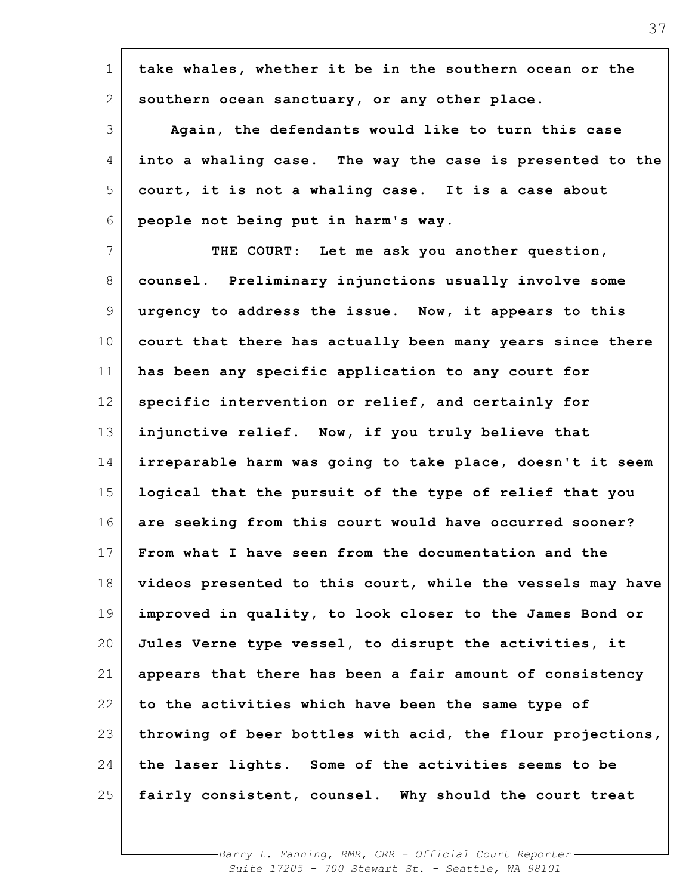| $\mathbf 1$    | take whales, whether it be in the southern ocean or the    |
|----------------|------------------------------------------------------------|
| $\mathbf{2}$   | southern ocean sanctuary, or any other place.              |
| 3              | Again, the defendants would like to turn this case         |
| 4              | into a whaling case. The way the case is presented to the  |
| 5              | court, it is not a whaling case. It is a case about        |
| 6              | people not being put in harm's way.                        |
| $\overline{7}$ | THE COURT: Let me ask you another question,                |
| 8              | counsel. Preliminary injunctions usually involve some      |
| 9              | urgency to address the issue. Now, it appears to this      |
| 10             | court that there has actually been many years since there  |
| 11             | has been any specific application to any court for         |
| 12             | specific intervention or relief, and certainly for         |
| 13             | injunctive relief. Now, if you truly believe that          |
| 14             | irreparable harm was going to take place, doesn't it seem  |
| 15             | logical that the pursuit of the type of relief that you    |
| 16             | are seeking from this court would have occurred sooner?    |
| 17             | From what I have seen from the documentation and the       |
| 18             | videos presented to this court, while the vessels may have |
| 19             | improved in quality, to look closer to the James Bond or   |
| 20             | Jules Verne type vessel, to disrupt the activities, it     |
| 21             | appears that there has been a fair amount of consistency   |
| 22             | to the activities which have been the same type of         |
| 23             | throwing of beer bottles with acid, the flour projections, |
| 24             | the laser lights. Some of the activities seems to be       |
| 25             | fairly consistent, counsel. Why should the court treat     |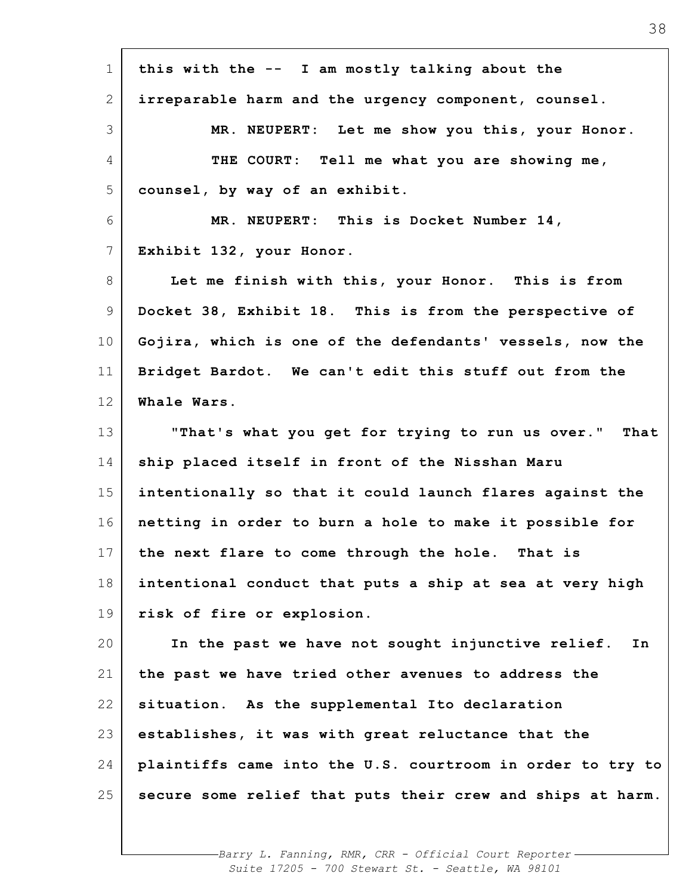| $\mathbf 1$     | this with the -- I am mostly talking about the             |
|-----------------|------------------------------------------------------------|
| 2               | irreparable harm and the urgency component, counsel.       |
| 3               | MR. NEUPERT: Let me show you this, your Honor.             |
| 4               | THE COURT: Tell me what you are showing me,                |
| 5               | counsel, by way of an exhibit.                             |
| 6               | MR. NEUPERT: This is Docket Number 14,                     |
| $7\phantom{.0}$ | Exhibit 132, your Honor.                                   |
| 8               | Let me finish with this, your Honor. This is from          |
| 9               | Docket 38, Exhibit 18. This is from the perspective of     |
| 10 <sub>o</sub> | Gojira, which is one of the defendants' vessels, now the   |
| 11              | Bridget Bardot. We can't edit this stuff out from the      |
| 12              | Whale Wars.                                                |
| 13              | "That's what you get for trying to run us over." That      |
| 14              | ship placed itself in front of the Nisshan Maru            |
| 15              | intentionally so that it could launch flares against the   |
| 16              | netting in order to burn a hole to make it possible for    |
| 17              | the next flare to come through the hole.<br>That is        |
| 18              | intentional conduct that puts a ship at sea at very high   |
| 19              | risk of fire or explosion.                                 |
| 20              | In the past we have not sought injunctive relief.<br>In    |
| 21              | the past we have tried other avenues to address the        |
| 22              | situation. As the supplemental Ito declaration             |
| 23              | establishes, it was with great reluctance that the         |
| 24              | plaintiffs came into the U.S. courtroom in order to try to |
| 25              | secure some relief that puts their crew and ships at harm. |
|                 |                                                            |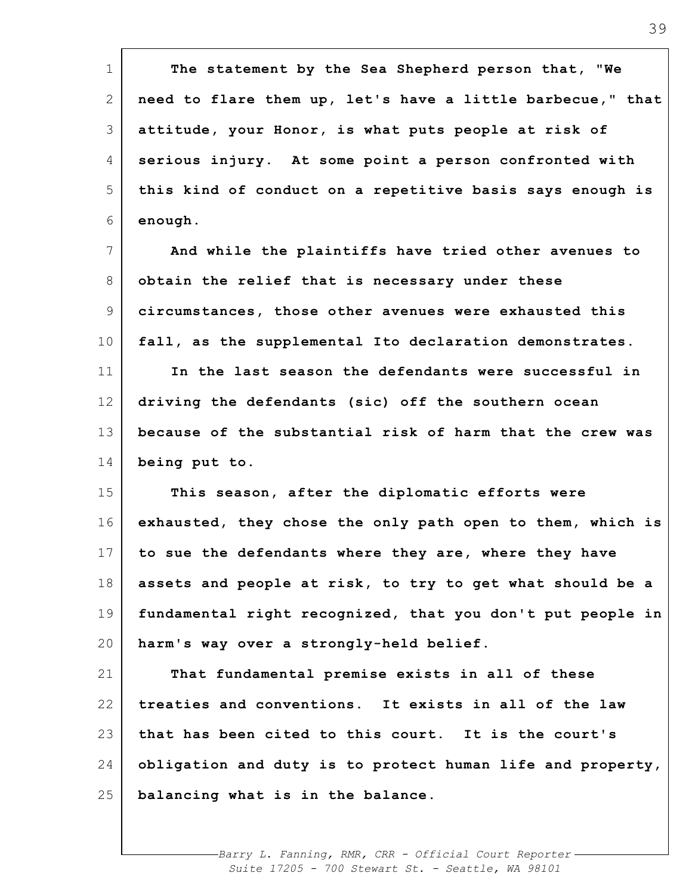1 2 3 4 5 6 7 8 9 10 11 12 13 14 15 16 17 18 19 20 21 22 23 24 25 **The statement by the Sea Shepherd person that, "We need to flare them up, let's have a little barbecue," that attitude, your Honor, is what puts people at risk of serious injury. At some point a person confronted with this kind of conduct on a repetitive basis says enough is enough. And while the plaintiffs have tried other avenues to obtain the relief that is necessary under these circumstances, those other avenues were exhausted this fall, as the supplemental Ito declaration demonstrates. In the last season the defendants were successful in driving the defendants (sic) off the southern ocean because of the substantial risk of harm that the crew was being put to. This season, after the diplomatic efforts were exhausted, they chose the only path open to them, which is to sue the defendants where they are, where they have assets and people at risk, to try to get what should be a fundamental right recognized, that you don't put people in harm's way over a strongly-held belief. That fundamental premise exists in all of these treaties and conventions. It exists in all of the law that has been cited to this court. It is the court's obligation and duty is to protect human life and property, balancing what is in the balance.**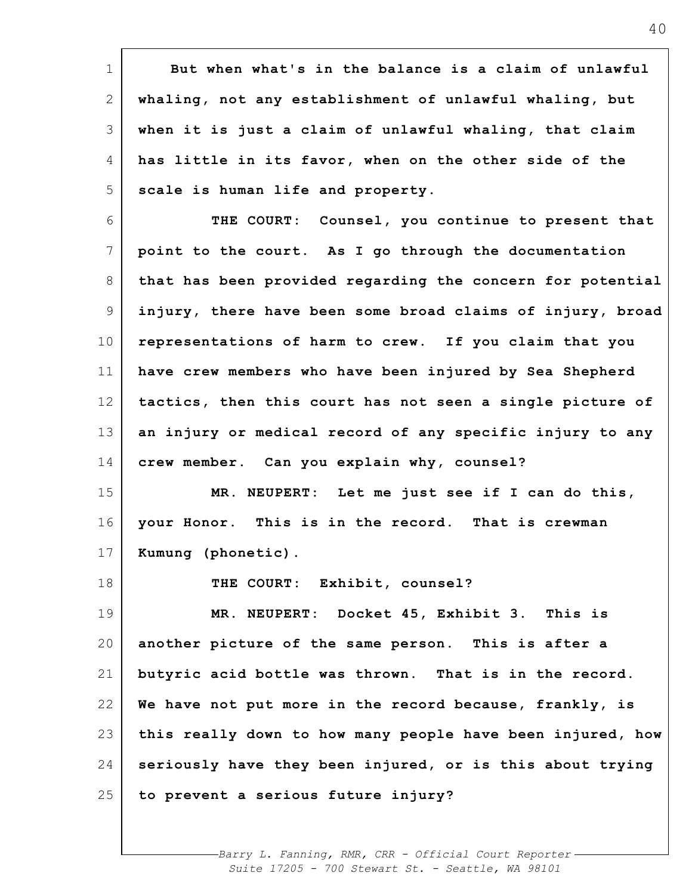1 2 3 4 5 6 7 8 9 10 11 12 13 14 15 16 17 18 19 20 21 22 23 24 25 **But when what's in the balance is a claim of unlawful whaling, not any establishment of unlawful whaling, but when it is just a claim of unlawful whaling, that claim has little in its favor, when on the other side of the scale is human life and property. THE COURT: Counsel, you continue to present that point to the court. As I go through the documentation that has been provided regarding the concern for potential injury, there have been some broad claims of injury, broad representations of harm to crew. If you claim that you have crew members who have been injured by Sea Shepherd tactics, then this court has not seen a single picture of an injury or medical record of any specific injury to any crew member. Can you explain why, counsel? MR. NEUPERT: Let me just see if I can do this, your Honor. This is in the record. That is crewman Kumung (phonetic). THE COURT: Exhibit, counsel? MR. NEUPERT: Docket 45, Exhibit 3. This is another picture of the same person. This is after a butyric acid bottle was thrown. That is in the record. We have not put more in the record because, frankly, is this really down to how many people have been injured, how seriously have they been injured, or is this about trying to prevent a serious future injury?**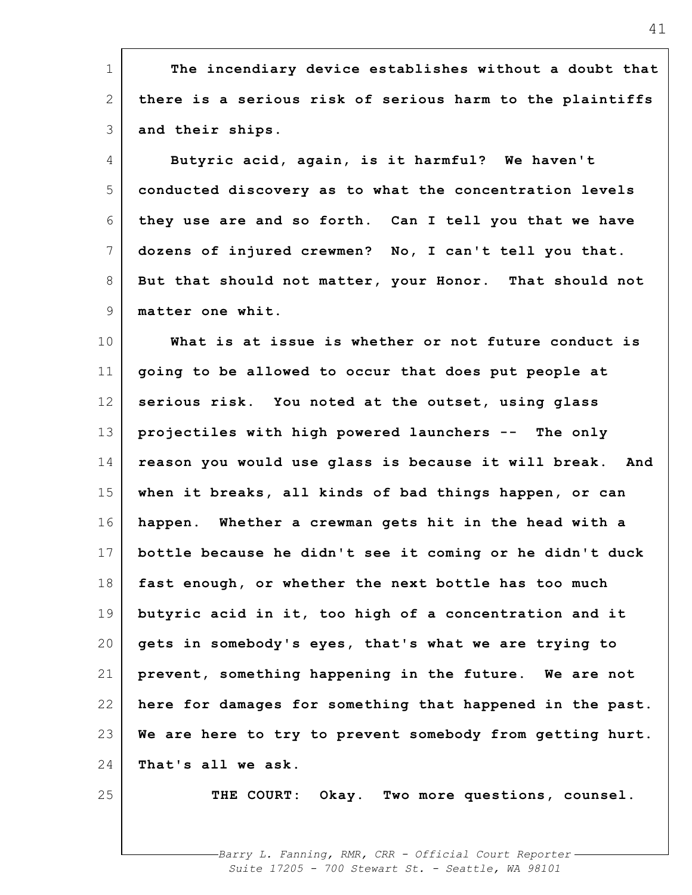1 2 3 4 5 6 7 8 9 10 11 12 13 14 15 16 17 18 19 20 21 22 23 24 25 **The incendiary device establishes without a doubt that there is a serious risk of serious harm to the plaintiffs and their ships. Butyric acid, again, is it harmful? We haven't conducted discovery as to what the concentration levels they use are and so forth. Can I tell you that we have dozens of injured crewmen? No, I can't tell you that. But that should not matter, your Honor. That should not matter one whit. What is at issue is whether or not future conduct is going to be allowed to occur that does put people at serious risk. You noted at the outset, using glass projectiles with high powered launchers -- The only reason you would use glass is because it will break. And when it breaks, all kinds of bad things happen, or can happen. Whether a crewman gets hit in the head with a bottle because he didn't see it coming or he didn't duck fast enough, or whether the next bottle has too much butyric acid in it, too high of a concentration and it gets in somebody's eyes, that's what we are trying to prevent, something happening in the future. We are not here for damages for something that happened in the past. We are here to try to prevent somebody from getting hurt. That's all we ask. THE COURT: Okay. Two more questions, counsel.**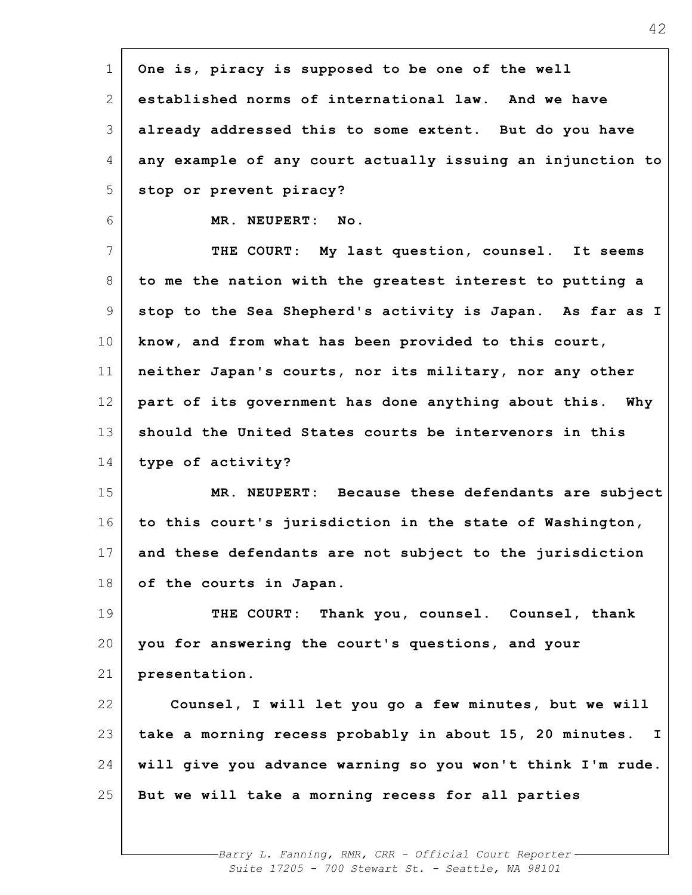| $\mathbf 1$     | One is, piracy is supposed to be one of the well           |
|-----------------|------------------------------------------------------------|
| 2               | established norms of international law. And we have        |
| 3               | already addressed this to some extent. But do you have     |
| 4               | any example of any court actually issuing an injunction to |
| 5               | stop or prevent piracy?                                    |
| 6               | MR. NEUPERT: No.                                           |
| 7               | THE COURT: My last question, counsel. It seems             |
| 8               | to me the nation with the greatest interest to putting a   |
| 9               | stop to the Sea Shepherd's activity is Japan. As far as I  |
| 10 <sub>o</sub> | know, and from what has been provided to this court,       |
| 11              | neither Japan's courts, nor its military, nor any other    |
| 12              | part of its government has done anything about this. Why   |
| 13              | should the United States courts be intervenors in this     |
| 14              | type of activity?                                          |
| 15              | MR. NEUPERT: Because these defendants are subject          |
| 16              | to this court's jurisdiction in the state of Washington,   |
| 17 <sub>1</sub> | and these defendants are not subject to the jurisdiction   |
| 18              | of the courts in Japan.                                    |
| 19              | THE COURT: Thank you, counsel. Counsel, thank              |
| 20              | you for answering the court's questions, and your          |
| 21              | presentation.                                              |
| 22              | Counsel, I will let you go a few minutes, but we will      |
| 23              | take a morning recess probably in about 15, 20 minutes. I  |
| 24              | will give you advance warning so you won't think I'm rude. |
| 25              | But we will take a morning recess for all parties          |
|                 |                                                            |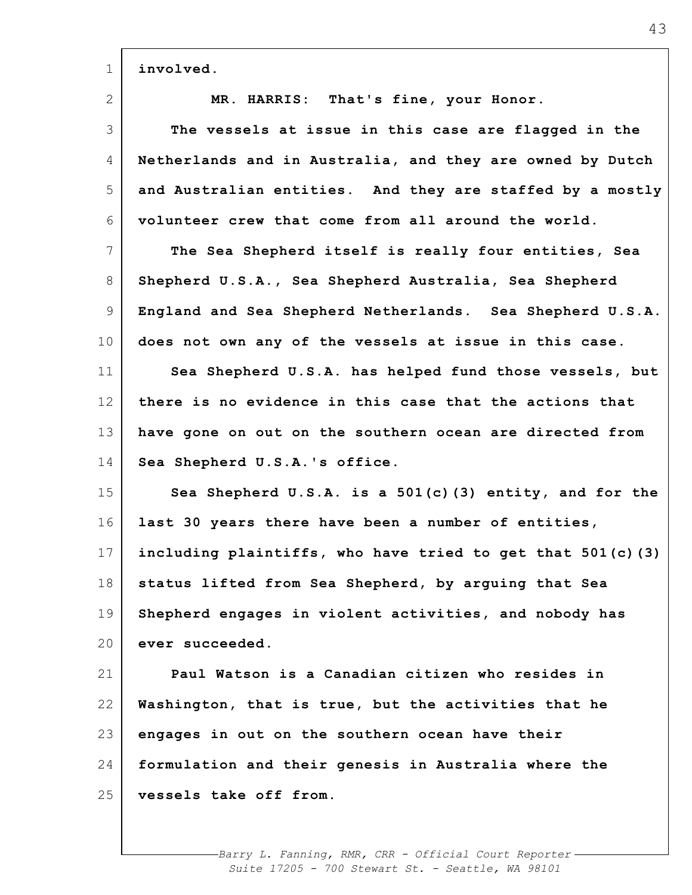| $\mathbf 1$     | involved.                                                  |
|-----------------|------------------------------------------------------------|
| 2               | MR. HARRIS: That's fine, your Honor.                       |
| 3               | The vessels at issue in this case are flagged in the       |
| 4               | Netherlands and in Australia, and they are owned by Dutch  |
| 5               | and Australian entities. And they are staffed by a mostly  |
| 6               | volunteer crew that come from all around the world.        |
| 7               | The Sea Shepherd itself is really four entities, Sea       |
| 8               | Shepherd U.S.A., Sea Shepherd Australia, Sea Shepherd      |
| $\mathsf 9$     | England and Sea Shepherd Netherlands. Sea Shepherd U.S.A.  |
| 10 <sub>o</sub> | does not own any of the vessels at issue in this case.     |
| 11              | Sea Shepherd U.S.A. has helped fund those vessels, but     |
| 12              | there is no evidence in this case that the actions that    |
| 13              | have gone on out on the southern ocean are directed from   |
| 14              | Sea Shepherd U.S.A.'s office.                              |
| 15              | Sea Shepherd U.S.A. is a 501(c)(3) entity, and for the     |
| 16              | last 30 years there have been a number of entities,        |
| 17              | including plaintiffs, who have tried to get that 501(c)(3) |
| 18              | status lifted from Sea Shepherd, by arquing that Sea       |
| 19              | Shepherd engages in violent activities, and nobody has     |
| 20              | ever succeeded.                                            |
| 21              | Paul Watson is a Canadian citizen who resides in           |
| 22              | Washington, that is true, but the activities that he       |
| 23              | engages in out on the southern ocean have their            |
| 24              | formulation and their genesis in Australia where the       |
| 25              | vessels take off from.                                     |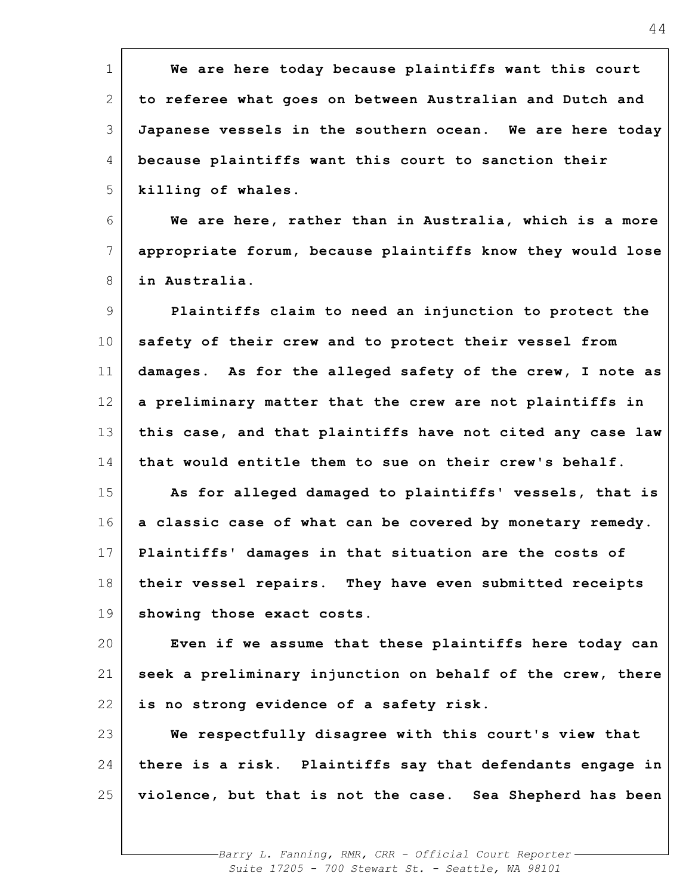| $\mathbf 1$  | We are here today because plaintiffs want this court       |
|--------------|------------------------------------------------------------|
| $\mathbf{2}$ | to referee what goes on between Australian and Dutch and   |
| 3            | Japanese vessels in the southern ocean. We are here today  |
| 4            | because plaintiffs want this court to sanction their       |
| 5            | killing of whales.                                         |
| 6            | We are here, rather than in Australia, which is a more     |
| 7            | appropriate forum, because plaintiffs know they would lose |
| 8            | in Australia.                                              |
| 9            | Plaintiffs claim to need an injunction to protect the      |
| 10           | safety of their crew and to protect their vessel from      |
| 11           | damages. As for the alleged safety of the crew, I note as  |
| 12           | a preliminary matter that the crew are not plaintiffs in   |
| 13           | this case, and that plaintiffs have not cited any case law |
| 14           | that would entitle them to sue on their crew's behalf.     |
| 15           | As for alleged damaged to plaintiffs' vessels, that is     |
| 16           | a classic case of what can be covered by monetary remedy.  |
| 17           | Plaintiffs' damages in that situation are the costs of     |
| 18           | their vessel repairs. They have even submitted receipts    |
| 19           | showing those exact costs.                                 |
| 20           | Even if we assume that these plaintiffs here today can     |
| 21           | seek a preliminary injunction on behalf of the crew, there |
| 22           | is no strong evidence of a safety risk.                    |
| 23           | We respectfully disagree with this court's view that       |
| 24           | there is a risk. Plaintiffs say that defendants engage in  |
| 25           | violence, but that is not the case. Sea Shepherd has been  |
|              |                                                            |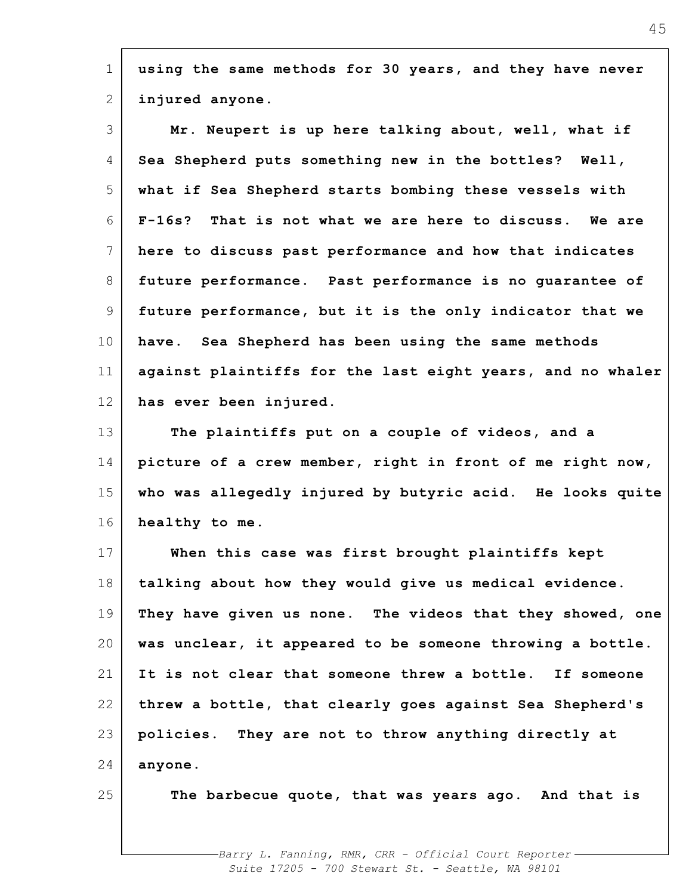| $\mathbf 1$ | using the same methods for 30 years, and they have never    |
|-------------|-------------------------------------------------------------|
| 2           | injured anyone.                                             |
| 3           | Mr. Neupert is up here talking about, well, what if         |
| 4           | Sea Shepherd puts something new in the bottles? Well,       |
| 5           | what if Sea Shepherd starts bombing these vessels with      |
| 6           | $F-16s?$<br>That is not what we are here to discuss. We are |
| 7           | here to discuss past performance and how that indicates     |
| 8           | future performance. Past performance is no quarantee of     |
| 9           | future performance, but it is the only indicator that we    |
| 10          | have. Sea Shepherd has been using the same methods          |
| 11          | against plaintiffs for the last eight years, and no whaler  |
| 12          | has ever been injured.                                      |
| 13          | The plaintiffs put on a couple of videos, and a             |
| 14          | picture of a crew member, right in front of me right now,   |
| 15          | who was allegedly injured by butyric acid. He looks quite   |
| 16          | healthy to me.                                              |
| 17          | When this case was first brought plaintiffs kept            |
| 18          | talking about how they would give us medical evidence.      |
| 19          | They have given us none. The videos that they showed, one   |
| 20          | was unclear, it appeared to be someone throwing a bottle.   |
| 21          | It is not clear that someone threw a bottle. If someone     |
| 22          | threw a bottle, that clearly goes against Sea Shepherd's    |
| 23          | policies. They are not to throw anything directly at        |
| 24          | anyone.                                                     |
| 25          | The barbecue quote, that was years ago. And that is         |
|             |                                                             |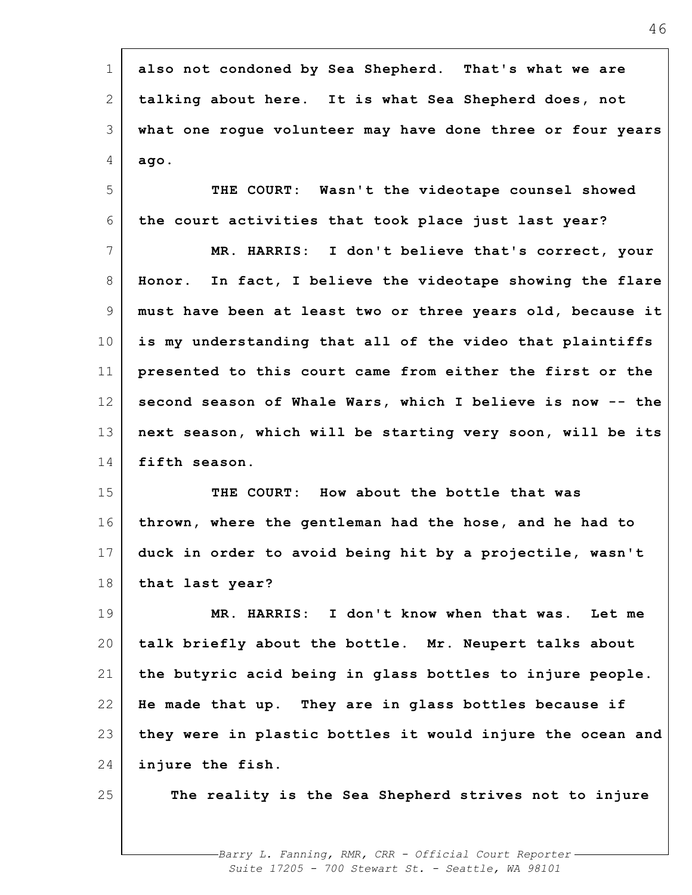| $\mathbf 1$     | also not condoned by Sea Shepherd. That's what we are      |
|-----------------|------------------------------------------------------------|
| 2               | talking about here. It is what Sea Shepherd does, not      |
| 3               | what one rogue volunteer may have done three or four years |
| 4               | ago.                                                       |
| 5               | THE COURT: Wasn't the videotape counsel showed             |
| 6               | the court activities that took place just last year?       |
| $7\phantom{.0}$ | MR. HARRIS: I don't believe that's correct, your           |
| 8               | Honor. In fact, I believe the videotape showing the flare  |
| 9               | must have been at least two or three years old, because it |
| 10 <sub>o</sub> | is my understanding that all of the video that plaintiffs  |
| 11              | presented to this court came from either the first or the  |
| 12              | second season of Whale Wars, which I believe is now -- the |
| 13              | next season, which will be starting very soon, will be its |
| 14              | fifth season.                                              |
| 15              | THE COURT: How about the bottle that was                   |
| 16              | thrown, where the gentleman had the hose, and he had to    |
| 17              | duck in order to avoid being hit by a projectile, wasn't   |
| 18              | that last year?                                            |
| 19              | MR. HARRIS: I don't know when that was. Let me             |
| 20              | talk briefly about the bottle. Mr. Neupert talks about     |
| 21              | the butyric acid being in glass bottles to injure people.  |
| 22              | He made that up. They are in glass bottles because if      |
| 23              | they were in plastic bottles it would injure the ocean and |
| 24              | injure the fish.                                           |
| 25              | The reality is the Sea Shepherd strives not to injure      |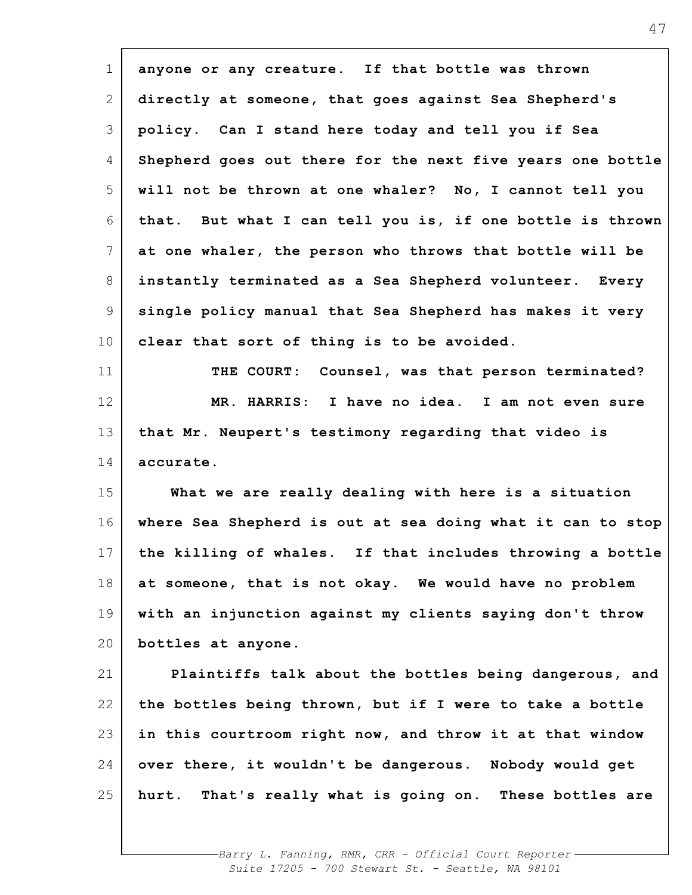| $\mathbf 1$    | anyone or any creature. If that bottle was thrown          |
|----------------|------------------------------------------------------------|
| $\mathbf{2}$   | directly at someone, that goes against Sea Shepherd's      |
| 3              | policy. Can I stand here today and tell you if Sea         |
| 4              | Shepherd goes out there for the next five years one bottle |
| 5              | will not be thrown at one whaler? No, I cannot tell you    |
| 6              | that. But what I can tell you is, if one bottle is thrown  |
| $7\phantom{.}$ | at one whaler, the person who throws that bottle will be   |
| 8              | instantly terminated as a Sea Shepherd volunteer. Every    |
| 9              | single policy manual that Sea Shepherd has makes it very   |
| 10             | clear that sort of thing is to be avoided.                 |
| 11             | THE COURT: Counsel, was that person terminated?            |
| 12             | MR. HARRIS: I have no idea. I am not even sure             |
| 13             | that Mr. Neupert's testimony regarding that video is       |
| 14             | accurate.                                                  |
| 15             | What we are really dealing with here is a situation        |
| 16             | where Sea Shepherd is out at sea doing what it can to stop |
| 17             | the killing of whales. If that includes throwing a bottle  |
| 18             | at someone, that is not okay. We would have no problem     |
| 19             | with an injunction against my clients saying don't throw   |
| 20             | bottles at anyone.                                         |
| 21             | Plaintiffs talk about the bottles being dangerous, and     |
| 22             | the bottles being thrown, but if I were to take a bottle   |
| 23             | in this courtroom right now, and throw it at that window   |
| 24             | over there, it wouldn't be dangerous. Nobody would get     |
| 25             | hurt. That's really what is going on. These bottles are    |
|                |                                                            |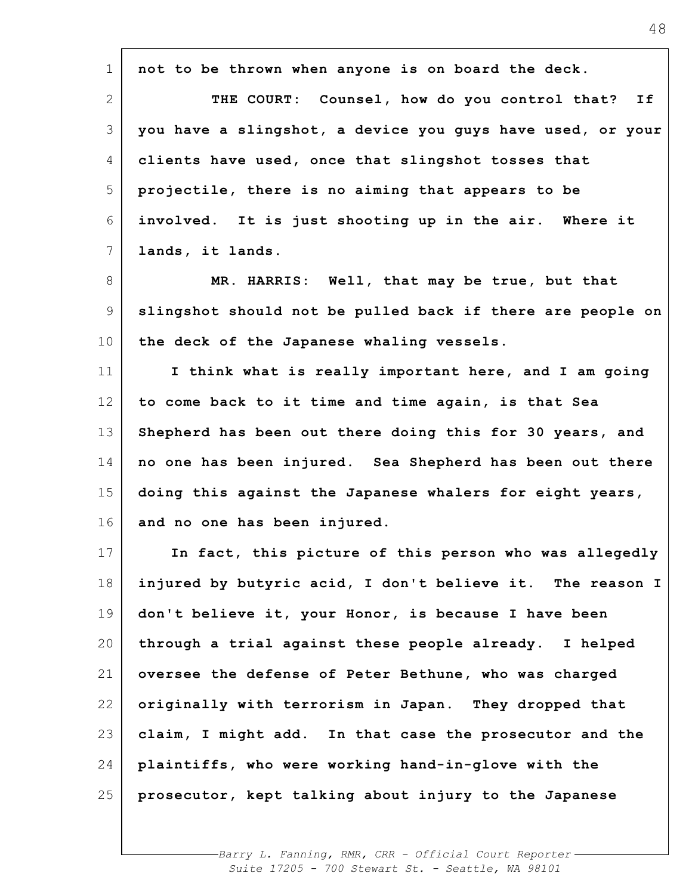| $\mathbf 1$     | not to be thrown when anyone is on board the deck.         |
|-----------------|------------------------------------------------------------|
| 2               | THE COURT: Counsel, how do you control that?<br>If         |
|                 |                                                            |
| 3               | you have a slingshot, a device you guys have used, or your |
| 4               | clients have used, once that slingshot tosses that         |
| 5               | projectile, there is no aiming that appears to be          |
| 6               | involved. It is just shooting up in the air. Where it      |
| $7\phantom{.}$  | lands, it lands.                                           |
| 8               | MR. HARRIS: Well, that may be true, but that               |
| 9               | slingshot should not be pulled back if there are people on |
| 10 <sub>o</sub> | the deck of the Japanese whaling vessels.                  |
| 11              | I think what is really important here, and I am going      |
| 12              | to come back to it time and time again, is that Sea        |
| 13              | Shepherd has been out there doing this for 30 years, and   |
| 14              | no one has been injured. Sea Shepherd has been out there   |
| 15              | doing this against the Japanese whalers for eight years,   |
| 16              | and no one has been injured.                               |
| 17              | In fact, this picture of this person who was allegedly     |
| 18              | injured by butyric acid, I don't believe it. The reason I  |
| 19              | don't believe it, your Honor, is because I have been       |
| 20              | through a trial against these people already. I helped     |
| 21              | oversee the defense of Peter Bethune, who was charged      |
| 22              | originally with terrorism in Japan. They dropped that      |
| 23              | claim, I might add. In that case the prosecutor and the    |
| 24              | plaintiffs, who were working hand-in-glove with the        |
| 25              | prosecutor, kept talking about injury to the Japanese      |
|                 |                                                            |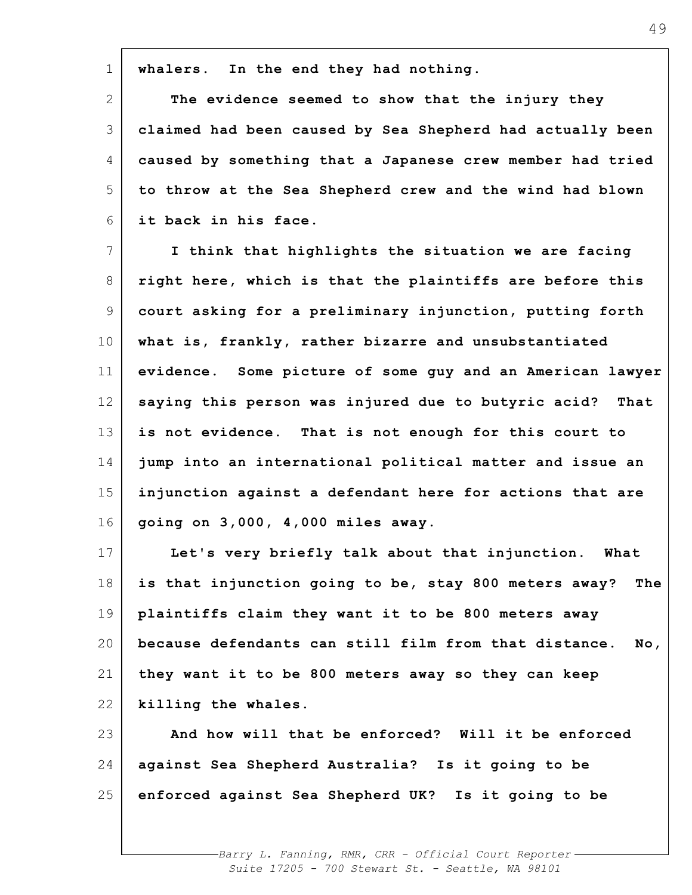**whalers. In the end they had nothing.**

1

2 3 4 5 6 **The evidence seemed to show that the injury they claimed had been caused by Sea Shepherd had actually been caused by something that a Japanese crew member had tried to throw at the Sea Shepherd crew and the wind had blown it back in his face.**

7 8 9 10 11 12 13 14 15 16 **I think that highlights the situation we are facing right here, which is that the plaintiffs are before this court asking for a preliminary injunction, putting forth what is, frankly, rather bizarre and unsubstantiated evidence. Some picture of some guy and an American lawyer saying this person was injured due to butyric acid? That is not evidence. That is not enough for this court to jump into an international political matter and issue an injunction against a defendant here for actions that are going on 3,000, 4,000 miles away.**

17 18 19 20 21 22 **Let's very briefly talk about that injunction. What is that injunction going to be, stay 800 meters away? The plaintiffs claim they want it to be 800 meters away because defendants can still film from that distance. No, they want it to be 800 meters away so they can keep killing the whales.**

23 24 25 **And how will that be enforced? Will it be enforced against Sea Shepherd Australia? Is it going to be enforced against Sea Shepherd UK? Is it going to be**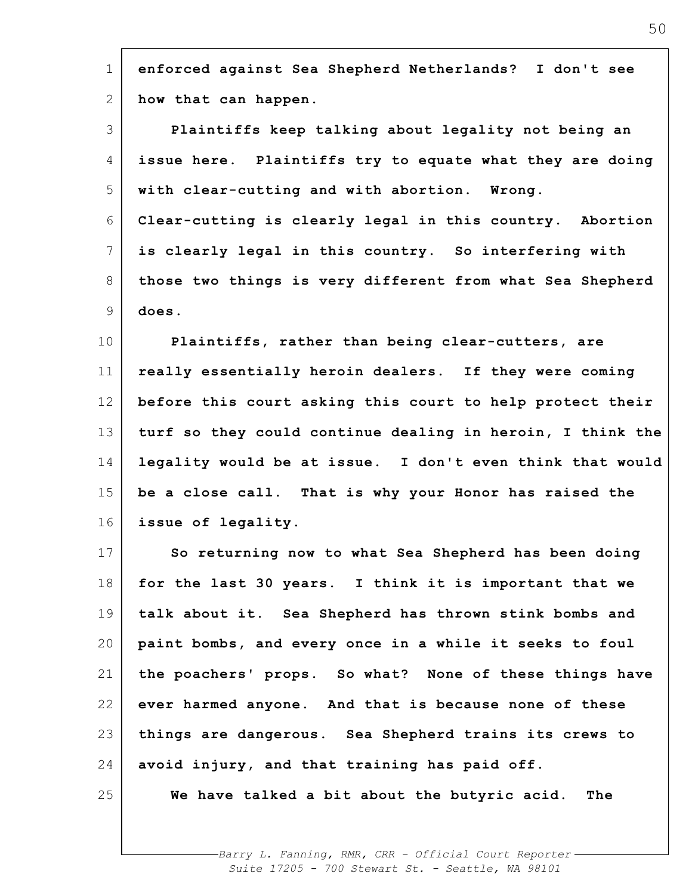| $\mathbf 1$     | enforced against Sea Shepherd Netherlands? I don't see     |
|-----------------|------------------------------------------------------------|
| 2               | how that can happen.                                       |
| 3               | Plaintiffs keep talking about legality not being an        |
| 4               | issue here. Plaintiffs try to equate what they are doing   |
| 5               | with clear-cutting and with abortion. Wrong.               |
| 6               | Clear-cutting is clearly legal in this country. Abortion   |
| $7\phantom{.0}$ | is clearly legal in this country. So interfering with      |
| 8               | those two things is very different from what Sea Shepherd  |
| 9               | does.                                                      |
| 10              | Plaintiffs, rather than being clear-cutters, are           |
| 11              | really essentially heroin dealers. If they were coming     |
| 12              | before this court asking this court to help protect their  |
| 13              | turf so they could continue dealing in heroin, I think the |
| 14              | legality would be at issue. I don't even think that would  |
| 15              | be a close call. That is why your Honor has raised the     |
| 16              | issue of legality.                                         |
| 17              | So returning now to what Sea Shepherd has been doing       |
| 18              | for the last 30 years. I think it is important that we     |
| 19              | talk about it. Sea Shepherd has thrown stink bombs and     |
| 20              | paint bombs, and every once in a while it seeks to foul    |
| 21              | the poachers' props. So what? None of these things have    |
| 22              | ever harmed anyone. And that is because none of these      |
| 23              | things are dangerous. Sea Shepherd trains its crews to     |
| 24              | avoid injury, and that training has paid off.              |
| 25              | We have talked a bit about the butyric acid. The           |
|                 |                                                            |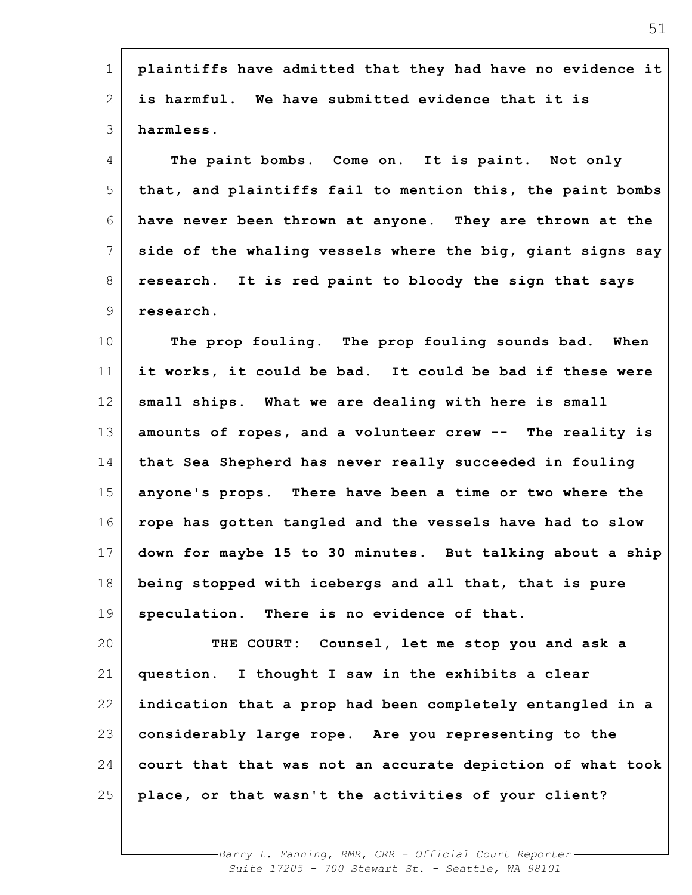| 1               | plaintiffs have admitted that they had have no evidence it |
|-----------------|------------------------------------------------------------|
| 2               | is harmful. We have submitted evidence that it is          |
| 3               | harmless.                                                  |
| 4               | The paint bombs. Come on. It is paint. Not only            |
| 5               | that, and plaintiffs fail to mention this, the paint bombs |
| 6               | have never been thrown at anyone. They are thrown at the   |
| $7\phantom{.0}$ | side of the whaling vessels where the big, giant signs say |
| 8               | research. It is red paint to bloody the sign that says     |
| 9               | research.                                                  |
| 10              | The prop fouling. The prop fouling sounds bad. When        |
| 11              | it works, it could be bad. It could be bad if these were   |
| 12              | small ships. What we are dealing with here is small        |
| 13              | amounts of ropes, and a volunteer crew -- The reality is   |
| 14              | that Sea Shepherd has never really succeeded in fouling    |
| 15              | anyone's props. There have been a time or two where the    |
| 16              | rope has gotten tangled and the vessels have had to slow   |
| 17              | down for maybe 15 to 30 minutes. But talking about a ship  |
| 18              | being stopped with icebergs and all that, that is pure     |
| 19              | speculation. There is no evidence of that.                 |
| 20              | THE COURT: Counsel, let me stop you and ask a              |
| 21              | question. I thought I saw in the exhibits a clear          |
| 22              | indication that a prop had been completely entangled in a  |
| 23              | considerably large rope. Are you representing to the       |
| 24              | court that that was not an accurate depiction of what took |
| 25              | place, or that wasn't the activities of your client?       |
|                 |                                                            |

'n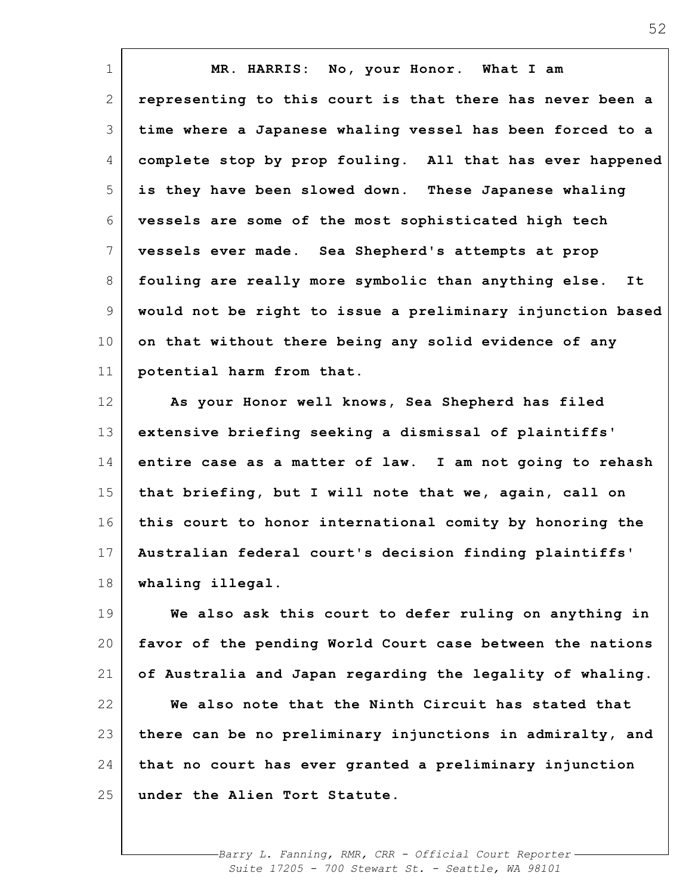| $\mathbf 1$  | MR. HARRIS: No, your Honor. What I am                      |
|--------------|------------------------------------------------------------|
| $\mathbf{2}$ | representing to this court is that there has never been a  |
| 3            | time where a Japanese whaling vessel has been forced to a  |
| 4            | complete stop by prop fouling. All that has ever happened  |
| 5            | is they have been slowed down. These Japanese whaling      |
| 6            | vessels are some of the most sophisticated high tech       |
| 7            | vessels ever made. Sea Shepherd's attempts at prop         |
| 8            | fouling are really more symbolic than anything else.<br>It |
| 9            | would not be right to issue a preliminary injunction based |
| 10           | on that without there being any solid evidence of any      |
| 11           | potential harm from that.                                  |
| 12           | As your Honor well knows, Sea Shepherd has filed           |
| 13           | extensive briefing seeking a dismissal of plaintiffs'      |
| 14           | entire case as a matter of law. I am not going to rehash   |
| 15           | that briefing, but I will note that we, again, call on     |
| 16           | this court to honor international comity by honoring the   |
| 17           | Australian federal court's decision finding plaintiffs'    |
| 18           | whaling illegal.                                           |
| 19           | We also ask this court to defer ruling on anything in      |
| 20           | favor of the pending World Court case between the nations  |
| 21           | of Australia and Japan regarding the legality of whaling.  |
| 22           | We also note that the Ninth Circuit has stated that        |
| 23           | there can be no preliminary injunctions in admiralty, and  |
| 24           | that no court has ever granted a preliminary injunction    |
| 25           | under the Alien Tort Statute.                              |

 $\mathbf{r}$ 

*Barry L. Fanning, RMR, CRR - Official Court Reporter Suite 17205 - 700 Stewart St. - Seattle, WA 98101*

52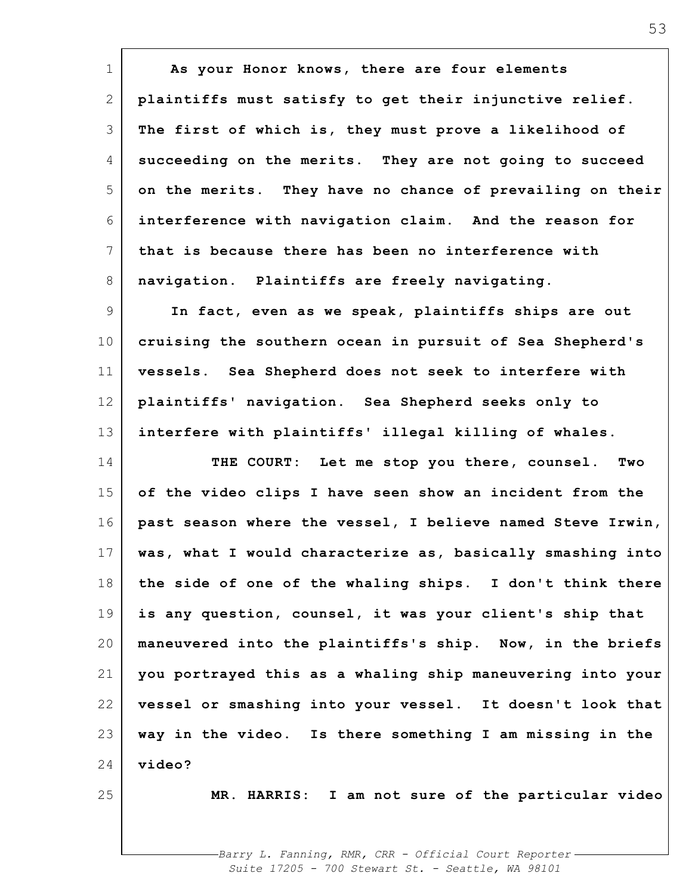| $\mathbf 1$     | As your Honor knows, there are four elements               |
|-----------------|------------------------------------------------------------|
| $\mathbf{2}$    | plaintiffs must satisfy to get their injunctive relief.    |
| 3               | The first of which is, they must prove a likelihood of     |
| 4               | succeeding on the merits. They are not going to succeed    |
| 5               | on the merits. They have no chance of prevailing on their  |
| 6               | interference with navigation claim. And the reason for     |
| $7\phantom{.0}$ | that is because there has been no interference with        |
| 8               | navigation. Plaintiffs are freely navigating.              |
| 9               | In fact, even as we speak, plaintiffs ships are out        |
| 10              | cruising the southern ocean in pursuit of Sea Shepherd's   |
| 11              | vessels. Sea Shepherd does not seek to interfere with      |
| 12              | plaintiffs' navigation. Sea Shepherd seeks only to         |
| 13              | interfere with plaintiffs' illegal killing of whales.      |
| 14              | THE COURT: Let me stop you there, counsel.<br>Two          |
| 15              | of the video clips I have seen show an incident from the   |
| 16              | past season where the vessel, I believe named Steve Irwin, |
| 17              | was, what I would characterize as, basically smashing into |
| 18              | the side of one of the whaling ships. I don't think there  |
| 19              | is any question, counsel, it was your client's ship that   |
| 20              | maneuvered into the plaintiffs's ship. Now, in the briefs  |
| 21              | you portrayed this as a whaling ship maneuvering into your |
| 22              | vessel or smashing into your vessel. It doesn't look that  |
| 23              | way in the video. Is there something I am missing in the   |
| 24              | video?                                                     |
| 25              | MR. HARRIS: I am not sure of the particular video          |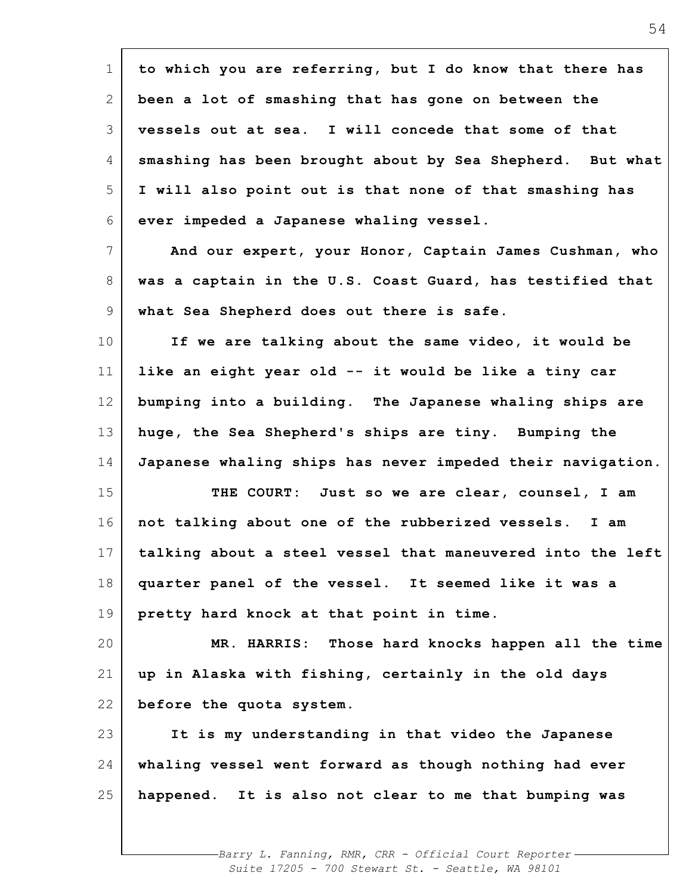| $\mathbf 1$ | to which you are referring, but I do know that there has   |
|-------------|------------------------------------------------------------|
| 2           | been a lot of smashing that has gone on between the        |
| 3           | vessels out at sea. I will concede that some of that       |
| 4           | smashing has been brought about by Sea Shepherd. But what  |
| 5           | I will also point out is that none of that smashing has    |
| 6           | ever impeded a Japanese whaling vessel.                    |
| 7           | And our expert, your Honor, Captain James Cushman, who     |
| 8           | was a captain in the U.S. Coast Guard, has testified that  |
| 9           | what Sea Shepherd does out there is safe.                  |
| 10          | If we are talking about the same video, it would be        |
| 11          | like an eight year old -- it would be like a tiny car      |
| 12          | bumping into a building. The Japanese whaling ships are    |
| 13          | huge, the Sea Shepherd's ships are tiny. Bumping the       |
| 14          | Japanese whaling ships has never impeded their navigation. |
| 15          | THE COURT: Just so we are clear, counsel, I am             |
| 16          | not talking about one of the rubberized vessels. I am      |
| 17          | talking about a steel vessel that maneuvered into the left |
| 18          | quarter panel of the vessel. It seemed like it was a       |
| 19          | pretty hard knock at that point in time.                   |
| 20          | MR. HARRIS: Those hard knocks happen all the time          |
| 21          | up in Alaska with fishing, certainly in the old days       |
| 22          | before the quota system.                                   |
| 23          | It is my understanding in that video the Japanese          |
| 24          | whaling vessel went forward as though nothing had ever     |
| 25          | happened. It is also not clear to me that bumping was      |
|             |                                                            |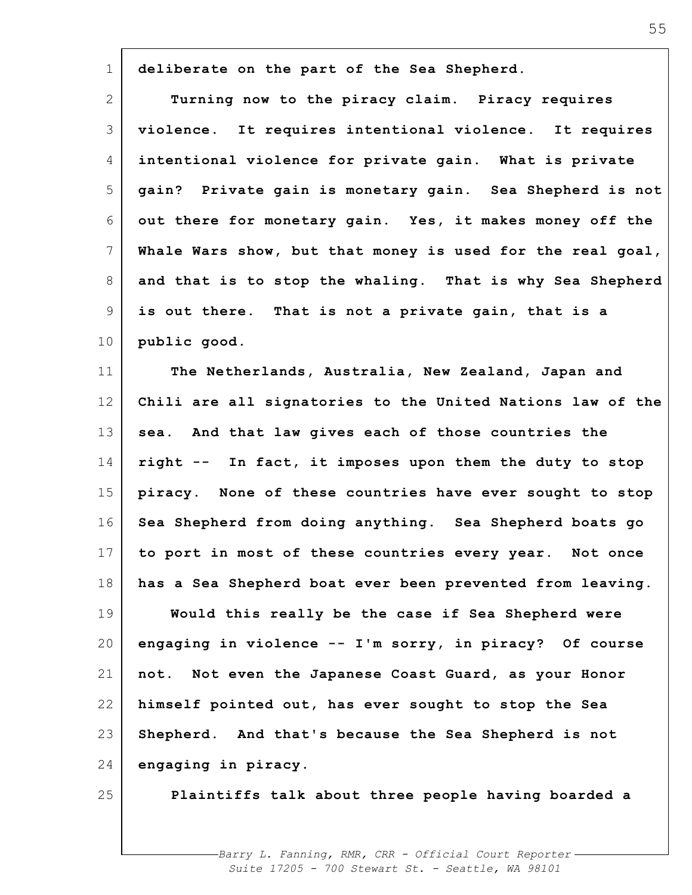| $\mathbf 1$     | deliberate on the part of the Sea Shepherd.                |
|-----------------|------------------------------------------------------------|
| $\mathbf{2}$    | Turning now to the piracy claim. Piracy requires           |
| 3               | violence. It requires intentional violence. It requires    |
| 4               | intentional violence for private gain. What is private     |
| 5               | gain? Private gain is monetary gain. Sea Shepherd is not   |
| 6               | out there for monetary gain. Yes, it makes money off the   |
| $7\phantom{.0}$ | Whale Wars show, but that money is used for the real goal, |
| 8               | and that is to stop the whaling. That is why Sea Shepherd  |
| 9               | is out there. That is not a private gain, that is a        |
| 10              | public good.                                               |
| 11              | The Netherlands, Australia, New Zealand, Japan and         |
| 12              | Chili are all signatories to the United Nations law of the |
| 13              | sea. And that law gives each of those countries the        |
| 14              | right -- In fact, it imposes upon them the duty to stop    |
| 15              | piracy. None of these countries have ever sought to stop   |
| 16              | Sea Shepherd from doing anything. Sea Shepherd boats go    |
| 17              | to port in most of these countries every year. Not once    |
| 18              | has a Sea Shepherd boat ever been prevented from leaving.  |
| 19              | Would this really be the case if Sea Shepherd were         |
| 20              | engaging in violence -- I'm sorry, in piracy? Of course    |
| 21              | not. Not even the Japanese Coast Guard, as your Honor      |
| 22              | himself pointed out, has ever sought to stop the Sea       |
| 23              | Shepherd. And that's because the Sea Shepherd is not       |
| 24              | engaging in piracy.                                        |
| 25              | Plaintiffs talk about three people having boarded a        |
|                 |                                                            |

 $\mathsf{r}$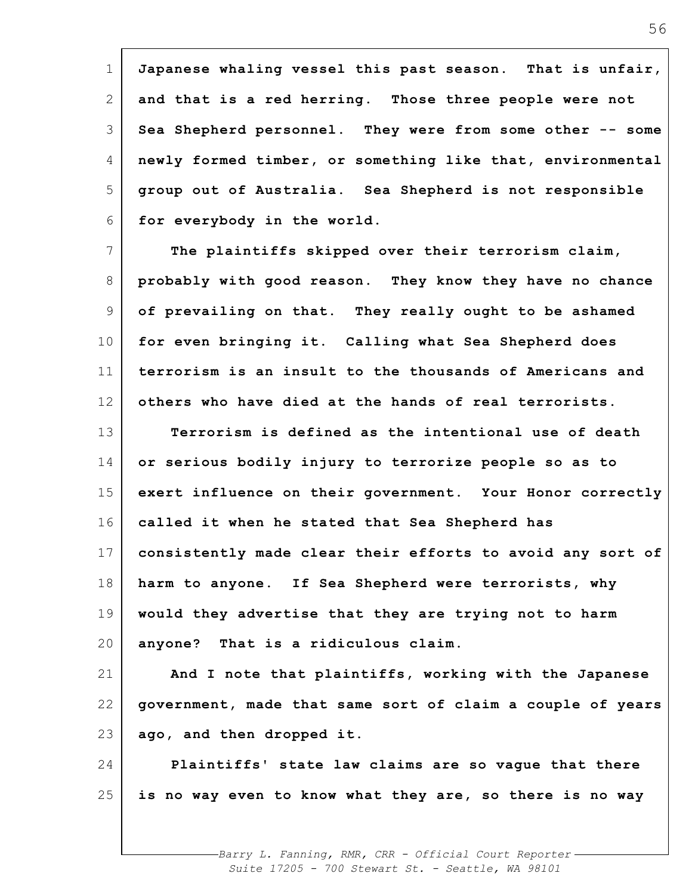1 2 3 4 5 6 **Japanese whaling vessel this past season. That is unfair, and that is a red herring. Those three people were not Sea Shepherd personnel. They were from some other -- some newly formed timber, or something like that, environmental group out of Australia. Sea Shepherd is not responsible for everybody in the world.**

7 8 9 10 11 12 13 14 15 16 17 18 19 20 21 **The plaintiffs skipped over their terrorism claim, probably with good reason. They know they have no chance of prevailing on that. They really ought to be ashamed for even bringing it. Calling what Sea Shepherd does terrorism is an insult to the thousands of Americans and others who have died at the hands of real terrorists. Terrorism is defined as the intentional use of death or serious bodily injury to terrorize people so as to exert influence on their government. Your Honor correctly called it when he stated that Sea Shepherd has consistently made clear their efforts to avoid any sort of harm to anyone. If Sea Shepherd were terrorists, why would they advertise that they are trying not to harm anyone? That is a ridiculous claim. And I note that plaintiffs, working with the Japanese**

22 23 **government, made that same sort of claim a couple of years ago, and then dropped it.**

24 25 **Plaintiffs' state law claims are so vague that there is no way even to know what they are, so there is no way**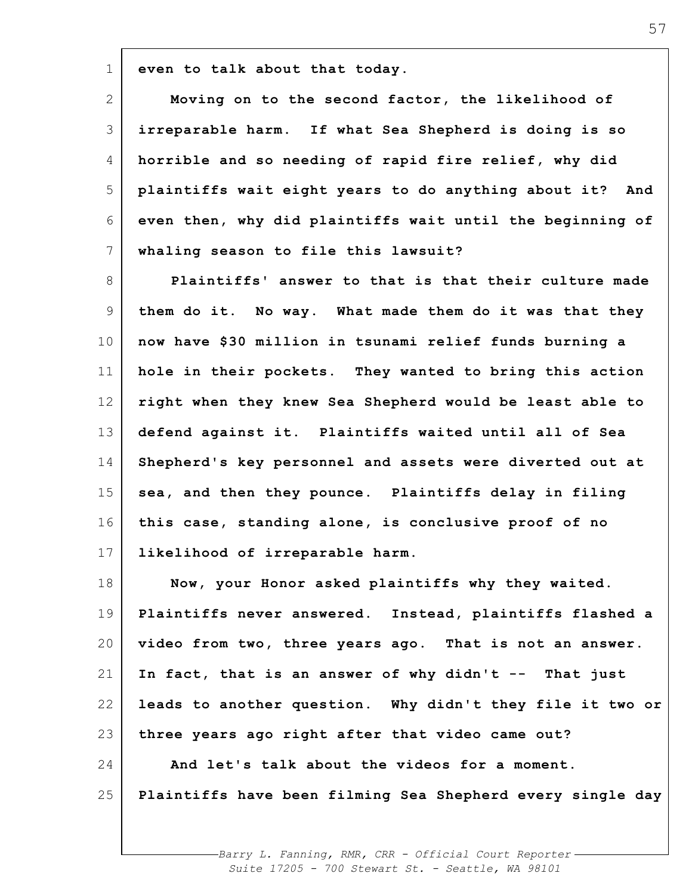**even to talk about that today.**

1

2 3 4 5 6 7 **Moving on to the second factor, the likelihood of irreparable harm. If what Sea Shepherd is doing is so horrible and so needing of rapid fire relief, why did plaintiffs wait eight years to do anything about it? And even then, why did plaintiffs wait until the beginning of whaling season to file this lawsuit?**

8 9 10 11 12 13 14 15 16 17 **Plaintiffs' answer to that is that their culture made them do it. No way. What made them do it was that they now have \$30 million in tsunami relief funds burning a hole in their pockets. They wanted to bring this action right when they knew Sea Shepherd would be least able to defend against it. Plaintiffs waited until all of Sea Shepherd's key personnel and assets were diverted out at sea, and then they pounce. Plaintiffs delay in filing this case, standing alone, is conclusive proof of no likelihood of irreparable harm.**

18 19 20 21 22 23 24 25 **Now, your Honor asked plaintiffs why they waited. Plaintiffs never answered. Instead, plaintiffs flashed a video from two, three years ago. That is not an answer. In fact, that is an answer of why didn't -- That just leads to another question. Why didn't they file it two or three years ago right after that video came out? And let's talk about the videos for a moment. Plaintiffs have been filming Sea Shepherd every single day**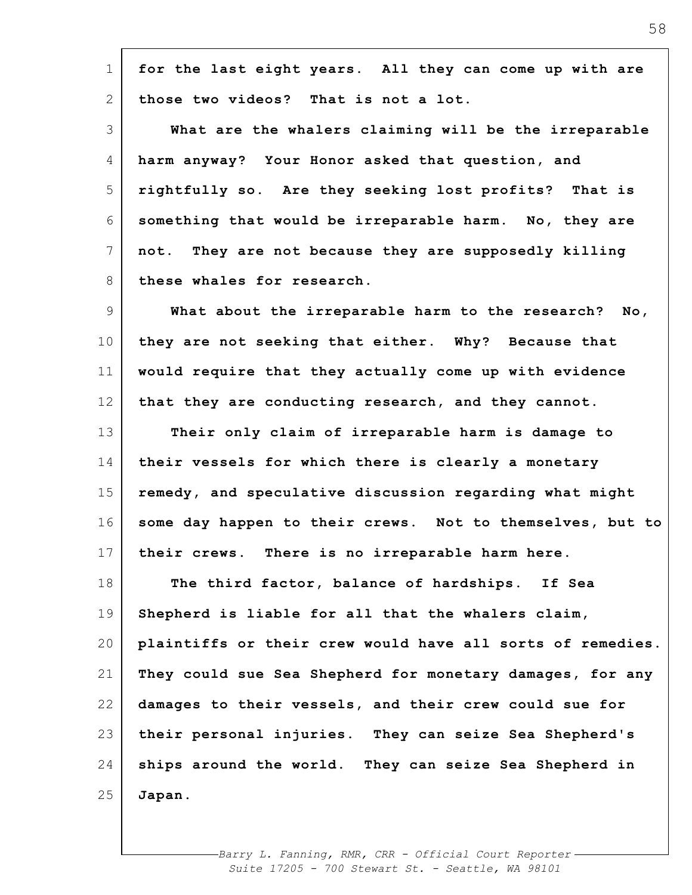| $\mathbf 1$    | for the last eight years. All they can come up with are    |
|----------------|------------------------------------------------------------|
| 2              | those two videos? That is not a lot.                       |
| 3              | What are the whalers claiming will be the irreparable      |
| 4              | harm anyway? Your Honor asked that question, and           |
| 5              | rightfully so. Are they seeking lost profits? That is      |
| 6              | something that would be irreparable harm. No, they are     |
| $7\phantom{.}$ | not. They are not because they are supposedly killing      |
| 8              | these whales for research.                                 |
| 9              | What about the irreparable harm to the research? No,       |
| 10             | they are not seeking that either. Why? Because that        |
| 11             | would require that they actually come up with evidence     |
| 12             | that they are conducting research, and they cannot.        |
| 13             | Their only claim of irreparable harm is damage to          |
| 14             | their vessels for which there is clearly a monetary        |
| 15             | remedy, and speculative discussion regarding what might    |
| 16             | some day happen to their crews. Not to themselves, but to  |
| 17             | There is no irreparable harm here.<br>their crews.         |
| 18             | The third factor, balance of hardships. If Sea             |
| 19             | Shepherd is liable for all that the whalers claim,         |
| 20             | plaintiffs or their crew would have all sorts of remedies. |
| 21             | They could sue Sea Shepherd for monetary damages, for any  |
| 22             | damages to their vessels, and their crew could sue for     |
| 23             | their personal injuries. They can seize Sea Shepherd's     |
| 24             | ships around the world. They can seize Sea Shepherd in     |
| 25             | Japan.                                                     |
|                |                                                            |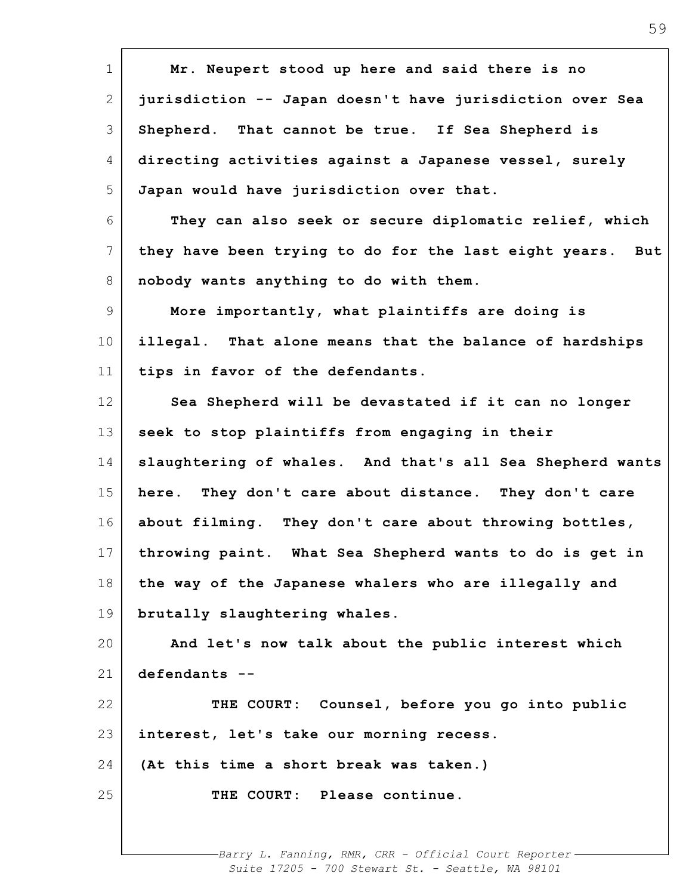| $\mathbf 1$     | Mr. Neupert stood up here and said there is no               |
|-----------------|--------------------------------------------------------------|
| 2               | jurisdiction -- Japan doesn't have jurisdiction over Sea     |
| 3               | Shepherd. That cannot be true. If Sea Shepherd is            |
| 4               | directing activities against a Japanese vessel, surely       |
| 5               | Japan would have jurisdiction over that.                     |
| 6               | They can also seek or secure diplomatic relief, which        |
| 7               | they have been trying to do for the last eight years.<br>But |
| 8               | nobody wants anything to do with them.                       |
| 9               | More importantly, what plaintiffs are doing is               |
| 10 <sub>o</sub> | illegal. That alone means that the balance of hardships      |
| 11              | tips in favor of the defendants.                             |
| 12              | Sea Shepherd will be devastated if it can no longer          |
| 13              | seek to stop plaintiffs from engaging in their               |
| 14              | slaughtering of whales. And that's all Sea Shepherd wants    |
| 15              | here. They don't care about distance. They don't care        |
| 16              | about filming. They don't care about throwing bottles,       |
| 17              | throwing paint. What Sea Shepherd wants to do is get in      |
| 18              | the way of the Japanese whalers who are illegally and        |
| 19              | brutally slaughtering whales.                                |
| 20              | And let's now talk about the public interest which           |
| 21              | defendants --                                                |
| 22              | THE COURT: Counsel, before you go into public                |
| 23              | interest, let's take our morning recess.                     |
| 24              | (At this time a short break was taken.)                      |
| 25              | THE COURT: Please continue.                                  |
|                 |                                                              |
|                 | -Barry L. Fanning, RMR, CRR - Official Court Reporter.       |

 $\mathbf{r}$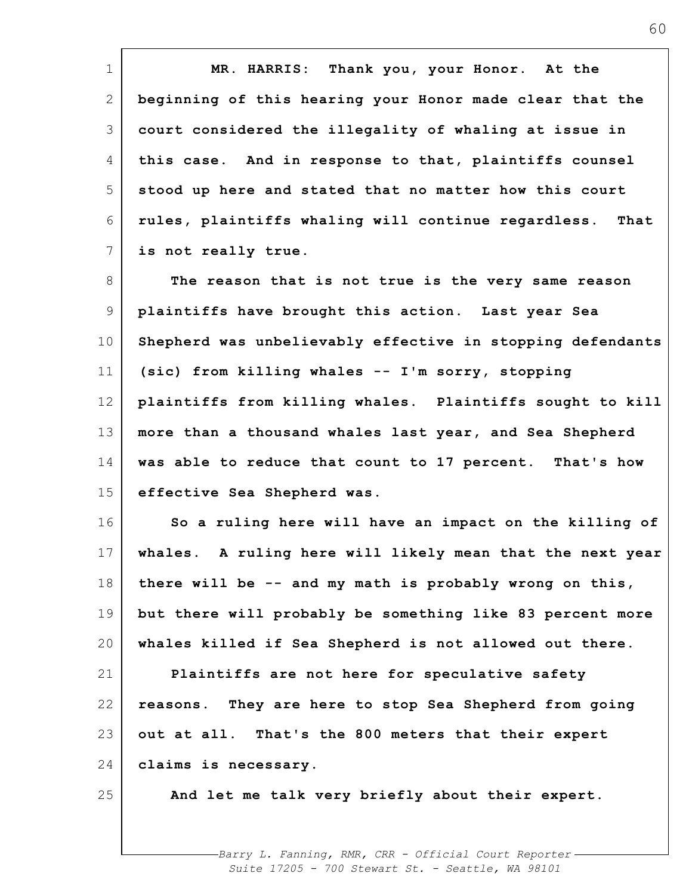| $\mathbf 1$ | MR. HARRIS: Thank you, your Honor. At the                    |
|-------------|--------------------------------------------------------------|
| 2           | beginning of this hearing your Honor made clear that the     |
| 3           | court considered the illegality of whaling at issue in       |
| 4           | this case. And in response to that, plaintiffs counsel       |
| 5           | stood up here and stated that no matter how this court       |
| 6           | rules, plaintiffs whaling will continue regardless.<br>That  |
| 7           | is not really true.                                          |
| 8           | The reason that is not true is the very same reason          |
| 9           | plaintiffs have brought this action. Last year Sea           |
| 10          | Shepherd was unbelievably effective in stopping defendants   |
| 11          | (sic) from killing whales -- I'm sorry, stopping             |
| 12          | plaintiffs from killing whales. Plaintiffs sought to kill    |
| 13          | more than a thousand whales last year, and Sea Shepherd      |
| 14          | was able to reduce that count to 17 percent. That's how      |
| 15          | effective Sea Shepherd was.                                  |
| 16          | So a ruling here will have an impact on the killing of       |
| 17          | A ruling here will likely mean that the next year<br>whales. |
| 18          | there will be $-$ and my math is probably wrong on this,     |
| 19          | but there will probably be something like 83 percent more    |
| 20          | whales killed if Sea Shepherd is not allowed out there.      |
| 21          | Plaintiffs are not here for speculative safety               |
| 22          | reasons. They are here to stop Sea Shepherd from going       |
| 23          | out at all. That's the 800 meters that their expert          |
| 24          | claims is necessary.                                         |
| 25          | And let me talk very briefly about their expert.             |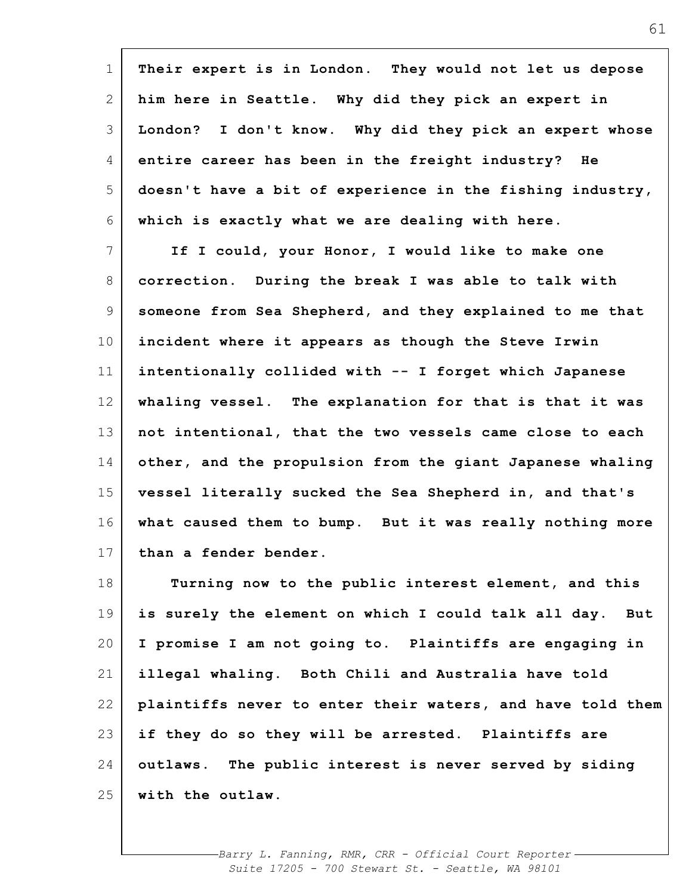| $\mathbf 1$    | Their expert is in London. They would not let us depose    |
|----------------|------------------------------------------------------------|
| 2              | him here in Seattle. Why did they pick an expert in        |
| 3              | London? I don't know. Why did they pick an expert whose    |
| 4              | entire career has been in the freight industry? He         |
| 5              | doesn't have a bit of experience in the fishing industry,  |
| 6              | which is exactly what we are dealing with here.            |
| $7\phantom{.}$ | If I could, your Honor, I would like to make one           |
| 8              | correction. During the break I was able to talk with       |
| 9              | someone from Sea Shepherd, and they explained to me that   |
| 10             | incident where it appears as though the Steve Irwin        |
| 11             | intentionally collided with -- I forget which Japanese     |
| 12             | whaling vessel. The explanation for that is that it was    |
| 13             | not intentional, that the two vessels came close to each   |
| 14             | other, and the propulsion from the giant Japanese whaling  |
| 15             | vessel literally sucked the Sea Shepherd in, and that's    |
| 16             | what caused them to bump. But it was really nothing more   |
| 17             | than a fender bender.                                      |
| 18             | Turning now to the public interest element, and this       |
| 19             | is surely the element on which I could talk all day. But   |
| 20             | I promise I am not going to. Plaintiffs are engaging in    |
| 21             | illegal whaling. Both Chili and Australia have told        |
| 22             | plaintiffs never to enter their waters, and have told them |
| 23             | if they do so they will be arrested. Plaintiffs are        |
| 24             | outlaws. The public interest is never served by siding     |
| 25             | with the outlaw.                                           |

 $\mathbf{r}$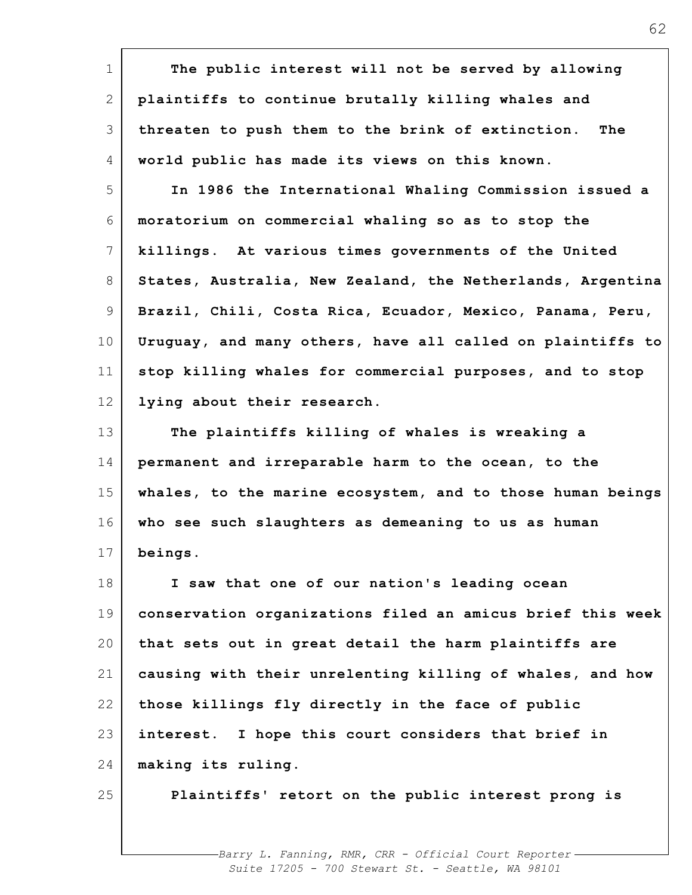| $\mathbf 1$     | The public interest will not be served by allowing         |
|-----------------|------------------------------------------------------------|
| 2               | plaintiffs to continue brutally killing whales and         |
| 3               | threaten to push them to the brink of extinction.<br>The   |
| 4               | world public has made its views on this known.             |
| 5               | In 1986 the International Whaling Commission issued a      |
| 6               | moratorium on commercial whaling so as to stop the         |
| 7               | killings. At various times governments of the United       |
| 8               | States, Australia, New Zealand, the Netherlands, Argentina |
| $\overline{9}$  | Brazil, Chili, Costa Rica, Ecuador, Mexico, Panama, Peru,  |
| 10 <sub>o</sub> | Uruguay, and many others, have all called on plaintiffs to |
| 11              | stop killing whales for commercial purposes, and to stop   |
| 12              | lying about their research.                                |
| 13              | The plaintiffs killing of whales is wreaking a             |
| 14              | permanent and irreparable harm to the ocean, to the        |
| 15              | whales, to the marine ecosystem, and to those human beings |
| 16              | who see such slaughters as demeaning to us as human        |
| 17              | beings.                                                    |
| 18              | I saw that one of our nation's leading ocean               |
| 19              | conservation organizations filed an amicus brief this week |
| 20              | that sets out in great detail the harm plaintiffs are      |
| 21              | causing with their unrelenting killing of whales, and how  |
| 22              | those killings fly directly in the face of public          |
| 23              | interest. I hope this court considers that brief in        |
| 24              | making its ruling.                                         |
| 25              | Plaintiffs' retort on the public interest prong is         |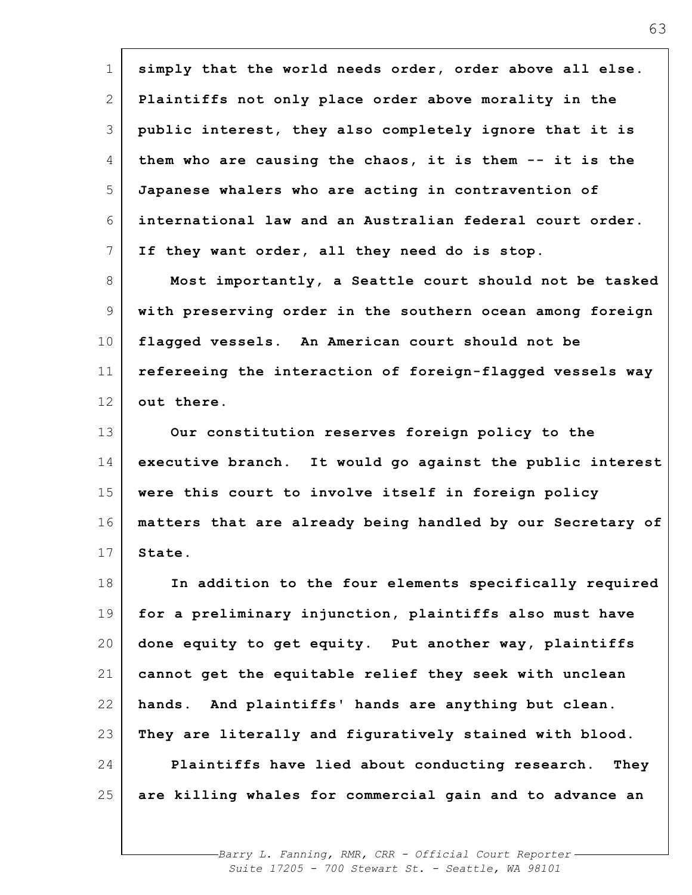| $\mathbf 1$ | simply that the world needs order, order above all else.   |
|-------------|------------------------------------------------------------|
| 2           | Plaintiffs not only place order above morality in the      |
| 3           | public interest, they also completely ignore that it is    |
| 4           | them who are causing the chaos, it is them -- it is the    |
| 5           | Japanese whalers who are acting in contravention of        |
| 6           | international law and an Australian federal court order.   |
| 7           | If they want order, all they need do is stop.              |
| 8           | Most importantly, a Seattle court should not be tasked     |
| 9           | with preserving order in the southern ocean among foreign  |
| 10          | flagged vessels. An American court should not be           |
| 11          | refereeing the interaction of foreign-flagged vessels way  |
| 12          | out there.                                                 |
| 13          | Our constitution reserves foreign policy to the            |
| 14          | executive branch. It would go against the public interest  |
| 15          | were this court to involve itself in foreign policy        |
| 16          | matters that are already being handled by our Secretary of |
| 17          | State.                                                     |
| 18          | In addition to the four elements specifically required     |
| 19          | for a preliminary injunction, plaintiffs also must have    |
| 20          | done equity to get equity. Put another way, plaintiffs     |
| 21          | cannot get the equitable relief they seek with unclean     |
| 22          | hands. And plaintiffs' hands are anything but clean.       |
| 23          | They are literally and figuratively stained with blood.    |
| 24          | Plaintiffs have lied about conducting research.<br>They    |
| 25          | are killing whales for commercial gain and to advance an   |
|             |                                                            |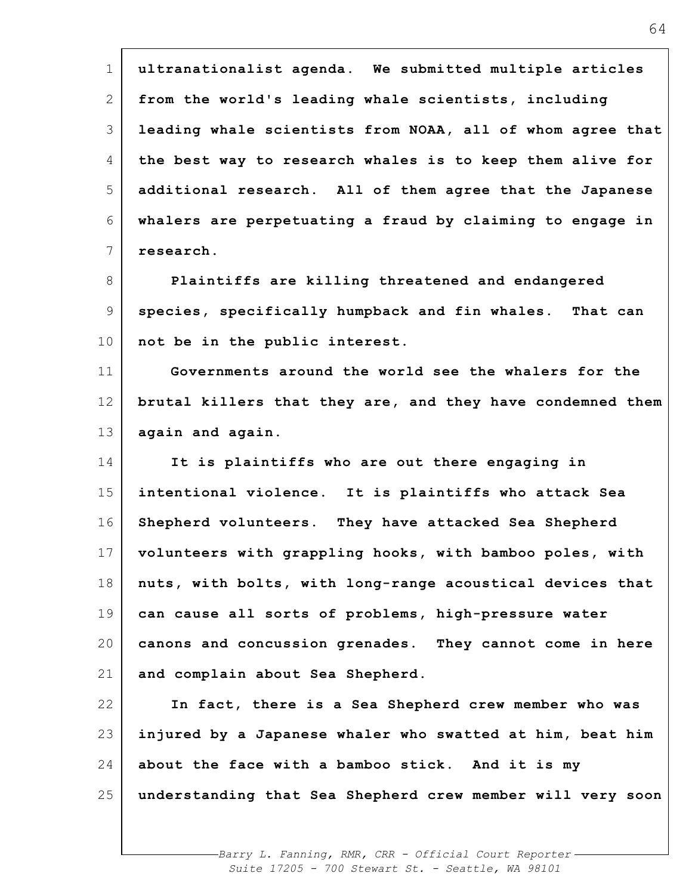| $\mathbf 1$     | ultranationalist agenda. We submitted multiple articles    |
|-----------------|------------------------------------------------------------|
|                 |                                                            |
| 2               | from the world's leading whale scientists, including       |
| 3               | leading whale scientists from NOAA, all of whom agree that |
| 4               | the best way to research whales is to keep them alive for  |
| 5               | additional research. All of them agree that the Japanese   |
| 6               | whalers are perpetuating a fraud by claiming to engage in  |
| 7               | research.                                                  |
| 8               | Plaintiffs are killing threatened and endangered           |
| 9               | species, specifically humpback and fin whales. That can    |
| 10 <sub>o</sub> | not be in the public interest.                             |
| 11              | Governments around the world see the whalers for the       |
| 12              | brutal killers that they are, and they have condemned them |
| 13              | again and again.                                           |
| 14              | It is plaintiffs who are out there engaging in             |
| 15              | intentional violence. It is plaintiffs who attack Sea      |
| 16              | Shepherd volunteers. They have attacked Sea Shepherd       |
| 17              | volunteers with grappling hooks, with bamboo poles, with   |
| 18              | nuts, with bolts, with long-range acoustical devices that  |
| 19              | can cause all sorts of problems, high-pressure water       |
| 20              | canons and concussion grenades. They cannot come in here   |
| 21              | and complain about Sea Shepherd.                           |
| 22              | In fact, there is a Sea Shepherd crew member who was       |
| 23              | injured by a Japanese whaler who swatted at him, beat him  |
| 24              | about the face with a bamboo stick. And it is my           |
| 25              | understanding that Sea Shepherd crew member will very soon |
|                 |                                                            |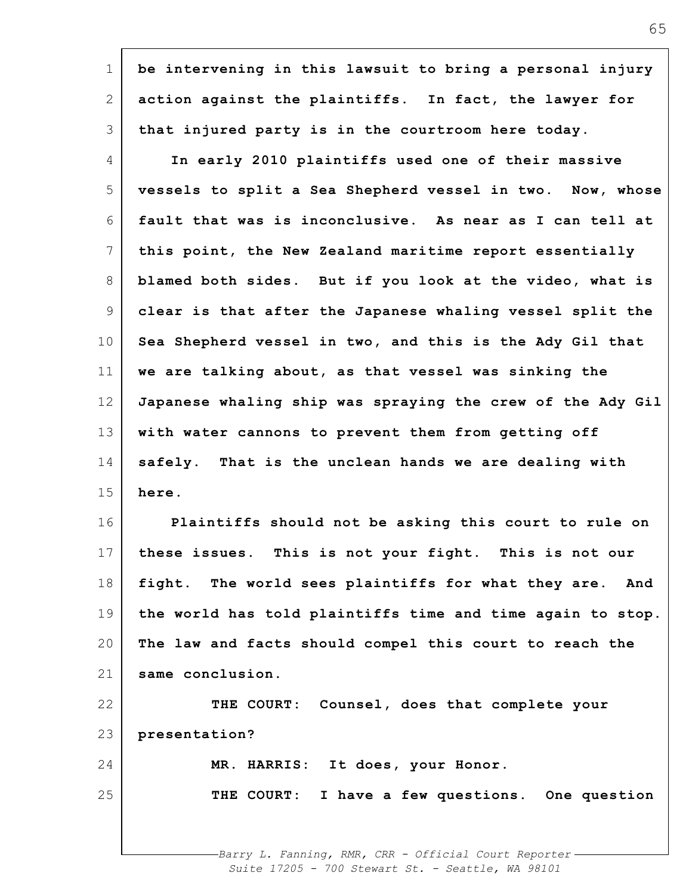| 1               | be intervening in this lawsuit to bring a personal injury  |
|-----------------|------------------------------------------------------------|
| 2               | action against the plaintiffs. In fact, the lawyer for     |
| 3               | that injured party is in the courtroom here today.         |
| 4               | In early 2010 plaintiffs used one of their massive         |
| 5               | vessels to split a Sea Shepherd vessel in two. Now, whose  |
| 6               | fault that was is inconclusive. As near as I can tell at   |
| 7               | this point, the New Zealand maritime report essentially    |
| 8               | blamed both sides. But if you look at the video, what is   |
| 9               | clear is that after the Japanese whaling vessel split the  |
| 10 <sub>o</sub> | Sea Shepherd vessel in two, and this is the Ady Gil that   |
| 11              | we are talking about, as that vessel was sinking the       |
| 12              | Japanese whaling ship was spraying the crew of the Ady Gil |
| 13              | with water cannons to prevent them from getting off        |
| 14              | safely. That is the unclean hands we are dealing with      |
| 15              | here.                                                      |
| 16              | Plaintiffs should not be asking this court to rule on      |
| 17 <sub>1</sub> | these issues. This is not your fight. This is not our      |
| 18              | fight. The world sees plaintiffs for what they are.<br>And |
| 19              | the world has told plaintiffs time and time again to stop. |
| 20              | The law and facts should compel this court to reach the    |
| 21              | same conclusion.                                           |
| 22              | THE COURT: Counsel, does that complete your                |
| 23              | presentation?                                              |
| 24              | MR. HARRIS: It does, your Honor.                           |
| 25              | THE COURT: I have a few questions. One question            |
|                 |                                                            |
|                 | Barry L. Fanning RMR, CRR - Official Court Reporter        |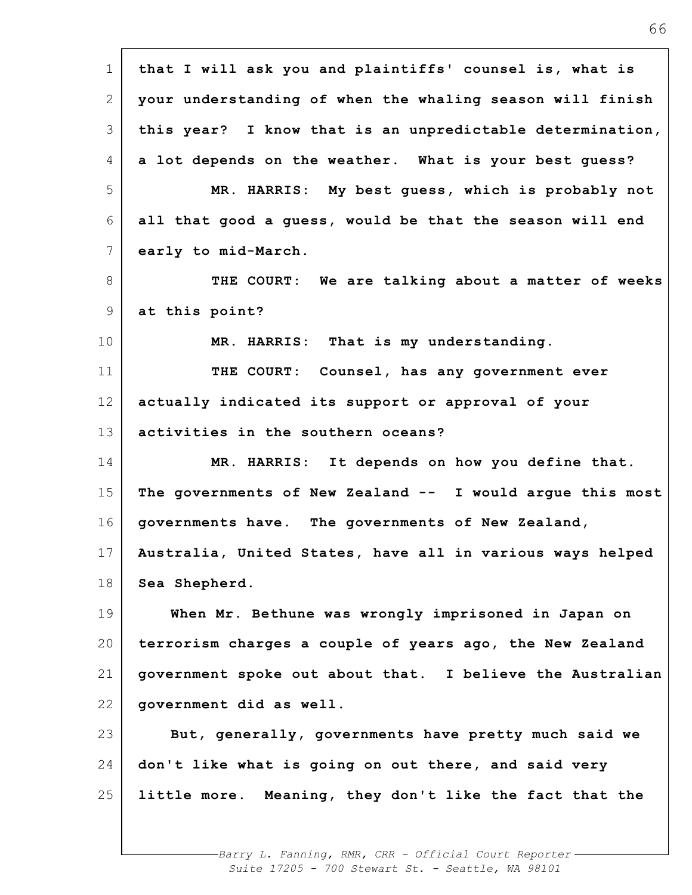| $\mathbf{1}$ | that I will ask you and plaintiffs' counsel is, what is   |
|--------------|-----------------------------------------------------------|
| 2            | your understanding of when the whaling season will finish |
| 3            | this year? I know that is an unpredictable determination, |
| 4            | a lot depends on the weather. What is your best guess?    |
| 5            | MR. HARRIS: My best guess, which is probably not          |
| 6            | all that good a guess, would be that the season will end  |
| 7            | early to mid-March.                                       |
| 8            | THE COURT: We are talking about a matter of weeks         |
| 9            | at this point?                                            |
| 10           | MR. HARRIS: That is my understanding.                     |
| 11           | THE COURT: Counsel, has any government ever               |
| 12           | actually indicated its support or approval of your        |
| 13           | activities in the southern oceans?                        |
| 14           | MR. HARRIS: It depends on how you define that.            |
| 15           | The governments of New Zealand -- I would argue this most |
| 16           | governments have. The governments of New Zealand,         |
| 17           | Australia, United States, have all in various ways helped |
| 18           | Sea Shepherd.                                             |
| 19           | When Mr. Bethune was wrongly imprisoned in Japan on       |
| 20           | terrorism charges a couple of years ago, the New Zealand  |
| 21           | government spoke out about that. I believe the Australian |
| 22           | government did as well.                                   |
| 23           | But, generally, governments have pretty much said we      |
| 24           | don't like what is going on out there, and said very      |
| 25           | little more. Meaning, they don't like the fact that the   |
|              |                                                           |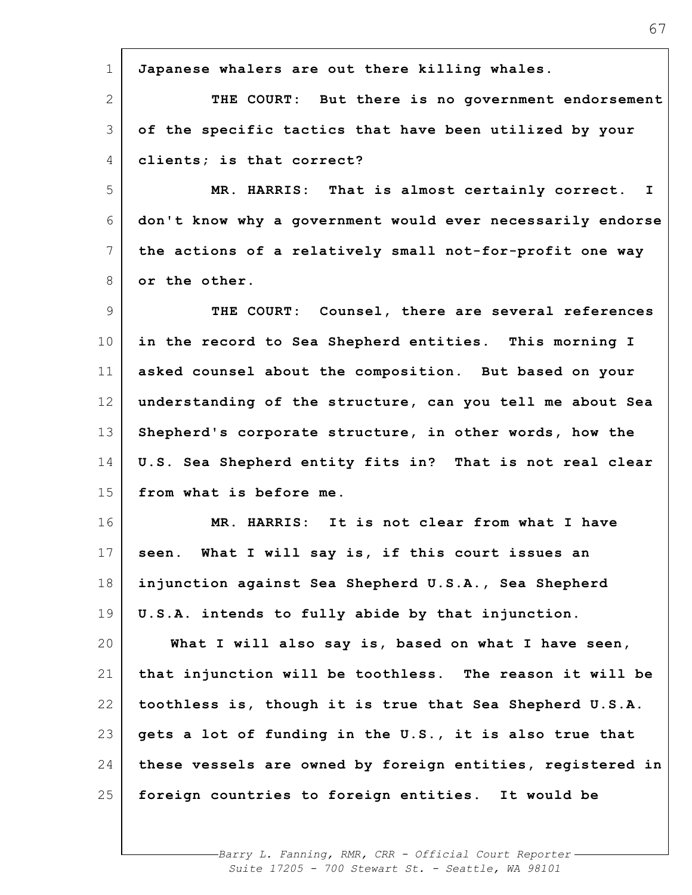| $\mathbf 1$     | Japanese whalers are out there killing whales.             |
|-----------------|------------------------------------------------------------|
| $\overline{2}$  | THE COURT: But there is no government endorsement          |
| 3               | of the specific tactics that have been utilized by your    |
| 4               | clients; is that correct?                                  |
| 5               | MR. HARRIS: That is almost certainly correct. I            |
| 6               | don't know why a government would ever necessarily endorse |
| 7               | the actions of a relatively small not-for-profit one way   |
| 8               | or the other.                                              |
| 9               | THE COURT: Counsel, there are several references           |
| 10 <sub>o</sub> | in the record to Sea Shepherd entities. This morning I     |
| 11              | asked counsel about the composition. But based on your     |
| 12              | understanding of the structure, can you tell me about Sea  |
| 13              | Shepherd's corporate structure, in other words, how the    |
| 14              | U.S. Sea Shepherd entity fits in? That is not real clear   |
| 15              | from what is before me.                                    |
| 16              | MR. HARRIS: It is not clear from what I have               |
| 17              | seen. What I will say is, if this court issues an          |
| 18              | injunction against Sea Shepherd U.S.A., Sea Shepherd       |
| 19              | U.S.A. intends to fully abide by that injunction.          |
| 20              | What I will also say is, based on what I have seen,        |
| 21              | that injunction will be toothless. The reason it will be   |
| 22              | toothless is, though it is true that Sea Shepherd U.S.A.   |
| 23              | gets a lot of funding in the U.S., it is also true that    |
| 24              | these vessels are owned by foreign entities, registered in |
| 25              | foreign countries to foreign entities. It would be         |
|                 |                                                            |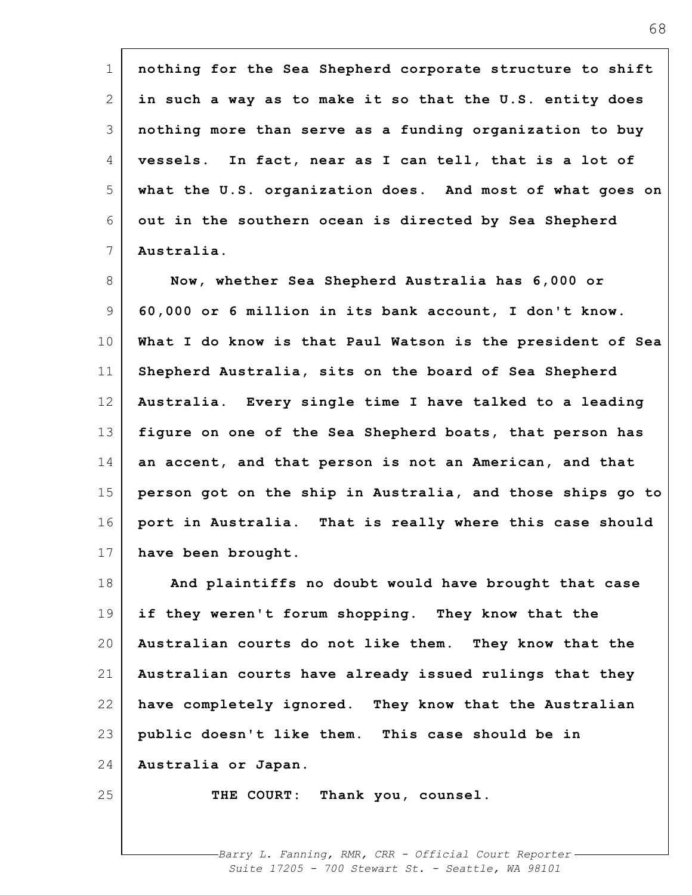| $\mathbf 1$ | nothing for the Sea Shepherd corporate structure to shift  |
|-------------|------------------------------------------------------------|
| 2           | in such a way as to make it so that the U.S. entity does   |
| 3           | nothing more than serve as a funding organization to buy   |
| 4           | vessels. In fact, near as I can tell, that is a lot of     |
| 5           | what the U.S. organization does. And most of what goes on  |
| 6           | out in the southern ocean is directed by Sea Shepherd      |
| 7           | Australia.                                                 |
| 8           | Now, whether Sea Shepherd Australia has 6,000 or           |
| 9           | 60,000 or 6 million in its bank account, I don't know.     |
| 10          | What I do know is that Paul Watson is the president of Sea |
| 11          | Shepherd Australia, sits on the board of Sea Shepherd      |
| 12          | Australia. Every single time I have talked to a leading    |
| 13          | figure on one of the Sea Shepherd boats, that person has   |
| 14          | an accent, and that person is not an American, and that    |
| 15          | person got on the ship in Australia, and those ships go to |
| 16          | port in Australia. That is really where this case should   |
| 17          | have been brought.                                         |
| 18          | And plaintiffs no doubt would have brought that case       |
| 19          | if they weren't forum shopping. They know that the         |
| 20          | Australian courts do not like them. They know that the     |
| 21          | Australian courts have already issued rulings that they    |
| 22          | have completely ignored. They know that the Australian     |
| 23          | public doesn't like them. This case should be in           |
| 24          | Australia or Japan.                                        |
| 25          | THE COURT: Thank you, counsel.                             |
|             |                                                            |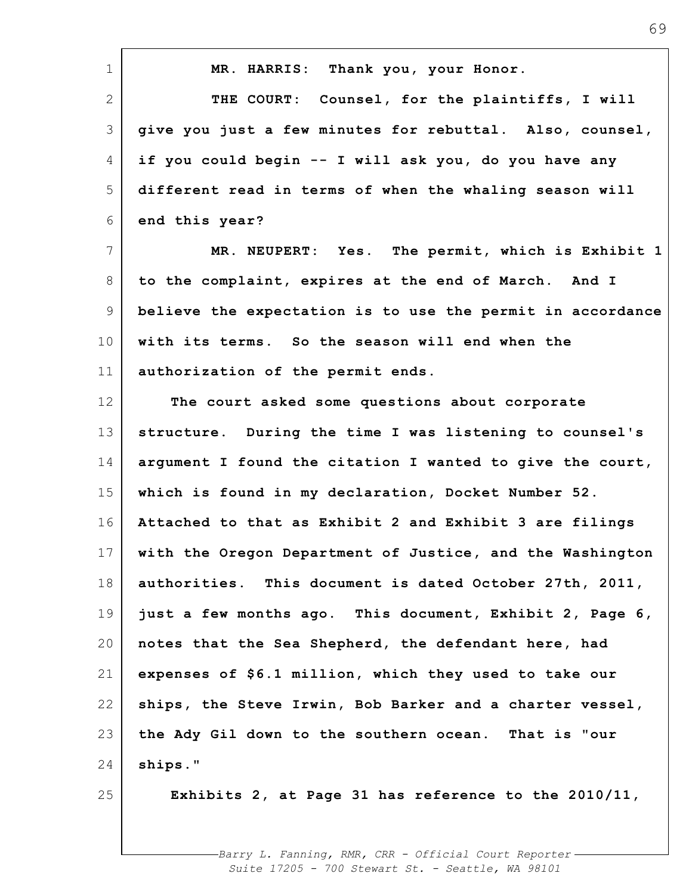| $\mathbf 1$    | MR. HARRIS: Thank you, your Honor.                         |
|----------------|------------------------------------------------------------|
| $\overline{2}$ | THE COURT: Counsel, for the plaintiffs, I will             |
| 3              | give you just a few minutes for rebuttal. Also, counsel,   |
| 4              | if you could begin -- I will ask you, do you have any      |
| 5              | different read in terms of when the whaling season will    |
| 6              | end this year?                                             |
| $\overline{7}$ | MR. NEUPERT: Yes. The permit, which is Exhibit 1           |
| 8              | to the complaint, expires at the end of March. And I       |
| 9              | believe the expectation is to use the permit in accordance |
| 10             | with its terms. So the season will end when the            |
| 11             | authorization of the permit ends.                          |
| 12             | The court asked some questions about corporate             |
| 13             | structure. During the time I was listening to counsel's    |
| 14             | argument I found the citation I wanted to give the court,  |
| 15             | which is found in my declaration, Docket Number 52.        |
| 16             | Attached to that as Exhibit 2 and Exhibit 3 are filings    |
| 17             | with the Oregon Department of Justice, and the Washington  |
| 18             | authorities. This document is dated October 27th, 2011,    |
| 19             | just a few months ago. This document, Exhibit 2, Page 6,   |
| 20             | notes that the Sea Shepherd, the defendant here, had       |
| 21             | expenses of \$6.1 million, which they used to take our     |
| 22             | ships, the Steve Irwin, Bob Barker and a charter vessel,   |
| 23             | the Ady Gil down to the southern ocean. That is "our       |
| 24             | ships."                                                    |
| 25             | Exhibits 2, at Page 31 has reference to the 2010/11,       |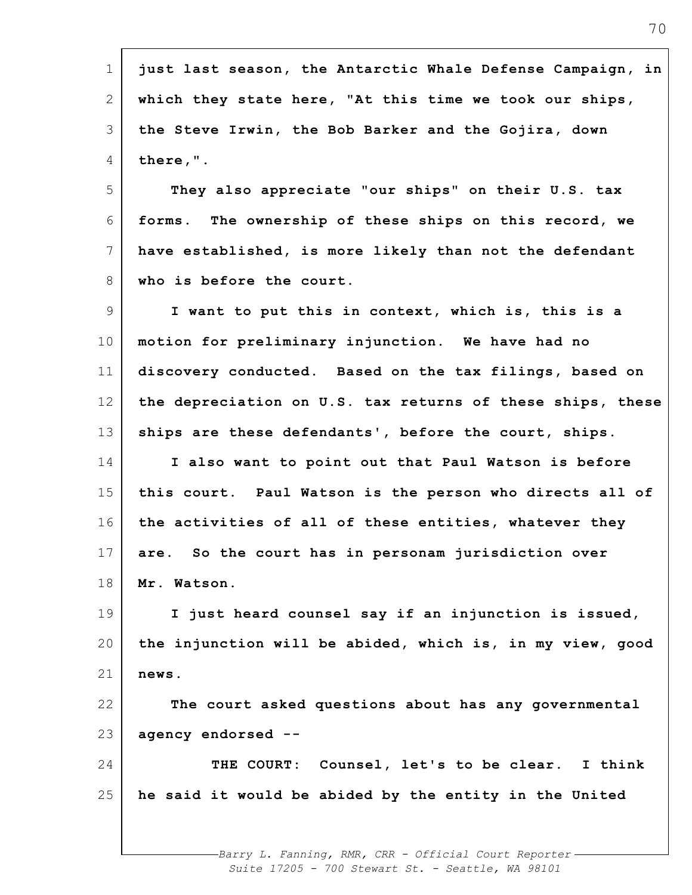| just last season, the Antarctic Whale Defense Campaign, in |
|------------------------------------------------------------|
| which they state here, "At this time we took our ships,    |
| the Steve Irwin, the Bob Barker and the Gojira, down       |
| there,".                                                   |
| They also appreciate "our ships" on their U.S. tax         |
| forms. The ownership of these ships on this record, we     |
| have established, is more likely than not the defendant    |
| who is before the court.                                   |
| I want to put this in context, which is, this is a         |
| motion for preliminary injunction. We have had no          |
| discovery conducted. Based on the tax filings, based on    |
| the depreciation on U.S. tax returns of these ships, these |
| ships are these defendants', before the court, ships.      |
| I also want to point out that Paul Watson is before        |
| this court. Paul Watson is the person who directs all of   |
| the activities of all of these entities, whatever they     |
| So the court has in personam jurisdiction over<br>are.     |
| Mr. Watson.                                                |
| I just heard counsel say if an injunction is issued,       |
| the injunction will be abided, which is, in my view, good  |
| news.                                                      |
| The court asked questions about has any governmental       |
| agency endorsed --                                         |
| THE COURT: Counsel, let's to be clear. I think             |
| he said it would be abided by the entity in the United     |
|                                                            |
|                                                            |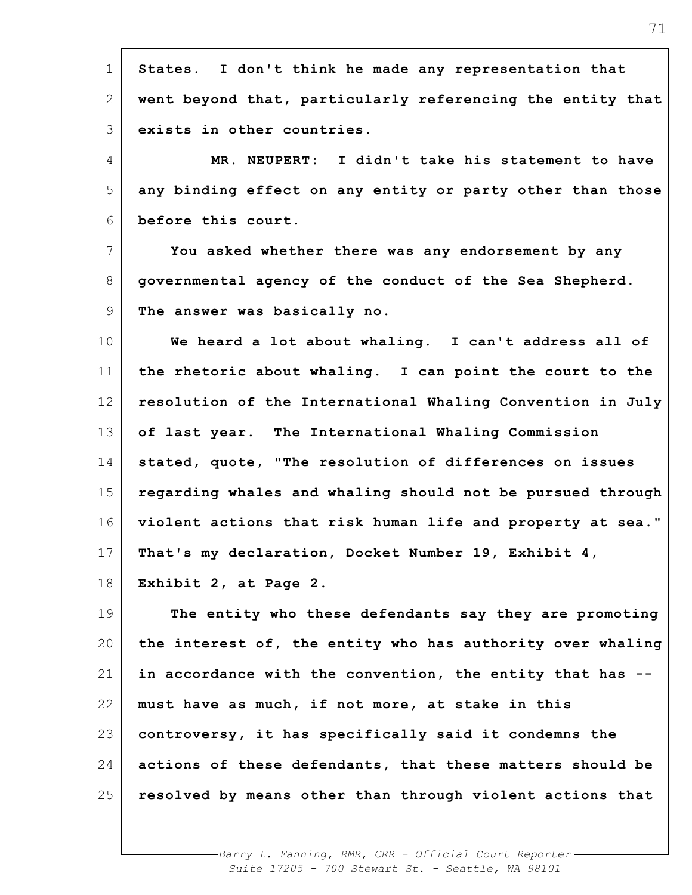| $\mathbf 1$  | States. I don't think he made any representation that      |
|--------------|------------------------------------------------------------|
| $\mathbf{2}$ | went beyond that, particularly referencing the entity that |
| 3            | exists in other countries.                                 |
| 4            | MR. NEUPERT: I didn't take his statement to have           |
| 5            | any binding effect on any entity or party other than those |
| 6            | before this court.                                         |
| 7            | You asked whether there was any endorsement by any         |
| 8            | governmental agency of the conduct of the Sea Shepherd.    |
| 9            | The answer was basically no.                               |
| 10           | We heard a lot about whaling. I can't address all of       |
| 11           | the rhetoric about whaling. I can point the court to the   |
| 12           | resolution of the International Whaling Convention in July |
| 13           | of last year. The International Whaling Commission         |
| 14           | stated, quote, "The resolution of differences on issues    |
| 15           | regarding whales and whaling should not be pursued through |
| 16           | violent actions that risk human life and property at sea." |
| 17           | That's my declaration, Docket Number 19, Exhibit 4,        |
| 18           | Exhibit 2, at Page 2.                                      |
| 19           | The entity who these defendants say they are promoting     |
| 20           | the interest of, the entity who has authority over whaling |
| 21           | in accordance with the convention, the entity that has --  |
| 22           | must have as much, if not more, at stake in this           |
| 23           | controversy, it has specifically said it condemns the      |
| 24           | actions of these defendants, that these matters should be  |
| 25           | resolved by means other than through violent actions that  |
|              |                                                            |

71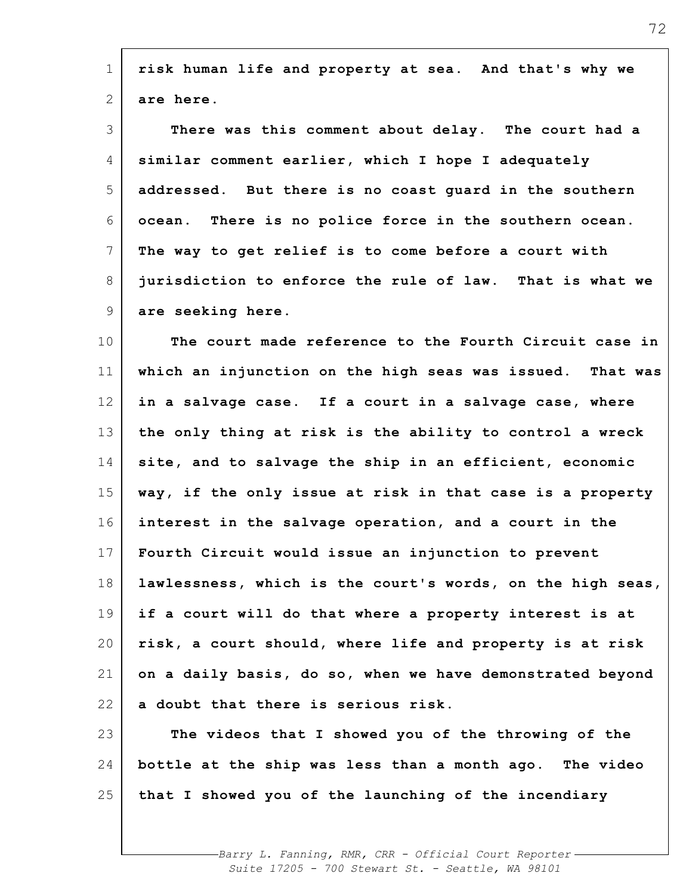| $\mathbf 1$     | risk human life and property at sea. And that's why we     |
|-----------------|------------------------------------------------------------|
| 2               | are here.                                                  |
| 3               | There was this comment about delay. The court had a        |
| 4               | similar comment earlier, which I hope I adequately         |
| 5               | addressed. But there is no coast quard in the southern     |
| 6               | ocean. There is no police force in the southern ocean.     |
| 7               | The way to get relief is to come before a court with       |
| 8               | jurisdiction to enforce the rule of law. That is what we   |
| 9               | are seeking here.                                          |
| 10              | The court made reference to the Fourth Circuit case in     |
| 11              | which an injunction on the high seas was issued. That was  |
| 12              | in a salvage case. If a court in a salvage case, where     |
| 13              | the only thing at risk is the ability to control a wreck   |
| 14              | site, and to salvage the ship in an efficient, economic    |
| 15              | way, if the only issue at risk in that case is a property  |
| 16              | interest in the salvage operation, and a court in the      |
| 17 <sup>1</sup> | Fourth Circuit would issue an injunction to prevent        |
| 18              | lawlessness, which is the court's words, on the high seas, |
| 19              | if a court will do that where a property interest is at    |
| 20              | risk, a court should, where life and property is at risk   |
| 21              | on a daily basis, do so, when we have demonstrated beyond  |
| 22              | a doubt that there is serious risk.                        |
| 23              | The videos that I showed you of the throwing of the        |
| 24              | bottle at the ship was less than a month ago. The video    |
| 25              | that I showed you of the launching of the incendiary       |
|                 |                                                            |

72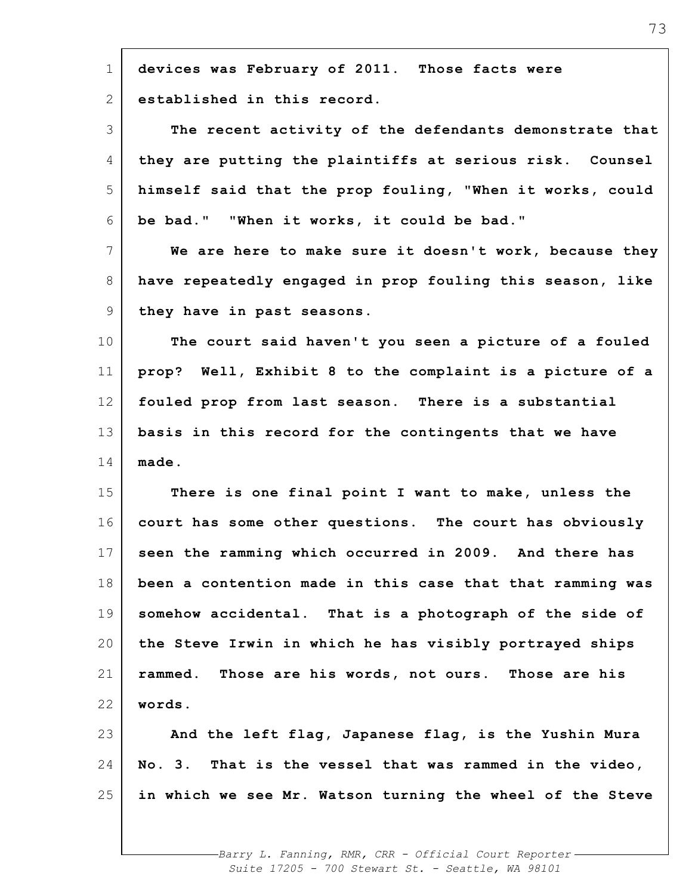| $\mathbf 1$ | devices was February of 2011. Those facts were            |
|-------------|-----------------------------------------------------------|
| 2           | established in this record.                               |
| 3           | The recent activity of the defendants demonstrate that    |
| 4           | they are putting the plaintiffs at serious risk. Counsel  |
| 5           | himself said that the prop fouling, "When it works, could |
| 6           | be bad." "When it works, it could be bad."                |
| 7           | We are here to make sure it doesn't work, because they    |
| 8           | have repeatedly engaged in prop fouling this season, like |
| 9           | they have in past seasons.                                |
| 10          | The court said haven't you seen a picture of a fouled     |
| 11          | prop? Well, Exhibit 8 to the complaint is a picture of a  |
| 12          | fouled prop from last season. There is a substantial      |
| 13          | basis in this record for the contingents that we have     |
| 14          | made.                                                     |
| 15          | There is one final point I want to make, unless the       |
| 16          | court has some other questions. The court has obviously   |
| 17          | seen the ramming which occurred in 2009. And there has    |
| 18          | been a contention made in this case that that ramming was |
| 19          | somehow accidental. That is a photograph of the side of   |
| 20          | the Steve Irwin in which he has visibly portrayed ships   |
| 21          | rammed. Those are his words, not ours. Those are his      |
| 22          | words.                                                    |
| 23          | And the left flag, Japanese flag, is the Yushin Mura      |
| 24          | No. 3. That is the vessel that was rammed in the video,   |
| 25          | in which we see Mr. Watson turning the wheel of the Steve |
|             |                                                           |
|             |                                                           |

 $\blacksquare$ 

*Barry L. Fanning, RMR, CRR - Official Court Reporter Suite 17205 - 700 Stewart St. - Seattle, WA 98101*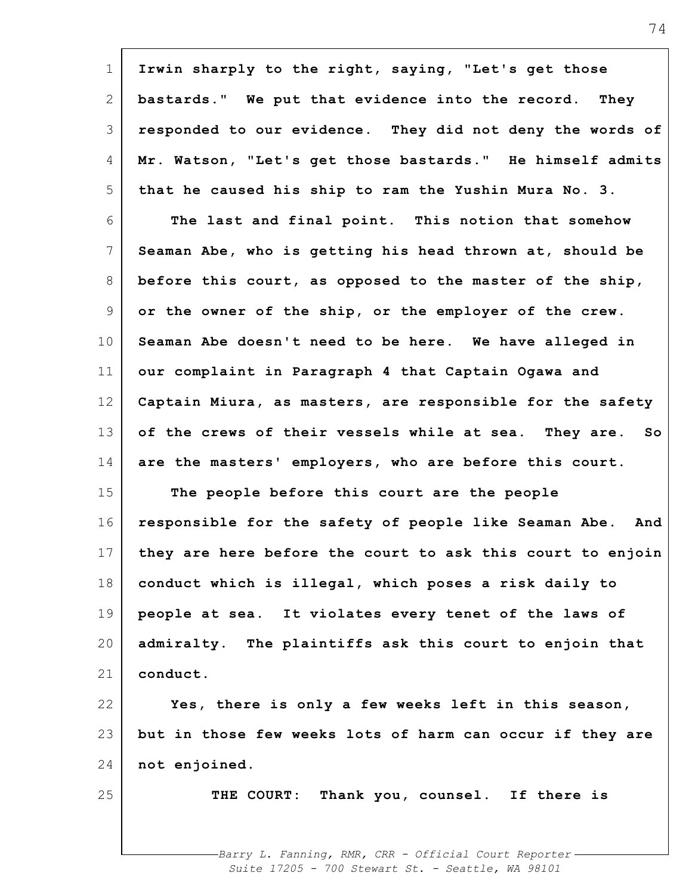| $\mathbf 1$     | Irwin sharply to the right, saying, "Let's get those        |
|-----------------|-------------------------------------------------------------|
| 2               | bastards." We put that evidence into the record. They       |
| 3               | responded to our evidence. They did not deny the words of   |
| 4               | Mr. Watson, "Let's get those bastards." He himself admits   |
| 5               | that he caused his ship to ram the Yushin Mura No. 3.       |
| 6               | The last and final point. This notion that somehow          |
| 7               | Seaman Abe, who is getting his head thrown at, should be    |
| 8               | before this court, as opposed to the master of the ship,    |
| 9               | or the owner of the ship, or the employer of the crew.      |
| 10 <sub>o</sub> | Seaman Abe doesn't need to be here. We have alleged in      |
| 11              | our complaint in Paragraph 4 that Captain Ogawa and         |
| 12              | Captain Miura, as masters, are responsible for the safety   |
| 13              | of the crews of their vessels while at sea. They are.<br>So |
| 14              | are the masters' employers, who are before this court.      |
| 15              | The people before this court are the people                 |
| 16              | responsible for the safety of people like Seaman Abe. And   |
| 17              | they are here before the court to ask this court to enjoin  |
| 18              | conduct which is illegal, which poses a risk daily to       |
| 19              | people at sea. It violates every tenet of the laws of       |
| 20              | admiralty. The plaintiffs ask this court to enjoin that     |
| 21              | conduct.                                                    |
| 22              | Yes, there is only a few weeks left in this season,         |
| 23              | but in those few weeks lots of harm can occur if they are   |
| 24              | not enjoined.                                               |
| 25              | THE COURT: Thank you, counsel. If there is                  |
|                 |                                                             |
|                 | -Barry L. Fanning, RMR, CRR - Official Court Reporter-      |

*Suite 17205 - 700 Stewart St. - Seattle, WA 98101*

 $\overline{\mathsf{I}}$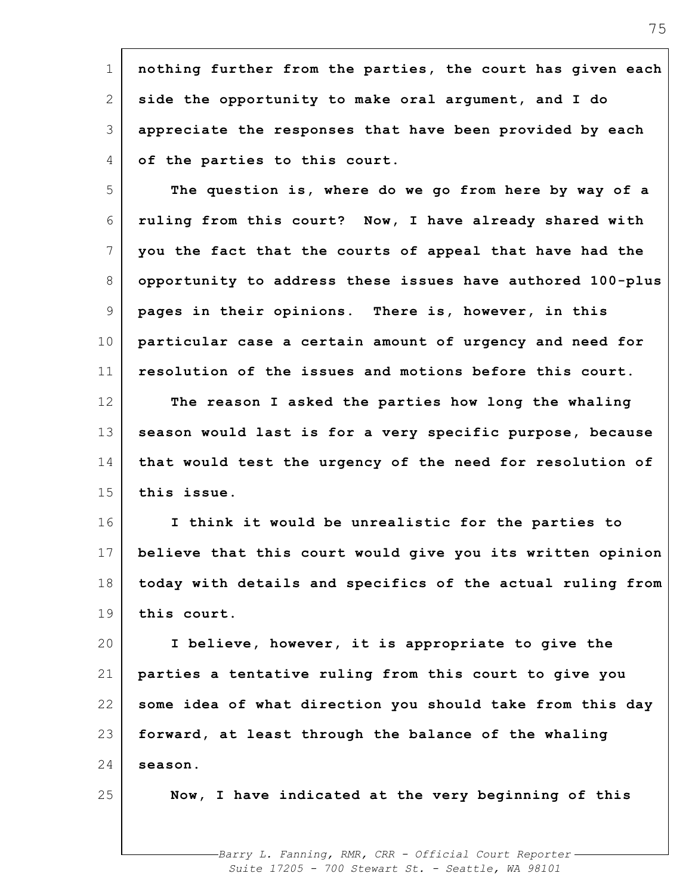1 2 3 4 **nothing further from the parties, the court has given each side the opportunity to make oral argument, and I do appreciate the responses that have been provided by each of the parties to this court.**

5 6 7 8 9 10 11 12 13 14 15 **The question is, where do we go from here by way of a ruling from this court? Now, I have already shared with you the fact that the courts of appeal that have had the opportunity to address these issues have authored 100-plus pages in their opinions. There is, however, in this particular case a certain amount of urgency and need for resolution of the issues and motions before this court. The reason I asked the parties how long the whaling season would last is for a very specific purpose, because that would test the urgency of the need for resolution of this issue.**

16 17 18 19 **I think it would be unrealistic for the parties to believe that this court would give you its written opinion today with details and specifics of the actual ruling from this court.**

20 21 22 23 24 **I believe, however, it is appropriate to give the parties a tentative ruling from this court to give you some idea of what direction you should take from this day forward, at least through the balance of the whaling season.**

25

**Now, I have indicated at the very beginning of this**

*Barry L. Fanning, RMR, CRR - Official Court Reporter Suite 17205 - 700 Stewart St. - Seattle, WA 98101*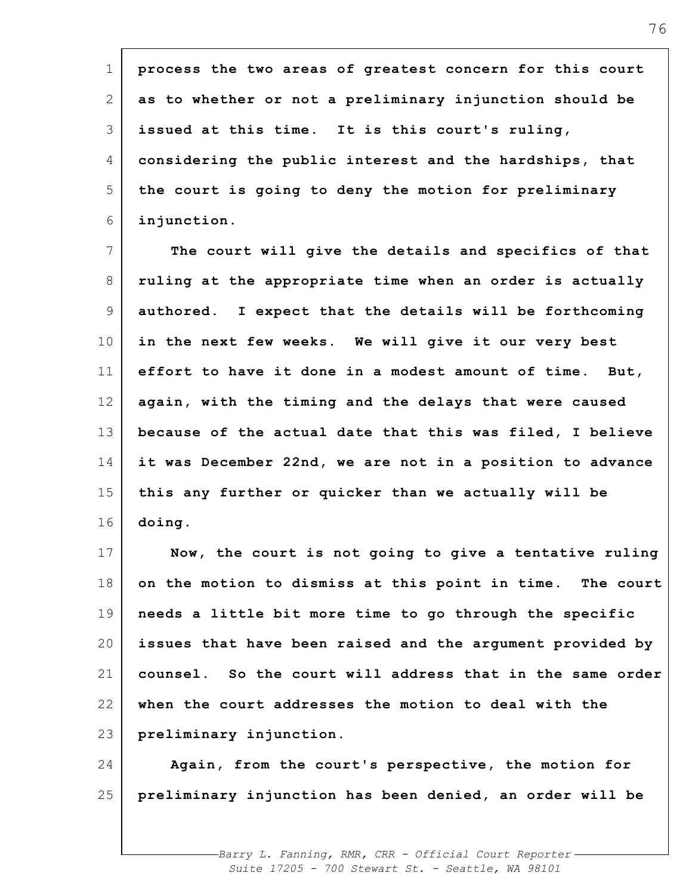1 2 3 4 5 6 7 8 9 10 11 12 13 14 15 16 17 18 19 20 21 22 23 24 25 **process the two areas of greatest concern for this court as to whether or not a preliminary injunction should be issued at this time. It is this court's ruling, considering the public interest and the hardships, that the court is going to deny the motion for preliminary injunction. The court will give the details and specifics of that ruling at the appropriate time when an order is actually authored. I expect that the details will be forthcoming in the next few weeks. We will give it our very best effort to have it done in a modest amount of time. But, again, with the timing and the delays that were caused because of the actual date that this was filed, I believe it was December 22nd, we are not in a position to advance this any further or quicker than we actually will be doing. Now, the court is not going to give a tentative ruling on the motion to dismiss at this point in time. The court needs a little bit more time to go through the specific issues that have been raised and the argument provided by counsel. So the court will address that in the same order when the court addresses the motion to deal with the preliminary injunction. Again, from the court's perspective, the motion for preliminary injunction has been denied, an order will be**

> *Barry L. Fanning, RMR, CRR - Official Court Reporter Suite 17205 - 700 Stewart St. - Seattle, WA 98101*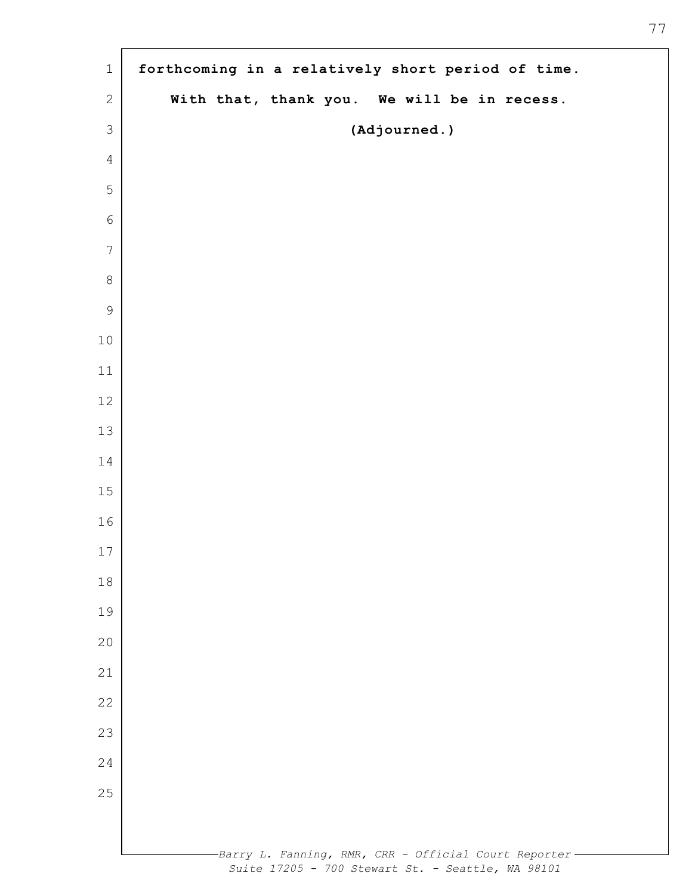| $1\,$          | forthcoming in a relatively short period of time.                                                           |
|----------------|-------------------------------------------------------------------------------------------------------------|
| $\sqrt{2}$     | With that, thank you. We will be in recess.                                                                 |
| $\mathfrak{Z}$ | (Adjourned.)                                                                                                |
| $\overline{4}$ |                                                                                                             |
| 5              |                                                                                                             |
| $\sqrt{6}$     |                                                                                                             |
| $\overline{7}$ |                                                                                                             |
| $\,8\,$        |                                                                                                             |
| $\mathsf 9$    |                                                                                                             |
| $10$           |                                                                                                             |
| $11$           |                                                                                                             |
| $12$           |                                                                                                             |
| 13             |                                                                                                             |
| 14             |                                                                                                             |
| 15             |                                                                                                             |
| 16             |                                                                                                             |
| 17             |                                                                                                             |
| $18\,$         |                                                                                                             |
| 19             |                                                                                                             |
| 20             |                                                                                                             |
| 21             |                                                                                                             |
| 22             |                                                                                                             |
| 23             |                                                                                                             |
| 24             |                                                                                                             |
| 25             |                                                                                                             |
|                |                                                                                                             |
|                | -Barry L. Fanning, RMR, CRR - Official Court Reporter-<br>Suite 17205 - 700 Stewart St. - Seattle, WA 98101 |